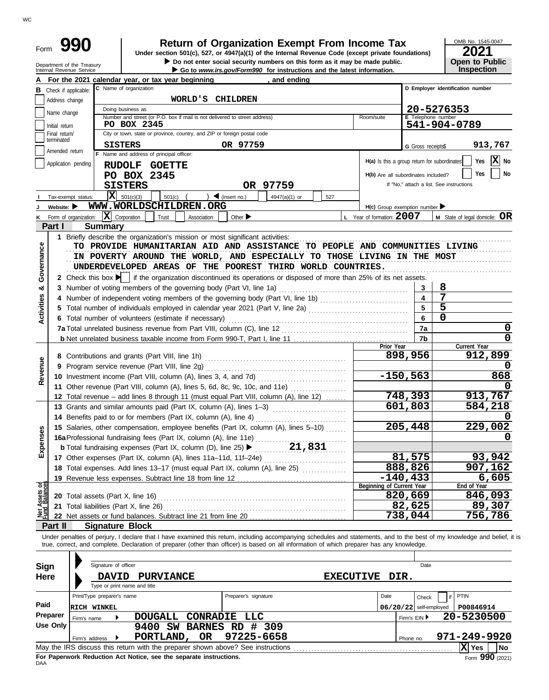# **990 2021 2010 2016 2021 Dependent Organization Exempt From Income Tax 2021 2021**

Do not enter social security numbers on this form as it may be made public.

OMB No. 1545-0047 **Open to Public** 

|                                | Department of the Treasury<br>Internal Revenue Service |                            |                                                                                                                                            |                     | Do not enter social security numbers on this form as it may be made public.<br>Go to www.irs.gov/Form990 for instructions and the latest information. |            |                                              |                          | <b>Open to Public</b><br>Inspection                                                                                                                                        |  |  |  |
|--------------------------------|--------------------------------------------------------|----------------------------|--------------------------------------------------------------------------------------------------------------------------------------------|---------------------|-------------------------------------------------------------------------------------------------------------------------------------------------------|------------|----------------------------------------------|--------------------------|----------------------------------------------------------------------------------------------------------------------------------------------------------------------------|--|--|--|
|                                |                                                        |                            | For the 2021 calendar year, or tax year beginning                                                                                          |                     | , and ending                                                                                                                                          |            |                                              |                          |                                                                                                                                                                            |  |  |  |
|                                | <b>B</b> Check if applicable:                          |                            | C Name of organization                                                                                                                     |                     |                                                                                                                                                       |            |                                              |                          | D Employer identification number                                                                                                                                           |  |  |  |
|                                | Address change                                         |                            | WORLD'S CHILDREN                                                                                                                           |                     |                                                                                                                                                       |            |                                              |                          |                                                                                                                                                                            |  |  |  |
|                                | Name change                                            |                            | Doing business as                                                                                                                          |                     |                                                                                                                                                       | 20-5276353 |                                              |                          |                                                                                                                                                                            |  |  |  |
|                                | Initial return                                         |                            | Number and street (or P.O. box if mail is not delivered to street address)<br>PO BOX 2345                                                  |                     |                                                                                                                                                       |            | Room/suite                                   | E Telephone number       | 541-904-0789                                                                                                                                                               |  |  |  |
|                                | Final return/                                          |                            | City or town, state or province, country, and ZIP or foreign postal code                                                                   |                     |                                                                                                                                                       |            |                                              |                          |                                                                                                                                                                            |  |  |  |
|                                | terminated                                             |                            | <b>SISTERS</b>                                                                                                                             |                     | OR 97759                                                                                                                                              |            |                                              | G Gross receipts\$       | 913,767                                                                                                                                                                    |  |  |  |
|                                | Amended return                                         |                            | F Name and address of principal officer:                                                                                                   |                     |                                                                                                                                                       |            |                                              |                          |                                                                                                                                                                            |  |  |  |
|                                | Application pending                                    |                            | RUDOLF GOETTE                                                                                                                              |                     |                                                                                                                                                       |            | H(a) Is this a group return for subordinates |                          | $\mathbf{X}$ No<br>Yes                                                                                                                                                     |  |  |  |
|                                |                                                        |                            | PO BOX 2345                                                                                                                                |                     |                                                                                                                                                       |            | H(b) Are all subordinates included?          |                          | Yes<br>No                                                                                                                                                                  |  |  |  |
|                                |                                                        |                            | <b>SISTERS</b>                                                                                                                             |                     | OR 97759                                                                                                                                              |            |                                              |                          | If "No," attach a list. See instructions                                                                                                                                   |  |  |  |
|                                | Tax-exempt status:                                     |                            | $\overline{\mathbf{X}}$ 501(c)(3)<br>501(c)                                                                                                | $\int$ (insert no.) | 4947(a)(1) or                                                                                                                                         | 527        |                                              |                          |                                                                                                                                                                            |  |  |  |
|                                | Website: $\blacktriangleright$                         |                            | WWW.WORLDSCHILDREN.ORG                                                                                                                     |                     |                                                                                                                                                       |            | $H(c)$ Group exemption number                |                          |                                                                                                                                                                            |  |  |  |
| κ                              | Form of organization:                                  |                            | $ \mathbf{X} $ Corporation<br>Trust                                                                                                        | Association         | Other $\blacktriangleright$                                                                                                                           |            | L Year of formation: 2007                    |                          | $M$ State of legal domicile: $OR$                                                                                                                                          |  |  |  |
|                                | Part I                                                 | <b>Summary</b>             |                                                                                                                                            |                     |                                                                                                                                                       |            |                                              |                          |                                                                                                                                                                            |  |  |  |
|                                |                                                        |                            | 1 Briefly describe the organization's mission or most significant activities:                                                              |                     |                                                                                                                                                       |            |                                              |                          |                                                                                                                                                                            |  |  |  |
|                                |                                                        |                            | TO PROVIDE HUMANITARIAN AID AND ASSISTANCE TO PEOPLE AND COMMUNITIES LIVING                                                                |                     |                                                                                                                                                       |            |                                              |                          |                                                                                                                                                                            |  |  |  |
| Governance                     |                                                        |                            | IN POVERTY AROUND THE WORLD, AND ESPECIALLY TO THOSE LIVING IN THE MOST                                                                    |                     |                                                                                                                                                       |            |                                              |                          |                                                                                                                                                                            |  |  |  |
|                                |                                                        |                            | UNDERDEVELOPED AREAS OF THE POOREST THIRD WORLD COUNTRIES.                                                                                 |                     |                                                                                                                                                       |            |                                              |                          |                                                                                                                                                                            |  |  |  |
|                                |                                                        |                            | 2 Check this box $\blacktriangleright$ if the organization discontinued its operations or disposed of more than 25% of its net assets.     |                     |                                                                                                                                                       |            |                                              |                          |                                                                                                                                                                            |  |  |  |
| න්                             |                                                        |                            | 3 Number of voting members of the governing body (Part VI, line 1a)                                                                        |                     |                                                                                                                                                       |            |                                              | 3                        | 8                                                                                                                                                                          |  |  |  |
|                                |                                                        |                            | 4 Number of independent voting members of the governing body (Part VI, line 1b)                                                            |                     |                                                                                                                                                       |            |                                              |                          | 7                                                                                                                                                                          |  |  |  |
| Activities                     |                                                        |                            |                                                                                                                                            |                     |                                                                                                                                                       |            |                                              |                          | 5                                                                                                                                                                          |  |  |  |
|                                |                                                        |                            | 6 Total number of volunteers (estimate if necessary)                                                                                       |                     |                                                                                                                                                       |            |                                              | 6                        | 0                                                                                                                                                                          |  |  |  |
|                                |                                                        |                            |                                                                                                                                            |                     |                                                                                                                                                       |            |                                              | 7a                       | 0                                                                                                                                                                          |  |  |  |
|                                |                                                        |                            |                                                                                                                                            |                     |                                                                                                                                                       |            | Prior Year                                   | 7b                       | $\mathbf 0$<br>Current Year                                                                                                                                                |  |  |  |
|                                |                                                        |                            | 8 Contributions and grants (Part VIII, line 1h)                                                                                            |                     |                                                                                                                                                       |            |                                              | 898,956                  | 912,899                                                                                                                                                                    |  |  |  |
| Revenue                        |                                                        |                            | 9 Program service revenue (Part VIII, line 2g)                                                                                             |                     |                                                                                                                                                       |            |                                              |                          | O                                                                                                                                                                          |  |  |  |
|                                |                                                        |                            | 10 Investment income (Part VIII, column (A), lines 3, 4, and 7d)                                                                           |                     |                                                                                                                                                       | $-150,563$ | 868                                          |                          |                                                                                                                                                                            |  |  |  |
|                                |                                                        |                            | 11 Other revenue (Part VIII, column (A), lines 5, 6d, 8c, 9c, 10c, and 11e)                                                                |                     |                                                                                                                                                       |            |                                              |                          |                                                                                                                                                                            |  |  |  |
|                                |                                                        |                            | 12 Total revenue – add lines 8 through 11 (must equal Part VIII, column (A), line 12)                                                      |                     |                                                                                                                                                       |            |                                              | 748,393                  | 913,767                                                                                                                                                                    |  |  |  |
|                                |                                                        |                            | 13 Grants and similar amounts paid (Part IX, column (A), lines 1-3)                                                                        |                     |                                                                                                                                                       |            |                                              | 601,803                  | 584,218                                                                                                                                                                    |  |  |  |
|                                |                                                        |                            | 14 Benefits paid to or for members (Part IX, column (A), line 4)                                                                           |                     |                                                                                                                                                       |            |                                              |                          |                                                                                                                                                                            |  |  |  |
|                                |                                                        |                            | 15 Salaries, other compensation, employee benefits (Part IX, column (A), lines 5-10)                                                       |                     |                                                                                                                                                       |            |                                              | 205,448                  | 229,002                                                                                                                                                                    |  |  |  |
| nses                           |                                                        |                            | 16a Professional fundraising fees (Part IX, column (A), line 11e)                                                                          |                     |                                                                                                                                                       |            |                                              |                          | 0                                                                                                                                                                          |  |  |  |
| Exper                          |                                                        |                            |                                                                                                                                            |                     |                                                                                                                                                       |            |                                              |                          |                                                                                                                                                                            |  |  |  |
|                                |                                                        |                            | 17 Other expenses (Part IX, column (A), lines 11a-11d, 11f-24e)                                                                            |                     |                                                                                                                                                       |            |                                              | 81,575                   | 93,942                                                                                                                                                                     |  |  |  |
|                                |                                                        |                            | 18 Total expenses. Add lines 13-17 (must equal Part IX, column (A), line 25)                                                               |                     |                                                                                                                                                       |            |                                              | 888,826                  | 907,162                                                                                                                                                                    |  |  |  |
|                                |                                                        |                            | 19 Revenue less expenses. Subtract line 18 from line 12                                                                                    |                     |                                                                                                                                                       |            | Beginning of Current Year                    | $-140, 433$              | 6,605<br>End of Year                                                                                                                                                       |  |  |  |
| Net Assets or<br>Fund Balances |                                                        |                            |                                                                                                                                            |                     |                                                                                                                                                       |            |                                              | 820,669                  | 846,093                                                                                                                                                                    |  |  |  |
|                                |                                                        |                            | 21 Total liabilities (Part X, line 26)                                                                                                     |                     |                                                                                                                                                       |            |                                              | 82,625                   | 89,307                                                                                                                                                                     |  |  |  |
|                                |                                                        |                            |                                                                                                                                            |                     |                                                                                                                                                       |            |                                              | 738,044                  | 756,786                                                                                                                                                                    |  |  |  |
|                                | Part II                                                | <b>Signature Block</b>     |                                                                                                                                            |                     |                                                                                                                                                       |            |                                              |                          |                                                                                                                                                                            |  |  |  |
|                                |                                                        |                            |                                                                                                                                            |                     |                                                                                                                                                       |            |                                              |                          | Under penalties of perjury, I declare that I have examined this return, including accompanying schedules and statements, and to the best of my knowledge and belief, it is |  |  |  |
|                                |                                                        |                            | true, correct, and complete. Declaration of preparer (other than officer) is based on all information of which preparer has any knowledge. |                     |                                                                                                                                                       |            |                                              |                          |                                                                                                                                                                            |  |  |  |
|                                |                                                        |                            |                                                                                                                                            |                     |                                                                                                                                                       |            |                                              |                          |                                                                                                                                                                            |  |  |  |
|                                | Sign                                                   | Signature of officer       |                                                                                                                                            |                     |                                                                                                                                                       |            |                                              | Date                     |                                                                                                                                                                            |  |  |  |
|                                | Here                                                   | <b>DAVID</b>               | <b>PURVIANCE</b>                                                                                                                           |                     |                                                                                                                                                       |            | EXECUTIVE DIR.                               |                          |                                                                                                                                                                            |  |  |  |
|                                |                                                        |                            | Type or print name and title                                                                                                               |                     |                                                                                                                                                       |            |                                              |                          |                                                                                                                                                                            |  |  |  |
|                                |                                                        | Print/Type preparer's name |                                                                                                                                            |                     | Preparer's signature                                                                                                                                  |            | Date                                         | Check                    | PTIN                                                                                                                                                                       |  |  |  |
| Paid                           |                                                        | <b>RICH WINKEL</b>         |                                                                                                                                            |                     |                                                                                                                                                       |            |                                              | $06/20/22$ self-employed | P00846914                                                                                                                                                                  |  |  |  |
|                                | Preparer                                               | ▶<br>Firm's name           | <b>DOUGALL</b>                                                                                                                             | <b>CONRADIE</b>     | LLC                                                                                                                                                   |            |                                              | Firm's EIN ▶             | 20-5230500                                                                                                                                                                 |  |  |  |
|                                | Use Only                                               |                            | 9400 SW BARNES RD # 309                                                                                                                    |                     |                                                                                                                                                       |            |                                              |                          |                                                                                                                                                                            |  |  |  |
|                                |                                                        | Firm's address             | PORTLAND,                                                                                                                                  | OR                  | 97225-6658                                                                                                                                            |            |                                              | Phone no.                | 971-249-9920                                                                                                                                                               |  |  |  |
|                                |                                                        |                            | May the IRS discuss this return with the preparer shown above? See instructions                                                            |                     |                                                                                                                                                       |            |                                              |                          | X Yes<br>No                                                                                                                                                                |  |  |  |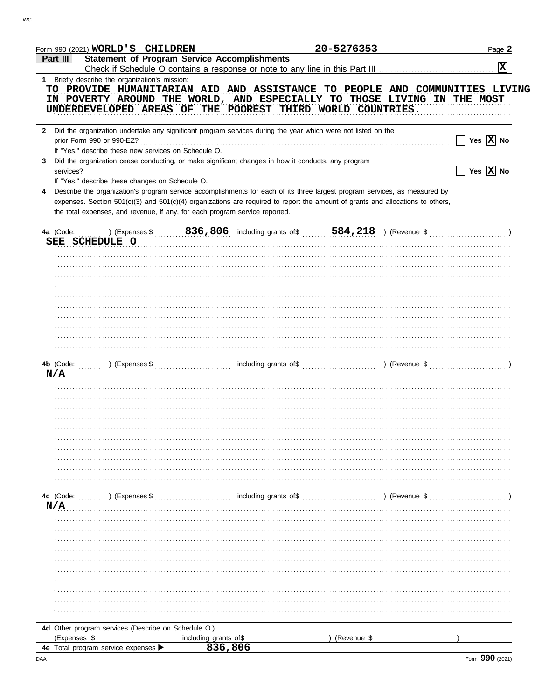| Form 990 (2021) WORLD'S CHILDREN                     |                                                                                                                                                                                                                                                                                                                                             | 20-5276353  | Page 2                                                                      |
|------------------------------------------------------|---------------------------------------------------------------------------------------------------------------------------------------------------------------------------------------------------------------------------------------------------------------------------------------------------------------------------------------------|-------------|-----------------------------------------------------------------------------|
| Part III                                             | <b>Statement of Program Service Accomplishments</b>                                                                                                                                                                                                                                                                                         |             |                                                                             |
|                                                      |                                                                                                                                                                                                                                                                                                                                             |             | $ \mathbf{x} $                                                              |
| 1 Briefly describe the organization's mission:       | IN POVERTY AROUND THE WORLD, AND ESPECIALLY TO THOSE LIVING IN THE MOST<br>UNDERDEVELOPED AREAS OF THE POOREST THIRD WORLD COUNTRIES.                                                                                                                                                                                                       |             | TO PROVIDE HUMANITARIAN AID AND ASSISTANCE TO PEOPLE AND COMMUNITIES LIVING |
| If "Yes," describe these new services on Schedule O. | Did the organization undertake any significant program services during the year which were not listed on the                                                                                                                                                                                                                                |             | $\Box$ Yes $\overline{X}$ No                                                |
| 3                                                    | Did the organization cease conducting, or make significant changes in how it conducts, any program                                                                                                                                                                                                                                          |             | $\Box$ Yes $\overline{X}$ No                                                |
| If "Yes," describe these changes on Schedule O.      | Describe the organization's program service accomplishments for each of its three largest program services, as measured by<br>expenses. Section 501(c)(3) and 501(c)(4) organizations are required to report the amount of grants and allocations to others,<br>the total expenses, and revenue, if any, for each program service reported. |             |                                                                             |
|                                                      |                                                                                                                                                                                                                                                                                                                                             |             |                                                                             |
| SEE SCHEDULE O                                       |                                                                                                                                                                                                                                                                                                                                             |             |                                                                             |
|                                                      |                                                                                                                                                                                                                                                                                                                                             |             |                                                                             |
|                                                      |                                                                                                                                                                                                                                                                                                                                             |             |                                                                             |
|                                                      |                                                                                                                                                                                                                                                                                                                                             |             |                                                                             |
|                                                      |                                                                                                                                                                                                                                                                                                                                             |             |                                                                             |
|                                                      |                                                                                                                                                                                                                                                                                                                                             |             |                                                                             |
|                                                      |                                                                                                                                                                                                                                                                                                                                             |             |                                                                             |
|                                                      |                                                                                                                                                                                                                                                                                                                                             |             |                                                                             |
|                                                      |                                                                                                                                                                                                                                                                                                                                             |             |                                                                             |
| N/A                                                  |                                                                                                                                                                                                                                                                                                                                             |             |                                                                             |
|                                                      |                                                                                                                                                                                                                                                                                                                                             |             |                                                                             |
|                                                      |                                                                                                                                                                                                                                                                                                                                             |             |                                                                             |
|                                                      |                                                                                                                                                                                                                                                                                                                                             |             |                                                                             |
|                                                      |                                                                                                                                                                                                                                                                                                                                             |             |                                                                             |
|                                                      |                                                                                                                                                                                                                                                                                                                                             |             |                                                                             |
|                                                      |                                                                                                                                                                                                                                                                                                                                             |             |                                                                             |
|                                                      |                                                                                                                                                                                                                                                                                                                                             |             |                                                                             |
|                                                      |                                                                                                                                                                                                                                                                                                                                             |             |                                                                             |
|                                                      |                                                                                                                                                                                                                                                                                                                                             |             | $($ Revenue \$                                                              |
| N/A                                                  |                                                                                                                                                                                                                                                                                                                                             |             |                                                                             |
|                                                      |                                                                                                                                                                                                                                                                                                                                             |             |                                                                             |
|                                                      |                                                                                                                                                                                                                                                                                                                                             |             |                                                                             |
|                                                      |                                                                                                                                                                                                                                                                                                                                             |             |                                                                             |
|                                                      |                                                                                                                                                                                                                                                                                                                                             |             |                                                                             |
|                                                      |                                                                                                                                                                                                                                                                                                                                             |             |                                                                             |
|                                                      |                                                                                                                                                                                                                                                                                                                                             |             |                                                                             |
|                                                      |                                                                                                                                                                                                                                                                                                                                             |             |                                                                             |
|                                                      |                                                                                                                                                                                                                                                                                                                                             |             |                                                                             |
|                                                      |                                                                                                                                                                                                                                                                                                                                             |             |                                                                             |
| 4d Other program services (Describe on Schedule O.)  |                                                                                                                                                                                                                                                                                                                                             |             |                                                                             |
| (Expenses \$                                         | including grants of\$                                                                                                                                                                                                                                                                                                                       | (Revenue \$ |                                                                             |
| 4e Total program service expenses >                  | 836,806                                                                                                                                                                                                                                                                                                                                     |             |                                                                             |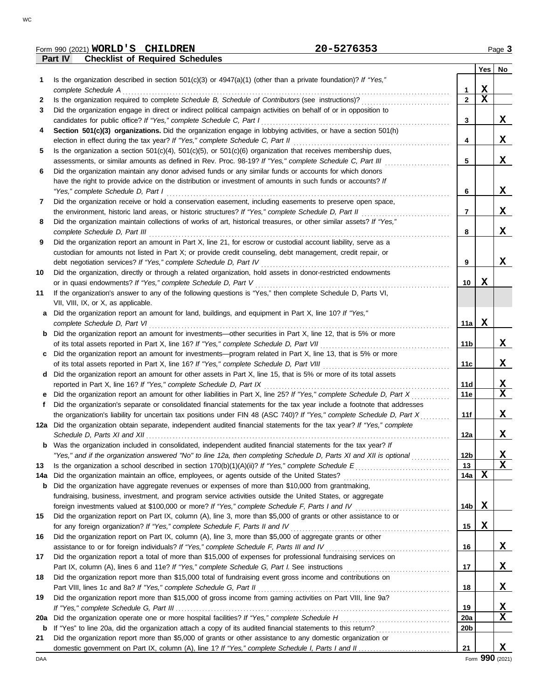|  | ۰<br>٠                |  |
|--|-----------------------|--|
|  |                       |  |
|  | I<br>ł<br>×<br>$\sim$ |  |

|     | Form 990 (2021) WORLD'S CHILDREN<br>20-5276353                                                                          |                         |             | Page 3                  |
|-----|-------------------------------------------------------------------------------------------------------------------------|-------------------------|-------------|-------------------------|
|     | <b>Checklist of Required Schedules</b><br><b>Part IV</b>                                                                |                         |             |                         |
|     |                                                                                                                         |                         | Yes         | No                      |
| 1   | Is the organization described in section $501(c)(3)$ or $4947(a)(1)$ (other than a private foundation)? If "Yes,"       |                         |             |                         |
|     | complete Schedule A                                                                                                     | $\mathbf{1}$            | X           |                         |
| 2   |                                                                                                                         | $\overline{\mathbf{2}}$ | $\mathbf x$ |                         |
| 3   | Did the organization engage in direct or indirect political campaign activities on behalf of or in opposition to        |                         |             |                         |
|     | candidates for public office? If "Yes," complete Schedule C, Part I                                                     | 3                       |             | X                       |
| 4   | Section 501(c)(3) organizations. Did the organization engage in lobbying activities, or have a section 501(h)           |                         |             |                         |
|     |                                                                                                                         | 4                       |             | X                       |
| 5   | Is the organization a section $501(c)(4)$ , $501(c)(5)$ , or $501(c)(6)$ organization that receives membership dues,    |                         |             |                         |
|     |                                                                                                                         | 5                       |             | X                       |
| 6   | Did the organization maintain any donor advised funds or any similar funds or accounts for which donors                 |                         |             |                         |
|     | have the right to provide advice on the distribution or investment of amounts in such funds or accounts? If             |                         |             |                         |
|     | "Yes," complete Schedule D, Part I                                                                                      | 6                       |             | X                       |
| 7   | Did the organization receive or hold a conservation easement, including easements to preserve open space,               |                         |             |                         |
|     | the environment, historic land areas, or historic structures? If "Yes," complete Schedule D, Part II                    | $\overline{7}$          |             | X                       |
| 8   | Did the organization maintain collections of works of art, historical treasures, or other similar assets? If "Yes,"     |                         |             |                         |
|     | complete Schedule D, Part III                                                                                           | 8                       |             | X                       |
| 9   | Did the organization report an amount in Part X, line 21, for escrow or custodial account liability, serve as a         |                         |             |                         |
|     | custodian for amounts not listed in Part X; or provide credit counseling, debt management, credit repair, or            |                         |             |                         |
|     |                                                                                                                         | 9                       |             | X                       |
| 10  | Did the organization, directly or through a related organization, hold assets in donor-restricted endowments            |                         |             |                         |
|     | or in quasi endowments? If "Yes," complete Schedule D, Part V                                                           | 10 <sup>1</sup>         | X           |                         |
| 11  | If the organization's answer to any of the following questions is "Yes," then complete Schedule D, Parts VI,            |                         |             |                         |
|     | VII, VIII, IX, or X, as applicable.                                                                                     |                         |             |                         |
|     | a Did the organization report an amount for land, buildings, and equipment in Part X, line 10? If "Yes,"                |                         |             |                         |
|     | complete Schedule D, Part VI                                                                                            | 11a $\overline{X}$      |             |                         |
|     | <b>b</b> Did the organization report an amount for investments—other securities in Part X, line 12, that is 5% or more  |                         |             |                         |
|     |                                                                                                                         | 11 <sub>b</sub>         |             | X                       |
| C   | Did the organization report an amount for investments—program related in Part X, line 13, that is 5% or more            |                         |             |                         |
|     |                                                                                                                         | 11c                     |             | X                       |
| d   | Did the organization report an amount for other assets in Part X, line 15, that is 5% or more of its total assets       |                         |             |                         |
|     |                                                                                                                         | 11d                     |             | <u>x</u>                |
| е   | Did the organization report an amount for other liabilities in Part X, line 25? If "Yes," complete Schedule D, Part X   | 11e                     |             | $\overline{\mathbf{x}}$ |
|     | Did the organization's separate or consolidated financial statements for the tax year include a footnote that addresses |                         |             |                         |
|     | the organization's liability for uncertain tax positions under FIN 48 (ASC 740)? If "Yes," complete Schedule D, Part X  | 11f                     |             | X                       |
|     | 12a Did the organization obtain separate, independent audited financial statements for the tax year? If "Yes," complete |                         |             |                         |
|     |                                                                                                                         | 12a                     |             | X                       |
| b   | Was the organization included in consolidated, independent audited financial statements for the tax year? If            |                         |             |                         |
|     | "Yes," and if the organization answered "No" to line 12a, then completing Schedule D, Parts XI and XII is optional      | 12 <sub>b</sub>         |             | <u>x</u>                |
| 13  |                                                                                                                         | 13                      |             | $\overline{\mathbf{x}}$ |
| 14a |                                                                                                                         | 14a                     | X           |                         |
| b   | Did the organization have aggregate revenues or expenses of more than \$10,000 from grantmaking,                        |                         |             |                         |
|     | fundraising, business, investment, and program service activities outside the United States, or aggregate               |                         |             |                         |
|     |                                                                                                                         | 14b                     | X           |                         |
| 15  | Did the organization report on Part IX, column (A), line 3, more than \$5,000 of grants or other assistance to or       |                         |             |                         |
|     | for any foreign organization? If "Yes," complete Schedule F, Parts II and IV                                            | 15                      | X           |                         |
| 16  | Did the organization report on Part IX, column (A), line 3, more than \$5,000 of aggregate grants or other              |                         |             |                         |
|     |                                                                                                                         | 16                      |             | X                       |
| 17  | Did the organization report a total of more than \$15,000 of expenses for professional fundraising services on          |                         |             |                         |
|     |                                                                                                                         | 17                      |             | X                       |
| 18  | Did the organization report more than \$15,000 total of fundraising event gross income and contributions on             |                         |             |                         |
|     | Part VIII, lines 1c and 8a? If "Yes," complete Schedule G, Part II                                                      | 18                      |             | $\mathbf x$             |
| 19  | Did the organization report more than \$15,000 of gross income from gaming activities on Part VIII, line 9a?            |                         |             |                         |
|     |                                                                                                                         | 19                      |             | <u>x</u>                |
| 20a | Did the organization operate one or more hospital facilities? If "Yes," complete Schedule H                             | 20a                     |             | $\overline{\mathbf{x}}$ |
| b   |                                                                                                                         | 20 <sub>b</sub>         |             |                         |
| 21  | Did the organization report more than \$5,000 of grants or other assistance to any domestic organization or             |                         |             |                         |

domestic government on Part IX, column (A), line 1? If "Yes," complete Schedule I, Parts I and II.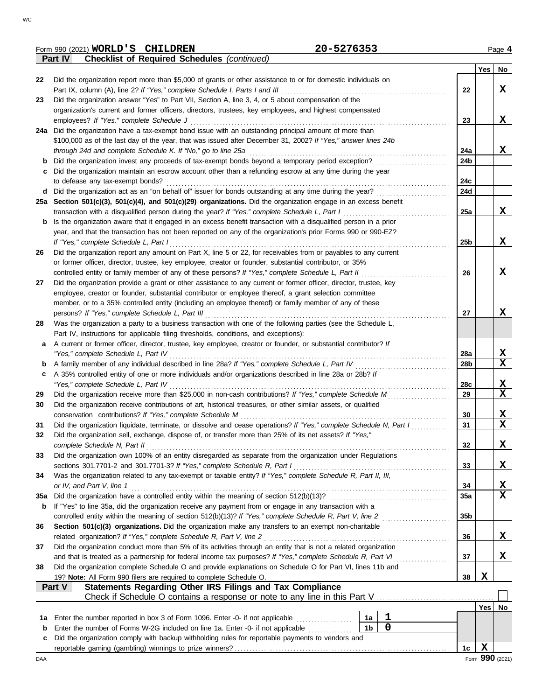|     | 20-5276353<br>Form 990 (2021) WORLD'S CHILDREN                                                                     |                 |                  | Page 4 |
|-----|--------------------------------------------------------------------------------------------------------------------|-----------------|------------------|--------|
|     | <b>Checklist of Required Schedules (continued)</b><br>Part IV                                                      |                 |                  |        |
|     |                                                                                                                    |                 | $Yes \mid No$    |        |
| 22  | Did the organization report more than \$5,000 of grants or other assistance to or for domestic individuals on      |                 |                  |        |
|     | Part IX, column (A), line 2? If "Yes," complete Schedule I, Parts I and III                                        | 22              |                  | X      |
| 23  | Did the organization answer "Yes" to Part VII, Section A, line 3, 4, or 5 about compensation of the                |                 |                  |        |
|     | organization's current and former officers, directors, trustees, key employees, and highest compensated            |                 |                  |        |
|     | employees? If "Yes," complete Schedule J                                                                           | 23              |                  | X      |
|     | 24a Did the organization have a tax-exempt bond issue with an outstanding principal amount of more than            |                 |                  |        |
|     | \$100,000 as of the last day of the year, that was issued after December 31, 2002? If "Yes," answer lines 24b      |                 |                  |        |
|     | through 24d and complete Schedule K. If "No," go to line 25a                                                       | 24a             |                  | X      |
| b   | Did the organization invest any proceeds of tax-exempt bonds beyond a temporary period exception?                  | 24b             |                  |        |
|     | c Did the organization maintain an escrow account other than a refunding escrow at any time during the year        |                 |                  |        |
|     | to defease any tax-exempt bonds?                                                                                   | 24c             |                  |        |
|     | d Did the organization act as an "on behalf of" issuer for bonds outstanding at any time during the year?          | 24d             |                  |        |
|     | 25a Section 501(c)(3), 501(c)(4), and 501(c)(29) organizations. Did the organization engage in an excess benefit   |                 |                  |        |
|     | transaction with a disqualified person during the year? If "Yes," complete Schedule L, Part I                      | 25a             |                  | X      |
| b   | Is the organization aware that it engaged in an excess benefit transaction with a disqualified person in a prior   |                 |                  |        |
|     | year, and that the transaction has not been reported on any of the organization's prior Forms 990 or 990-EZ?       |                 |                  |        |
|     | If "Yes," complete Schedule L, Part I                                                                              | 25 <sub>b</sub> |                  | X      |
| 26  | Did the organization report any amount on Part X, line 5 or 22, for receivables from or payables to any current    |                 |                  |        |
|     | or former officer, director, trustee, key employee, creator or founder, substantial contributor, or 35%            |                 |                  |        |
|     | controlled entity or family member of any of these persons? If "Yes," complete Schedule L, Part II                 | 26              |                  | X      |
| 27  | Did the organization provide a grant or other assistance to any current or former officer, director, trustee, key  |                 |                  |        |
|     | employee, creator or founder, substantial contributor or employee thereof, a grant selection committee             |                 |                  |        |
|     | member, or to a 35% controlled entity (including an employee thereof) or family member of any of these             |                 |                  |        |
|     | persons? If "Yes," complete Schedule L, Part III                                                                   | 27              |                  | X      |
| 28  | Was the organization a party to a business transaction with one of the following parties (see the Schedule L,      |                 |                  |        |
|     | Part IV, instructions for applicable filing thresholds, conditions, and exceptions):                               |                 |                  |        |
| a   | A current or former officer, director, trustee, key employee, creator or founder, or substantial contributor? If   |                 |                  |        |
|     | "Yes," complete Schedule L, Part IV                                                                                | 28a             |                  | X      |
| b   |                                                                                                                    | 28b             |                  | X      |
| c   | A 35% controlled entity of one or more individuals and/or organizations described in line 28a or 28b? If           |                 |                  |        |
|     | "Yes," complete Schedule L, Part IV                                                                                | 28c             |                  | X      |
| 29  | Did the organization receive more than \$25,000 in non-cash contributions? If "Yes," complete Schedule M           | 29              |                  | X      |
| 30  | Did the organization receive contributions of art, historical treasures, or other similar assets, or qualified     |                 |                  |        |
|     | conservation contributions? If "Yes," complete Schedule M                                                          | 30              |                  | X<br>X |
| 31  | Did the organization liquidate, terminate, or dissolve and cease operations? If "Yes," complete Schedule N, Part I | 31              |                  |        |
| 32  | Did the organization sell, exchange, dispose of, or transfer more than 25% of its net assets? If "Yes,"            |                 |                  |        |
|     | complete Schedule N, Part II                                                                                       | 32              |                  | X      |
| 33  | Did the organization own 100% of an entity disregarded as separate from the organization under Regulations         |                 |                  |        |
|     | sections 301.7701-2 and 301.7701-3? If "Yes," complete Schedule R, Part I                                          | 33              |                  | X      |
| 34  | Was the organization related to any tax-exempt or taxable entity? If "Yes," complete Schedule R, Part II, III,     |                 |                  |        |
|     | or IV, and Part V, line 1                                                                                          | 34              |                  | X      |
| 35a | Did the organization have a controlled entity within the meaning of section 512(b)(13)?                            | 35a             |                  | X      |
| b   | If "Yes" to line 35a, did the organization receive any payment from or engage in any transaction with a            |                 |                  |        |
|     | controlled entity within the meaning of section 512(b)(13)? If "Yes," complete Schedule R, Part V, line 2          | 35 <sub>b</sub> |                  |        |
| 36  | Section 501(c)(3) organizations. Did the organization make any transfers to an exempt non-charitable               |                 |                  |        |
|     | related organization? If "Yes," complete Schedule R, Part V, line 2                                                | 36              |                  | X      |
| 37  | Did the organization conduct more than 5% of its activities through an entity that is not a related organization   |                 |                  |        |
|     | and that is treated as a partnership for federal income tax purposes? If "Yes," complete Schedule R, Part VI       | 37              |                  | X      |
| 38  | Did the organization complete Schedule O and provide explanations on Schedule O for Part VI, lines 11b and         |                 |                  |        |
|     | 19? Note: All Form 990 filers are required to complete Schedule O.                                                 | 38              | $\mathbf x$      |        |
|     | Statements Regarding Other IRS Filings and Tax Compliance<br>Part V                                                |                 |                  |        |
|     |                                                                                                                    |                 |                  |        |
|     |                                                                                                                    |                 | Yes <sub>l</sub> | No     |
| 1а  | 1<br>Enter the number reported in box 3 of Form 1096. Enter -0- if not applicable<br>1a<br>$\mathbf 0$             |                 |                  |        |
| b   | 1 <sub>b</sub><br>Enter the number of Forms W-2G included on line 1a. Enter -0- if not applicable                  |                 |                  |        |
| c   | Did the organization comply with backup withholding rules for reportable payments to vendors and                   |                 |                  |        |
|     |                                                                                                                    | 1c              | X                |        |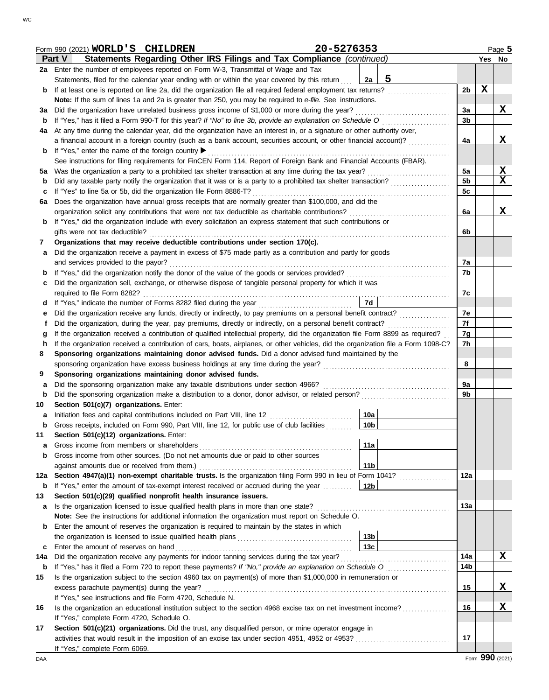|     | Form 990 (2021) WORLD'S CHILDREN                                                                                                                                                          | 20-5276353 |                 |   |                |             | Page 5          |  |  |  |  |
|-----|-------------------------------------------------------------------------------------------------------------------------------------------------------------------------------------------|------------|-----------------|---|----------------|-------------|-----------------|--|--|--|--|
|     | Statements Regarding Other IRS Filings and Tax Compliance (continued)<br>Part V                                                                                                           |            |                 |   |                |             | Yes No          |  |  |  |  |
|     | 2a Enter the number of employees reported on Form W-3, Transmittal of Wage and Tax                                                                                                        |            |                 |   |                |             |                 |  |  |  |  |
|     | Statements, filed for the calendar year ending with or within the year covered by this return                                                                                             |            | 2a              | 5 |                |             |                 |  |  |  |  |
| b   | If at least one is reported on line 2a, did the organization file all required federal employment tax returns?                                                                            |            |                 |   | 2 <sub>b</sub> | $\mathbf X$ |                 |  |  |  |  |
|     | Note: If the sum of lines 1a and 2a is greater than 250, you may be required to e-file. See instructions.                                                                                 |            |                 |   |                |             |                 |  |  |  |  |
| За  | Did the organization have unrelated business gross income of \$1,000 or more during the year?                                                                                             |            |                 |   | 3a             |             | X               |  |  |  |  |
| b   | If "Yes," has it filed a Form 990-T for this year? If "No" to line 3b, provide an explanation on Schedule O                                                                               |            |                 |   | 3b             |             |                 |  |  |  |  |
| 4a  | At any time during the calendar year, did the organization have an interest in, or a signature or other authority over,                                                                   |            |                 |   |                |             |                 |  |  |  |  |
|     | a financial account in a foreign country (such as a bank account, securities account, or other financial account)?                                                                        |            |                 |   | 4a             |             | X               |  |  |  |  |
| b   | If "Yes," enter the name of the foreign country ▶                                                                                                                                         |            |                 |   |                |             |                 |  |  |  |  |
|     | See instructions for filing requirements for FinCEN Form 114, Report of Foreign Bank and Financial Accounts (FBAR).                                                                       |            |                 |   |                |             |                 |  |  |  |  |
| 5а  | Was the organization a party to a prohibited tax shelter transaction at any time during the tax year?                                                                                     |            |                 |   | 5a             |             | $\mathbf x$     |  |  |  |  |
| b   | Did any taxable party notify the organization that it was or is a party to a prohibited tax shelter transaction?                                                                          |            |                 |   | 5 <sub>b</sub> |             | $\mathbf x$     |  |  |  |  |
|     | If "Yes" to line 5a or 5b, did the organization file Form 8886-T?<br>с                                                                                                                    |            |                 |   |                |             |                 |  |  |  |  |
| 6а  | Does the organization have annual gross receipts that are normally greater than \$100,000, and did the                                                                                    |            |                 |   | 5c             |             |                 |  |  |  |  |
|     | organization solicit any contributions that were not tax deductible as charitable contributions?                                                                                          |            |                 |   | 6a             |             | X               |  |  |  |  |
| b   | If "Yes," did the organization include with every solicitation an express statement that such contributions or                                                                            |            |                 |   |                |             |                 |  |  |  |  |
|     | gifts were not tax deductible?                                                                                                                                                            |            |                 |   | 6b             |             |                 |  |  |  |  |
| 7   | Organizations that may receive deductible contributions under section 170(c).                                                                                                             |            |                 |   |                |             |                 |  |  |  |  |
|     | Did the organization receive a payment in excess of \$75 made partly as a contribution and partly for goods                                                                               |            |                 |   |                |             |                 |  |  |  |  |
| a   | and services provided to the payor?                                                                                                                                                       |            |                 |   | 7a             |             |                 |  |  |  |  |
|     |                                                                                                                                                                                           |            |                 |   | 7b             |             |                 |  |  |  |  |
| b   | Did the organization sell, exchange, or otherwise dispose of tangible personal property for which it was                                                                                  |            |                 |   |                |             |                 |  |  |  |  |
| с   |                                                                                                                                                                                           |            |                 |   | 7c             |             |                 |  |  |  |  |
|     |                                                                                                                                                                                           |            | 7d              |   |                |             |                 |  |  |  |  |
| d   | If "Yes," indicate the number of Forms 8282 filed during the year                                                                                                                         |            |                 |   | 7e             |             |                 |  |  |  |  |
| е   |                                                                                                                                                                                           |            |                 |   | 7f             |             |                 |  |  |  |  |
| t   | Did the organization, during the year, pay premiums, directly or indirectly, on a personal benefit contract?                                                                              |            |                 |   |                |             |                 |  |  |  |  |
| g   | If the organization received a contribution of qualified intellectual property, did the organization file Form 8899 as required?                                                          |            |                 |   | 7g             |             |                 |  |  |  |  |
| h.  | If the organization received a contribution of cars, boats, airplanes, or other vehicles, did the organization file a Form 1098-C?                                                        |            |                 |   | 7h             |             |                 |  |  |  |  |
| 8   | Sponsoring organizations maintaining donor advised funds. Did a donor advised fund maintained by the                                                                                      |            |                 |   | 8              |             |                 |  |  |  |  |
|     |                                                                                                                                                                                           |            |                 |   |                |             |                 |  |  |  |  |
| 9   | Sponsoring organizations maintaining donor advised funds.                                                                                                                                 |            |                 |   |                |             |                 |  |  |  |  |
| a   | Did the sponsoring organization make any taxable distributions under section 4966?                                                                                                        |            |                 |   | 9a             |             |                 |  |  |  |  |
| b   | Did the sponsoring organization make a distribution to a donor, donor advisor, or related person?                                                                                         |            |                 |   | 9b             |             |                 |  |  |  |  |
| 10  | Section 501(c)(7) organizations. Enter:                                                                                                                                                   |            |                 |   |                |             |                 |  |  |  |  |
| а   |                                                                                                                                                                                           |            | 10a             |   |                |             |                 |  |  |  |  |
|     | Gross receipts, included on Form 990, Part VIII, line 12, for public use of club facilities                                                                                               |            | 10b             |   |                |             |                 |  |  |  |  |
| 11  | Section 501(c)(12) organizations. Enter:                                                                                                                                                  |            |                 |   |                |             |                 |  |  |  |  |
| a   | Gross income from members or shareholders                                                                                                                                                 |            | 11a             |   |                |             |                 |  |  |  |  |
| b   | Gross income from other sources. (Do not net amounts due or paid to other sources                                                                                                         |            |                 |   |                |             |                 |  |  |  |  |
|     |                                                                                                                                                                                           |            | 11 <sub>b</sub> |   |                |             |                 |  |  |  |  |
| 12a | Section 4947(a)(1) non-exempt charitable trusts. Is the organization filing Form 990 in lieu of Form 1041?                                                                                |            |                 |   | 12a            |             |                 |  |  |  |  |
| b   | If "Yes," enter the amount of tax-exempt interest received or accrued during the year                                                                                                     |            | 12 <sub>b</sub> |   |                |             |                 |  |  |  |  |
| 13  | Section 501(c)(29) qualified nonprofit health insurance issuers.                                                                                                                          |            |                 |   | 13а            |             |                 |  |  |  |  |
| а   | Is the organization licensed to issue qualified health plans in more than one state?<br>Note: See the instructions for additional information the organization must report on Schedule O. |            |                 |   |                |             |                 |  |  |  |  |
|     |                                                                                                                                                                                           |            |                 |   |                |             |                 |  |  |  |  |
| b   | Enter the amount of reserves the organization is required to maintain by the states in which                                                                                              |            | 13 <sub>b</sub> |   |                |             |                 |  |  |  |  |
|     |                                                                                                                                                                                           |            | 13 <sub>c</sub> |   |                |             |                 |  |  |  |  |
| c   | Enter the amount of reserves on hand                                                                                                                                                      |            |                 |   | 14a            |             | X               |  |  |  |  |
| 14a | Did the organization receive any payments for indoor tanning services during the tax year?                                                                                                |            |                 |   | 14b            |             |                 |  |  |  |  |
| b   | If "Yes," has it filed a Form 720 to report these payments? If "No," provide an explanation on Schedule O                                                                                 |            |                 |   |                |             |                 |  |  |  |  |
| 15  | Is the organization subject to the section 4960 tax on payment(s) of more than \$1,000,000 in remuneration or                                                                             |            |                 |   |                |             |                 |  |  |  |  |
|     | excess parachute payment(s) during the year?                                                                                                                                              |            |                 |   | 15             |             | X               |  |  |  |  |
|     | If "Yes," see instructions and file Form 4720, Schedule N.                                                                                                                                |            |                 |   |                |             |                 |  |  |  |  |
| 16  | Is the organization an educational institution subject to the section 4968 excise tax on net investment income?                                                                           |            |                 |   | 16             |             | X               |  |  |  |  |
|     | If "Yes," complete Form 4720, Schedule O.                                                                                                                                                 |            |                 |   |                |             |                 |  |  |  |  |
| 17  | Section 501(c)(21) organizations. Did the trust, any disqualified person, or mine operator engage in                                                                                      |            |                 |   |                |             |                 |  |  |  |  |
|     |                                                                                                                                                                                           |            |                 |   | 17             |             |                 |  |  |  |  |
|     | If "Yes," complete Form 6069.                                                                                                                                                             |            |                 |   |                |             | Form 990 (2021) |  |  |  |  |
| DAA |                                                                                                                                                                                           |            |                 |   |                |             |                 |  |  |  |  |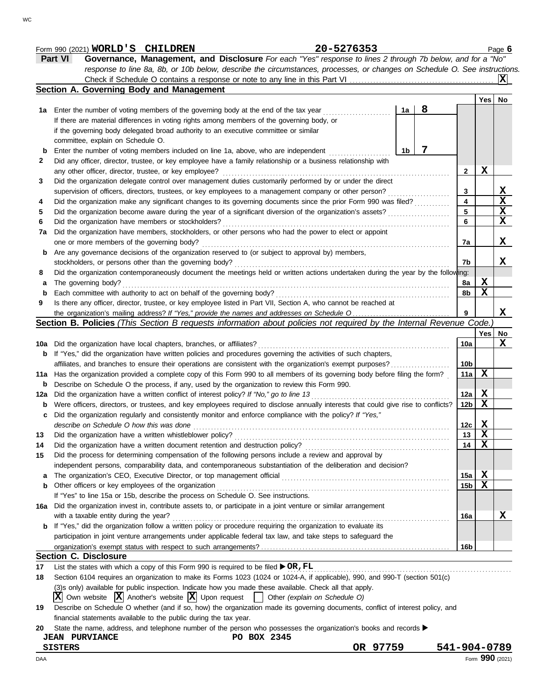|     | 20-5276353<br>Form 990 (2021) WORLD'S CHILDREN                                                                                       |                 |             | Page 6 |
|-----|--------------------------------------------------------------------------------------------------------------------------------------|-----------------|-------------|--------|
|     | Part VI<br>Governance, Management, and Disclosure For each "Yes" response to lines 2 through 7b below, and for a "No"                |                 |             |        |
|     | response to line 8a, 8b, or 10b below, describe the circumstances, processes, or changes on Schedule O. See instructions.            |                 |             |        |
|     |                                                                                                                                      |                 |             |        |
|     | Section A. Governing Body and Management                                                                                             |                 |             |        |
|     |                                                                                                                                      |                 | Yes   No    |        |
| 1a  | 8<br>1a<br>Enter the number of voting members of the governing body at the end of the tax year                                       |                 |             |        |
|     | If there are material differences in voting rights among members of the governing body, or                                           |                 |             |        |
|     |                                                                                                                                      |                 |             |        |
|     | if the governing body delegated broad authority to an executive committee or similar                                                 |                 |             |        |
|     | committee, explain on Schedule O.                                                                                                    |                 |             |        |
| b   | 7<br>1b<br>Enter the number of voting members included on line 1a, above, who are independent                                        |                 |             |        |
| 2   | Did any officer, director, trustee, or key employee have a family relationship or a business relationship with                       |                 |             |        |
|     | any other officer, director, trustee, or key employee?                                                                               | 2               | $\mathbf x$ |        |
| 3   | Did the organization delegate control over management duties customarily performed by or under the direct                            |                 |             |        |
|     | supervision of officers, directors, trustees, or key employees to a management company or other person?                              | 3               |             | X      |
| 4   | Did the organization make any significant changes to its governing documents since the prior Form 990 was filed?                     | 4               |             | X      |
| 5   | Did the organization become aware during the year of a significant diversion of the organization's assets?                           | 5               |             | X      |
| 6   | Did the organization have members or stockholders?                                                                                   | 6               |             | X      |
| 7a  | Did the organization have members, stockholders, or other persons who had the power to elect or appoint                              |                 |             |        |
|     | one or more members of the governing body?                                                                                           | 7a              |             | X      |
| b   | Are any governance decisions of the organization reserved to (or subject to approval by) members,                                    |                 |             |        |
|     | stockholders, or persons other than the governing body?                                                                              | 7b              |             | X      |
|     | Did the organization contemporaneously document the meetings held or written actions undertaken during the year by the following:    |                 |             |        |
| 8   |                                                                                                                                      |                 |             |        |
| а   | The governing body?                                                                                                                  | 8a              | X           |        |
| b   | Each committee with authority to act on behalf of the governing body?                                                                | 8b              | X           |        |
| 9   | Is there any officer, director, trustee, or key employee listed in Part VII, Section A, who cannot be reached at                     |                 |             |        |
|     |                                                                                                                                      | 9               |             | X      |
|     | Section B. Policies (This Section B requests information about policies not required by the Internal Revenue Code.)                  |                 |             |        |
|     |                                                                                                                                      |                 | Yes         | No     |
|     | 10a Did the organization have local chapters, branches, or affiliates?                                                               | 10a             |             | X      |
| b   | If "Yes," did the organization have written policies and procedures governing the activities of such chapters,                       |                 |             |        |
|     | affiliates, and branches to ensure their operations are consistent with the organization's exempt purposes?                          | 10 <sub>b</sub> |             |        |
| 11a | Has the organization provided a complete copy of this Form 990 to all members of its governing body before filing the form?          | 11a             | X           |        |
| b   | Describe on Schedule O the process, if any, used by the organization to review this Form 990.                                        |                 |             |        |
| 12a | Did the organization have a written conflict of interest policy? If "No," go to line 13                                              | 12a             | X           |        |
| b   | Were officers, directors, or trustees, and key employees required to disclose annually interests that could give rise to conflicts?  | 12b             | X           |        |
|     | Did the organization regularly and consistently monitor and enforce compliance with the policy? If "Yes,"                            |                 |             |        |
|     |                                                                                                                                      | 12c             | X           |        |
|     | describe on Schedule O how this was done                                                                                             |                 |             |        |
| 13  | Did the organization have a written whistleblower policy?                                                                            | 13              | X           |        |
| 14  | Did the organization have a written document retention and destruction policy?                                                       | 14              | X           |        |
| 15  | Did the process for determining compensation of the following persons include a review and approval by                               |                 |             |        |
|     | independent persons, comparability data, and contemporaneous substantiation of the deliberation and decision?                        |                 |             |        |
| a   |                                                                                                                                      | 15a             | X           |        |
| b   | Other officers or key employees of the organization                                                                                  | 15 <sub>b</sub> | X           |        |
|     | If "Yes" to line 15a or 15b, describe the process on Schedule O. See instructions.                                                   |                 |             |        |
| 16a | Did the organization invest in, contribute assets to, or participate in a joint venture or similar arrangement                       |                 |             |        |
|     | with a taxable entity during the year?                                                                                               | 16a             |             | X      |
| b   | If "Yes," did the organization follow a written policy or procedure requiring the organization to evaluate its                       |                 |             |        |
|     | participation in joint venture arrangements under applicable federal tax law, and take steps to safeguard the                        |                 |             |        |
|     |                                                                                                                                      | 16b             |             |        |
|     | <b>Section C. Disclosure</b>                                                                                                         |                 |             |        |
| 17  | List the states with which a copy of this Form 990 is required to be filed $\triangleright$ OR, FL                                   |                 |             |        |
|     |                                                                                                                                      |                 |             |        |
| 18  | Section 6104 requires an organization to make its Forms 1023 (1024 or 1024-A, if applicable), 990, and 990-T (section 501(c)         |                 |             |        |
|     | (3)s only) available for public inspection. Indicate how you made these available. Check all that apply.                             |                 |             |        |
|     | $ \mathbf{X} $ Own website $ \mathbf{X} $ Another's website $ \mathbf{X} $ Upon request $ \cdot $ Other (explain on Schedule O)      |                 |             |        |
| 19  | Describe on Schedule O whether (and if so, how) the organization made its governing documents, conflict of interest policy, and      |                 |             |        |
|     | financial statements available to the public during the tax year.                                                                    |                 |             |        |
| 20  | State the name, address, and telephone number of the person who possesses the organization's books and records $\blacktriangleright$ |                 |             |        |
|     | PO BOX 2345<br><b>JEAN PURVIANCE</b>                                                                                                 |                 |             |        |
|     | OR 97759<br>541-904-0789<br><b>SISTERS</b>                                                                                           |                 |             |        |

DAA Form **990** (2021)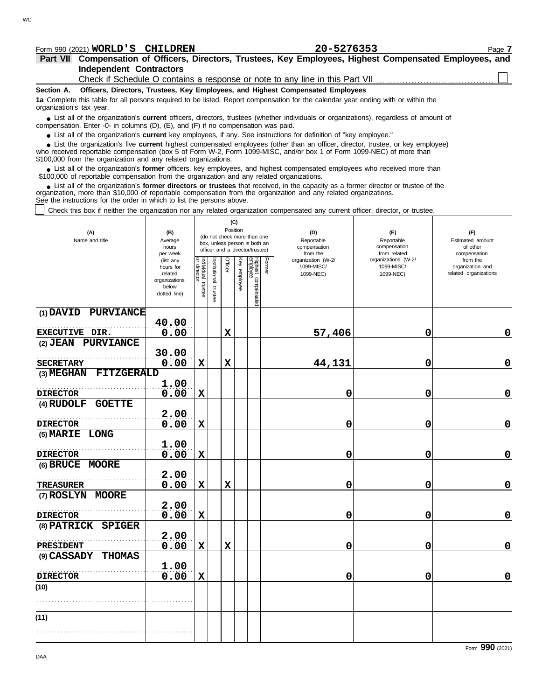# **Part VII Compensation of Officers, Directors, Trustees, Key Employees, Highest Compensated Employees, and** Form 990 (2021) Page **7 WORLD'S CHILDREN 20-5276353**

### **Independent Contractors**

Check if Schedule O contains a response or note to any line in this Part VII.

**Section A. Officers, Directors, Trustees, Key Employees, and Highest Compensated Employees**

**1a** Complete this table for all persons required to be listed. Report compensation for the calendar year ending with or within the organization's tax year.

■ List all of the organization's **current** officers, directors, trustees (whether individuals or organizations), regardless of amount of the organization Enter -0- in columns (D), (E), and (E) if no compensation was paid compensation. Enter -0- in columns (D), (E), and (F) if no compensation was paid.

● List all of the organization's **current** key employees, if any. See instructions for definition of "key employee."

who received reportable compensation (box 5 of Form W-2, Form 1099-MISC, and/or box 1 of Form 1099-NEC) of more than \$100,000 from the organization and any related organizations. ■ List the organization's five **current** highest compensated employees (other than an officer, director, trustee, or key employee)<br> **•** received reportable compensation (box 5 of Form W-2, Form 1000-MISC, and/or box 1 of

■ List all of the organization's **former** officers, key employees, and highest compensated employees who received more than<br>00,000 of reportable compensation from the organization and any related organizations \$100,000 of reportable compensation from the organization and any related organizations.

■ List all of the organization's **former directors or trustees** that received, in the capacity as a former director or trustee of the<br>enization, more than \$10,000 of reportable compensation from the organization and any r organization, more than \$10,000 of reportable compensation from the organization and any related organizations. See the instructions for the order in which to list the persons above.

Check this box if neither the organization nor any related organization compensated any current officer, director, or trustee.

| (A)<br>Name and title        | (B)<br>Average<br>hours<br>per week                                         | (C)<br>Position<br>(do not check more than one<br>box, unless person is both an<br>officer and a director/trustee) |                         |                |              |                                 |        | (D)<br>Reportable<br>compensation<br>from the | (E)<br>Reportable<br>compensation<br>from related | (F)<br>Estimated amount<br>of other<br>compensation   |  |
|------------------------------|-----------------------------------------------------------------------------|--------------------------------------------------------------------------------------------------------------------|-------------------------|----------------|--------------|---------------------------------|--------|-----------------------------------------------|---------------------------------------------------|-------------------------------------------------------|--|
|                              | (list any<br>hours for<br>related<br>organizations<br>below<br>dotted line) | Individual trustee<br>or director                                                                                  | nstitutional<br>trustee | <b>Officer</b> | Key employee | Highest compensated<br>employee | Former | organization (W-2/<br>1099-MISC/<br>1099-NEC) | organizations (W-2/<br>1099-MISC/<br>1099-NEC)    | from the<br>organization and<br>related organizations |  |
| (1) DAVID PURVIANCE          |                                                                             |                                                                                                                    |                         |                |              |                                 |        |                                               |                                                   |                                                       |  |
| EXECUTIVE DIR.               | 40.00<br>0.00                                                               |                                                                                                                    |                         | $\mathbf x$    |              |                                 |        | 57,406                                        | 0                                                 | 0                                                     |  |
| (2) JEAN PURVIANCE           |                                                                             |                                                                                                                    |                         |                |              |                                 |        |                                               |                                                   |                                                       |  |
|                              | 30.00                                                                       |                                                                                                                    |                         |                |              |                                 |        |                                               |                                                   |                                                       |  |
| <b>SECRETARY</b>             | 0.00                                                                        | $\mathbf X$                                                                                                        |                         | $\mathbf x$    |              |                                 |        | 44,131                                        | 0                                                 | $\mathbf 0$                                           |  |
| (3) MEGHAN<br>FITZGERALD     |                                                                             |                                                                                                                    |                         |                |              |                                 |        |                                               |                                                   |                                                       |  |
| <b>DIRECTOR</b>              | 1.00<br>0.00                                                                | $\mathbf x$                                                                                                        |                         |                |              |                                 |        | 0                                             | 0                                                 | $\mathbf 0$                                           |  |
| (4) RUDOLF<br><b>GOETTE</b>  |                                                                             |                                                                                                                    |                         |                |              |                                 |        |                                               |                                                   |                                                       |  |
|                              | 2.00                                                                        |                                                                                                                    |                         |                |              |                                 |        |                                               |                                                   |                                                       |  |
| <b>DIRECTOR</b>              | 0.00                                                                        | $\mathbf x$                                                                                                        |                         |                |              |                                 |        | 0                                             | 0                                                 | 0                                                     |  |
| (5) MARIE LONG               |                                                                             |                                                                                                                    |                         |                |              |                                 |        |                                               |                                                   |                                                       |  |
| <b>DIRECTOR</b>              | 1.00<br>0.00                                                                | $\mathbf x$                                                                                                        |                         |                |              |                                 |        | 0                                             | 0                                                 | $\mathbf 0$                                           |  |
| (6) BRUCE MOORE              |                                                                             |                                                                                                                    |                         |                |              |                                 |        |                                               |                                                   |                                                       |  |
|                              | 2.00                                                                        |                                                                                                                    |                         |                |              |                                 |        |                                               |                                                   |                                                       |  |
| <b>TREASURER</b>             | 0.00                                                                        | $\mathbf x$                                                                                                        |                         | X              |              |                                 |        | 0                                             | 0                                                 | $\mathbf 0$                                           |  |
| (7) ROSLYN MOORE             |                                                                             |                                                                                                                    |                         |                |              |                                 |        |                                               |                                                   |                                                       |  |
|                              | 2.00                                                                        |                                                                                                                    |                         |                |              |                                 |        |                                               |                                                   |                                                       |  |
| <b>DIRECTOR</b>              | 0.00                                                                        | $\mathbf x$                                                                                                        |                         |                |              |                                 |        | 0                                             | 0                                                 | $\mathbf 0$                                           |  |
| (8) PATRICK SPIGER           | 2.00                                                                        |                                                                                                                    |                         |                |              |                                 |        |                                               |                                                   |                                                       |  |
| <b>PRESIDENT</b>             | 0.00                                                                        | $\mathbf x$                                                                                                        |                         | $\mathbf x$    |              |                                 |        | 0                                             | 0                                                 | $\mathbf 0$                                           |  |
| (9) CASSADY<br><b>THOMAS</b> |                                                                             |                                                                                                                    |                         |                |              |                                 |        |                                               |                                                   |                                                       |  |
|                              | 1.00                                                                        |                                                                                                                    |                         |                |              |                                 |        |                                               |                                                   |                                                       |  |
| <b>DIRECTOR</b>              | 0.00                                                                        | $\mathbf x$                                                                                                        |                         |                |              |                                 |        | 0                                             | 0                                                 | $\mathbf 0$                                           |  |
| (10)                         |                                                                             |                                                                                                                    |                         |                |              |                                 |        |                                               |                                                   |                                                       |  |
|                              |                                                                             |                                                                                                                    |                         |                |              |                                 |        |                                               |                                                   |                                                       |  |
| (11)                         |                                                                             |                                                                                                                    |                         |                |              |                                 |        |                                               |                                                   |                                                       |  |
|                              |                                                                             |                                                                                                                    |                         |                |              |                                 |        |                                               |                                                   |                                                       |  |
|                              |                                                                             |                                                                                                                    |                         |                |              |                                 |        |                                               |                                                   |                                                       |  |

DAA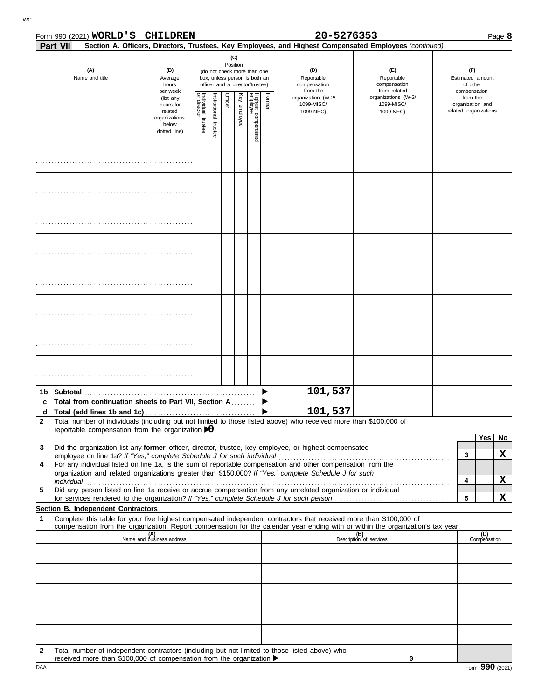|              |          | Form 990 (2021) <b>WORLD'S</b>                                                                                                                                  |  | <b>CHILDREN</b>                                                             |                                   |                          |         |              |                                               |                                                   | 20-5276353                                                                                                                                                                                                           |                                                                                                                                  |                                                       | Page 8              |
|--------------|----------|-----------------------------------------------------------------------------------------------------------------------------------------------------------------|--|-----------------------------------------------------------------------------|-----------------------------------|--------------------------|---------|--------------|-----------------------------------------------|---------------------------------------------------|----------------------------------------------------------------------------------------------------------------------------------------------------------------------------------------------------------------------|----------------------------------------------------------------------------------------------------------------------------------|-------------------------------------------------------|---------------------|
|              | Part VII |                                                                                                                                                                 |  |                                                                             |                                   |                          |         |              |                                               |                                                   |                                                                                                                                                                                                                      | Section A. Officers, Directors, Trustees, Key Employees, and Highest Compensated Employees (continued)                           |                                                       |                     |
|              |          | (A)<br>(B)<br>(do not check more than one<br>Name and title<br>box, unless person is both an<br>Average<br>hours<br>officer and a director/trustee)<br>per week |  |                                                                             |                                   | (C)<br>Position          |         |              | (D)<br>Reportable<br>compensation<br>from the | (F)<br>Reportable<br>compensation<br>from related | (F)<br>Estimated amount<br>of other<br>compensation                                                                                                                                                                  |                                                                                                                                  |                                                       |                     |
|              |          |                                                                                                                                                                 |  | (list any<br>hours for<br>related<br>organizations<br>below<br>dotted line) | Individual trustee<br>or director | Institutional<br>trustee | Officer | Key employee | Highest compensatec<br>employee               | Former                                            | organization (W-2/<br>1099-MISC/<br>1099-NEC)                                                                                                                                                                        | organizations (W-2/<br>1099-MISC/<br>1099-NEC)                                                                                   | from the<br>organization and<br>related organizations |                     |
|              |          |                                                                                                                                                                 |  |                                                                             |                                   |                          |         |              |                                               |                                                   |                                                                                                                                                                                                                      |                                                                                                                                  |                                                       |                     |
|              |          |                                                                                                                                                                 |  |                                                                             |                                   |                          |         |              |                                               |                                                   |                                                                                                                                                                                                                      |                                                                                                                                  |                                                       |                     |
|              |          |                                                                                                                                                                 |  |                                                                             |                                   |                          |         |              |                                               |                                                   |                                                                                                                                                                                                                      |                                                                                                                                  |                                                       |                     |
|              |          |                                                                                                                                                                 |  |                                                                             |                                   |                          |         |              |                                               |                                                   |                                                                                                                                                                                                                      |                                                                                                                                  |                                                       |                     |
|              |          |                                                                                                                                                                 |  |                                                                             |                                   |                          |         |              |                                               |                                                   |                                                                                                                                                                                                                      |                                                                                                                                  |                                                       |                     |
|              |          |                                                                                                                                                                 |  |                                                                             |                                   |                          |         |              |                                               |                                                   |                                                                                                                                                                                                                      |                                                                                                                                  |                                                       |                     |
|              |          |                                                                                                                                                                 |  |                                                                             |                                   |                          |         |              |                                               |                                                   |                                                                                                                                                                                                                      |                                                                                                                                  |                                                       |                     |
|              |          |                                                                                                                                                                 |  |                                                                             |                                   |                          |         |              |                                               |                                                   |                                                                                                                                                                                                                      |                                                                                                                                  |                                                       |                     |
|              |          | 1b Subtotal <b>Subtotal</b>                                                                                                                                     |  |                                                                             |                                   |                          |         |              |                                               |                                                   | 101,537                                                                                                                                                                                                              |                                                                                                                                  |                                                       |                     |
| c            |          |                                                                                                                                                                 |  | Total from continuation sheets to Part VII, Section A                       |                                   |                          |         |              |                                               |                                                   |                                                                                                                                                                                                                      |                                                                                                                                  |                                                       |                     |
| $\mathbf{2}$ |          |                                                                                                                                                                 |  |                                                                             |                                   |                          |         |              |                                               |                                                   | 101,537<br>Total number of individuals (including but not limited to those listed above) who received more than \$100,000 of                                                                                         |                                                                                                                                  |                                                       |                     |
|              |          |                                                                                                                                                                 |  | reportable compensation from the organization $\bigtriangledown$            |                                   |                          |         |              |                                               |                                                   |                                                                                                                                                                                                                      |                                                                                                                                  |                                                       |                     |
| 3            |          |                                                                                                                                                                 |  |                                                                             |                                   |                          |         |              |                                               |                                                   | Did the organization list any former officer, director, trustee, key employee, or highest compensated                                                                                                                |                                                                                                                                  |                                                       | Yes<br>No           |
|              |          |                                                                                                                                                                 |  |                                                                             |                                   |                          |         |              |                                               |                                                   |                                                                                                                                                                                                                      |                                                                                                                                  | 3                                                     | X                   |
| 4            |          |                                                                                                                                                                 |  |                                                                             |                                   |                          |         |              |                                               |                                                   | For any individual listed on line 1a, is the sum of reportable compensation and other compensation from the<br>organization and related organizations greater than \$150,000? If "Yes," complete Schedule J for such |                                                                                                                                  |                                                       |                     |
|              |          |                                                                                                                                                                 |  |                                                                             |                                   |                          |         |              |                                               |                                                   |                                                                                                                                                                                                                      |                                                                                                                                  | 4                                                     | X                   |
| 5            |          |                                                                                                                                                                 |  |                                                                             |                                   |                          |         |              |                                               |                                                   | Did any person listed on line 1a receive or accrue compensation from any unrelated organization or individual                                                                                                        |                                                                                                                                  | 5                                                     | X                   |
|              |          | Section B. Independent Contractors                                                                                                                              |  |                                                                             |                                   |                          |         |              |                                               |                                                   |                                                                                                                                                                                                                      |                                                                                                                                  |                                                       |                     |
| 1            |          |                                                                                                                                                                 |  |                                                                             |                                   |                          |         |              |                                               |                                                   | Complete this table for your five highest compensated independent contractors that received more than \$100,000 of                                                                                                   | compensation from the organization. Report compensation for the calendar year ending with or within the organization's tax year. |                                                       |                     |
|              |          |                                                                                                                                                                 |  | (A)<br>Name and business address                                            |                                   |                          |         |              |                                               |                                                   |                                                                                                                                                                                                                      | (B)<br>Description of services                                                                                                   |                                                       | (C)<br>Compensation |
|              |          |                                                                                                                                                                 |  |                                                                             |                                   |                          |         |              |                                               |                                                   |                                                                                                                                                                                                                      |                                                                                                                                  |                                                       |                     |
|              |          |                                                                                                                                                                 |  |                                                                             |                                   |                          |         |              |                                               |                                                   |                                                                                                                                                                                                                      |                                                                                                                                  |                                                       |                     |
|              |          |                                                                                                                                                                 |  |                                                                             |                                   |                          |         |              |                                               |                                                   |                                                                                                                                                                                                                      |                                                                                                                                  |                                                       |                     |
|              |          |                                                                                                                                                                 |  |                                                                             |                                   |                          |         |              |                                               |                                                   |                                                                                                                                                                                                                      |                                                                                                                                  |                                                       |                     |
|              |          |                                                                                                                                                                 |  |                                                                             |                                   |                          |         |              |                                               |                                                   |                                                                                                                                                                                                                      |                                                                                                                                  |                                                       |                     |
|              |          |                                                                                                                                                                 |  |                                                                             |                                   |                          |         |              |                                               |                                                   |                                                                                                                                                                                                                      |                                                                                                                                  |                                                       |                     |
|              |          |                                                                                                                                                                 |  |                                                                             |                                   |                          |         |              |                                               |                                                   |                                                                                                                                                                                                                      |                                                                                                                                  |                                                       |                     |

**2** Total number of independent contractors (including but not limited to those listed above) who

|     | \$100.000<br>J of compensation from the<br>received<br>more than<br>∈organization |                       |
|-----|-----------------------------------------------------------------------------------|-----------------------|
| DAA |                                                                                   | 990<br>(2021)<br>Form |

| <b>CHILDREN</b> |  |
|-----------------|--|
|-----------------|--|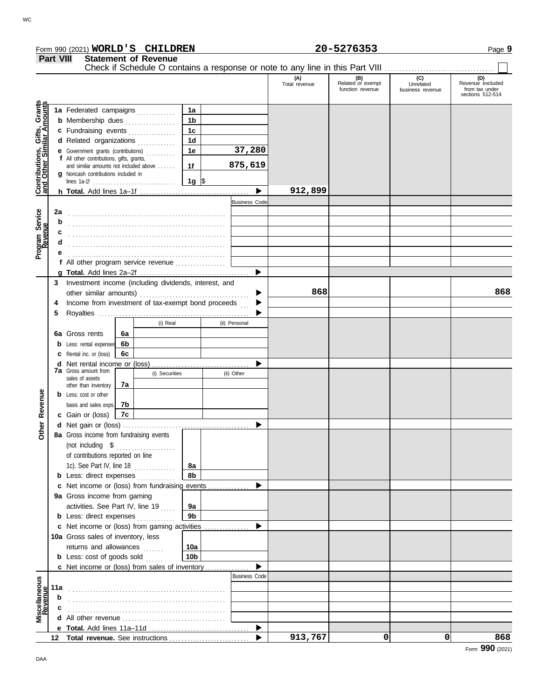|                                                                  |                                                         | Form 990 (2021) WORLD'S CHILDREN                                                     |    |                             |                      |                                                                               |                      | 20-5276353                                   |                                      | Page 9                                                        |
|------------------------------------------------------------------|---------------------------------------------------------|--------------------------------------------------------------------------------------|----|-----------------------------|----------------------|-------------------------------------------------------------------------------|----------------------|----------------------------------------------|--------------------------------------|---------------------------------------------------------------|
|                                                                  | <b>Part VIII</b>                                        |                                                                                      |    | <b>Statement of Revenue</b> |                      | Check if Schedule O contains a response or note to any line in this Part VIII |                      |                                              |                                      |                                                               |
|                                                                  |                                                         |                                                                                      |    |                             |                      |                                                                               | (A)<br>Total revenue | (B)<br>Related or exempt<br>function revenue | (C)<br>Unrelated<br>business revenue | (D)<br>Revenue excluded<br>from tax under<br>sections 512-514 |
|                                                                  |                                                         |                                                                                      |    |                             |                      |                                                                               |                      |                                              |                                      |                                                               |
| <b>Contributions, Gifts, Grants</b><br>and Other Similar Amounts |                                                         | 1a Federated campaigns                                                               |    |                             | 1a<br>1 <sub>b</sub> |                                                                               |                      |                                              |                                      |                                                               |
|                                                                  |                                                         | <b>b</b> Membership dues<br>c Fundraising events                                     |    |                             | 1 <sub>c</sub>       |                                                                               |                      |                                              |                                      |                                                               |
|                                                                  |                                                         | d Related organizations                                                              |    |                             | 1 <sub>d</sub>       |                                                                               |                      |                                              |                                      |                                                               |
|                                                                  |                                                         | e Government grants (contributions)                                                  |    |                             | 1e                   | 37,280                                                                        |                      |                                              |                                      |                                                               |
|                                                                  |                                                         | f All other contributions, gifts, grants,                                            |    |                             |                      |                                                                               |                      |                                              |                                      |                                                               |
|                                                                  |                                                         | and similar amounts not included above                                               |    |                             | 1f                   | 875,619                                                                       |                      |                                              |                                      |                                                               |
|                                                                  |                                                         | g Noncash contributions included in                                                  |    |                             | 1g  \$               |                                                                               |                      |                                              |                                      |                                                               |
|                                                                  |                                                         |                                                                                      |    |                             |                      |                                                                               | 912,899              |                                              |                                      |                                                               |
|                                                                  |                                                         |                                                                                      |    |                             |                      | <b>Business Code</b>                                                          |                      |                                              |                                      |                                                               |
|                                                                  | 2a                                                      |                                                                                      |    |                             |                      |                                                                               |                      |                                              |                                      |                                                               |
| Program Service<br>Revenue                                       |                                                         |                                                                                      |    |                             |                      |                                                                               |                      |                                              |                                      |                                                               |
|                                                                  |                                                         |                                                                                      |    |                             |                      |                                                                               |                      |                                              |                                      |                                                               |
|                                                                  |                                                         |                                                                                      |    |                             |                      |                                                                               |                      |                                              |                                      |                                                               |
|                                                                  |                                                         |                                                                                      |    |                             |                      |                                                                               |                      |                                              |                                      |                                                               |
|                                                                  |                                                         | f All other program service revenue                                                  |    |                             |                      |                                                                               |                      |                                              |                                      |                                                               |
|                                                                  |                                                         |                                                                                      |    |                             |                      |                                                                               |                      |                                              |                                      |                                                               |
|                                                                  | 3                                                       | Investment income (including dividends, interest, and                                |    |                             |                      |                                                                               |                      |                                              |                                      |                                                               |
|                                                                  |                                                         |                                                                                      |    |                             |                      |                                                                               | 868                  |                                              |                                      | 868                                                           |
|                                                                  | Income from investment of tax-exempt bond proceeds<br>4 |                                                                                      |    |                             |                      |                                                                               |                      |                                              |                                      |                                                               |
|                                                                  | 5                                                       |                                                                                      |    |                             |                      |                                                                               |                      |                                              |                                      |                                                               |
|                                                                  |                                                         |                                                                                      |    | (i) Real                    |                      | (ii) Personal                                                                 |                      |                                              |                                      |                                                               |
|                                                                  |                                                         | 6a Gross rents                                                                       | 6a |                             |                      |                                                                               |                      |                                              |                                      |                                                               |
|                                                                  | b                                                       | Less: rental expenses                                                                | 6b |                             |                      |                                                                               |                      |                                              |                                      |                                                               |
|                                                                  |                                                         | Rental inc. or (loss)                                                                | 6с |                             |                      |                                                                               |                      |                                              |                                      |                                                               |
|                                                                  | d                                                       | Net rental income or (loss)<br><b>7a</b> Gross amount from                           |    |                             |                      |                                                                               |                      |                                              |                                      |                                                               |
|                                                                  |                                                         | sales of assets                                                                      |    | (i) Securities              |                      | (ii) Other                                                                    |                      |                                              |                                      |                                                               |
|                                                                  |                                                         | other than inventory                                                                 | 7а |                             |                      |                                                                               |                      |                                              |                                      |                                                               |
| Revenue                                                          |                                                         | <b>b</b> Less: cost or other                                                         |    |                             |                      |                                                                               |                      |                                              |                                      |                                                               |
|                                                                  |                                                         | basis and sales exps.                                                                | 7b |                             |                      |                                                                               |                      |                                              |                                      |                                                               |
|                                                                  |                                                         | c Gain or (loss)                                                                     | 7c |                             |                      |                                                                               |                      |                                              |                                      |                                                               |
|                                                                  |                                                         | d Net gain or (loss)                                                                 |    |                             |                      |                                                                               |                      |                                              |                                      |                                                               |
| á                                                                |                                                         | 8a Gross income from fundraising events                                              |    |                             |                      |                                                                               |                      |                                              |                                      |                                                               |
|                                                                  |                                                         | (not including \$                                                                    |    | .                           |                      |                                                                               |                      |                                              |                                      |                                                               |
|                                                                  |                                                         | of contributions reported on line                                                    |    |                             |                      |                                                                               |                      |                                              |                                      |                                                               |
|                                                                  |                                                         | 1c). See Part IV, line 18                                                            |    |                             | 8a                   |                                                                               |                      |                                              |                                      |                                                               |
|                                                                  |                                                         | <b>b</b> Less: direct expenses                                                       |    |                             | 8b                   |                                                                               |                      |                                              |                                      |                                                               |
|                                                                  |                                                         | <b>c</b> Net income or (loss) from fundraising events<br>9a Gross income from gaming |    |                             |                      |                                                                               |                      |                                              |                                      |                                                               |
|                                                                  |                                                         | activities. See Part IV, line 19                                                     |    |                             | 9а                   |                                                                               |                      |                                              |                                      |                                                               |
|                                                                  |                                                         | <b>b</b> Less: direct expenses                                                       |    |                             | 9b                   |                                                                               |                      |                                              |                                      |                                                               |
|                                                                  |                                                         | c Net income or (loss) from gaming activities                                        |    |                             |                      | ▶                                                                             |                      |                                              |                                      |                                                               |
|                                                                  |                                                         | 10a Gross sales of inventory, less                                                   |    |                             |                      |                                                                               |                      |                                              |                                      |                                                               |
|                                                                  |                                                         | returns and allowances                                                               |    |                             | 10a                  |                                                                               |                      |                                              |                                      |                                                               |
|                                                                  |                                                         | <b>b</b> Less: cost of goods sold                                                    |    |                             | 10 <sub>b</sub>      |                                                                               |                      |                                              |                                      |                                                               |
|                                                                  |                                                         | c Net income or (loss) from sales of inventory                                       |    |                             |                      |                                                                               |                      |                                              |                                      |                                                               |
|                                                                  |                                                         |                                                                                      |    |                             |                      | <b>Business Code</b>                                                          |                      |                                              |                                      |                                                               |
|                                                                  | 11a                                                     |                                                                                      |    |                             |                      |                                                                               |                      |                                              |                                      |                                                               |
|                                                                  | b                                                       |                                                                                      |    |                             |                      |                                                                               |                      |                                              |                                      |                                                               |
|                                                                  |                                                         |                                                                                      |    |                             |                      |                                                                               |                      |                                              |                                      |                                                               |
| Miscellaneous<br>Revenue                                         | d                                                       |                                                                                      |    |                             |                      |                                                                               |                      |                                              |                                      |                                                               |
|                                                                  |                                                         |                                                                                      |    |                             |                      | ▶                                                                             |                      |                                              |                                      |                                                               |
|                                                                  |                                                         |                                                                                      |    |                             |                      |                                                                               | 913,767              | 0                                            | 0                                    | 868                                                           |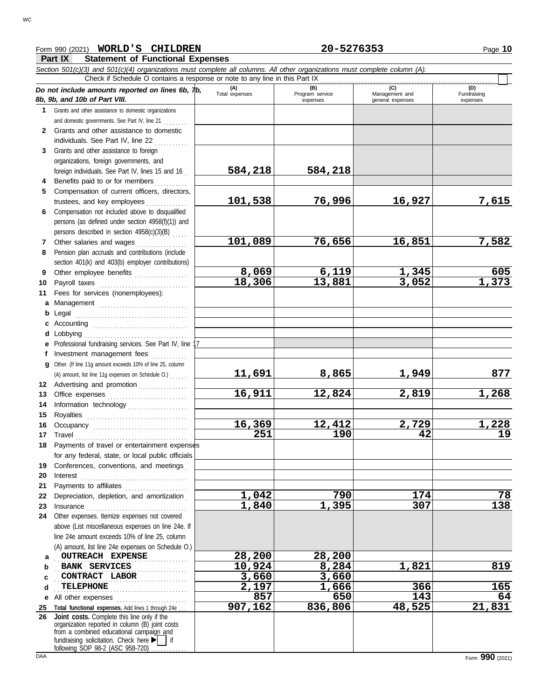### Form 990 (2021) Page **10 WORLD'S CHILDREN 20-5276353**

**Part IX Statement of Functional Expenses**

|    | <b>Fail In</b><br>Statement Of Functional Experises                                                                                                                                                       |                       |                                    |                                           |                                |
|----|-----------------------------------------------------------------------------------------------------------------------------------------------------------------------------------------------------------|-----------------------|------------------------------------|-------------------------------------------|--------------------------------|
|    | Section 501(c)(3) and 501(c)(4) organizations must complete all columns. All other organizations must complete column (A).<br>Check if Schedule O contains a response or note to any line in this Part IX |                       |                                    |                                           |                                |
|    | Do not include amounts reported on lines 6b, $\n  1b$ ,<br>8b, 9b, and 10b of Part VIII.                                                                                                                  | (A)<br>Total expenses | (B)<br>Program service<br>expenses | (C)<br>Management and<br>general expenses | (D)<br>Fundraising<br>expenses |
|    | 1 Grants and other assistance to domestic organizations                                                                                                                                                   |                       |                                    |                                           |                                |
|    | and domestic governments. See Part IV, line 21                                                                                                                                                            |                       |                                    |                                           |                                |
|    | 2 Grants and other assistance to domestic                                                                                                                                                                 |                       |                                    |                                           |                                |
|    | individuals. See Part IV, line 22                                                                                                                                                                         |                       |                                    |                                           |                                |
| 3  | Grants and other assistance to foreign                                                                                                                                                                    |                       |                                    |                                           |                                |
|    | organizations, foreign governments, and                                                                                                                                                                   |                       |                                    |                                           |                                |
|    | foreign individuals. See Part IV, lines 15 and 16                                                                                                                                                         | 584,218               | 584,218                            |                                           |                                |
| 4  | Benefits paid to or for members                                                                                                                                                                           |                       |                                    |                                           |                                |
| 5. | Compensation of current officers, directors,                                                                                                                                                              |                       |                                    |                                           |                                |
|    | trustees, and key employees                                                                                                                                                                               | 101,538               | 76,996                             | 16,927                                    | 7,615                          |
| 6. | Compensation not included above to disqualified                                                                                                                                                           |                       |                                    |                                           |                                |
|    | persons (as defined under section 4958(f)(1)) and                                                                                                                                                         |                       |                                    |                                           |                                |
|    | persons described in section 4958(c)(3)(B)                                                                                                                                                                |                       |                                    |                                           |                                |
| 7  | Other salaries and wages                                                                                                                                                                                  | 101,089               | 76,656                             | 16,851                                    | 7,582                          |
| 8  | Pension plan accruals and contributions (include                                                                                                                                                          |                       |                                    |                                           |                                |
|    | section 401(k) and 403(b) employer contributions)                                                                                                                                                         |                       |                                    |                                           |                                |
| 9  |                                                                                                                                                                                                           | 8,069                 | 6,119                              | 1,345                                     |                                |
| 10 | Payroll taxes                                                                                                                                                                                             | 18,306                | 13,881                             | 3,052                                     | $\frac{605}{1,373}$            |
| 11 | Fees for services (nonemployees):                                                                                                                                                                         |                       |                                    |                                           |                                |
|    | a Management                                                                                                                                                                                              |                       |                                    |                                           |                                |
|    | <b>b</b> Legal                                                                                                                                                                                            |                       |                                    |                                           |                                |
|    |                                                                                                                                                                                                           |                       |                                    |                                           |                                |
|    | <b>d</b> Lobbying                                                                                                                                                                                         |                       |                                    |                                           |                                |
|    | e Professional fundraising services. See Part IV, line 1                                                                                                                                                  |                       |                                    |                                           |                                |
| Ť. | Investment management fees                                                                                                                                                                                |                       |                                    |                                           |                                |
|    | g Other. (If line 11g amount exceeds 10% of line 25, column                                                                                                                                               |                       |                                    |                                           |                                |
|    | (A) amount, list line 11g expenses on Schedule O.)                                                                                                                                                        | <u>11,691</u>         | 8,865                              | 1,949                                     | 877                            |
|    | 12 Advertising and promotion                                                                                                                                                                              |                       |                                    |                                           |                                |
| 13 |                                                                                                                                                                                                           | 16,911                | 12,824                             | 2,819                                     | 1,268                          |
| 14 | Information technology                                                                                                                                                                                    |                       |                                    |                                           |                                |
| 15 | Royalties                                                                                                                                                                                                 |                       |                                    |                                           |                                |
| 16 |                                                                                                                                                                                                           | 16,369                | 12,412                             | 2,729                                     | 1,228                          |
| 17 | Travel                                                                                                                                                                                                    | 251                   | $\overline{190}$                   | 42                                        | $\overline{19}$                |
|    | 18 Payments of travel or entertainment expenses                                                                                                                                                           |                       |                                    |                                           |                                |
|    | for any federal, state, or local public officials                                                                                                                                                         |                       |                                    |                                           |                                |
| 19 | Conferences, conventions, and meetings                                                                                                                                                                    |                       |                                    |                                           |                                |
| 20 | Interest                                                                                                                                                                                                  |                       |                                    |                                           |                                |
| 21 | Payments to affiliates                                                                                                                                                                                    |                       |                                    |                                           |                                |
| 22 | Depreciation, depletion, and amortization                                                                                                                                                                 | 1,042                 | 790                                | 174                                       | 78                             |
| 23 | Insurance                                                                                                                                                                                                 | 1,840                 | 1,395                              | 307                                       | 138                            |
| 24 | Other expenses. Itemize expenses not covered                                                                                                                                                              |                       |                                    |                                           |                                |
|    | above (List miscellaneous expenses on line 24e. If                                                                                                                                                        |                       |                                    |                                           |                                |
|    | line 24e amount exceeds 10% of line 25, column                                                                                                                                                            |                       |                                    |                                           |                                |
|    | (A) amount, list line 24e expenses on Schedule O.)                                                                                                                                                        |                       |                                    |                                           |                                |
| a  | <b>OUTREACH EXPENSE</b>                                                                                                                                                                                   | 28,200                | 28,200                             |                                           |                                |
| b  | BANK SERVICES                                                                                                                                                                                             | 10,924                | 8,284                              | 1,821                                     | 819                            |
|    | CONTRACT LABOR                                                                                                                                                                                            | 3,660                 | 3,660                              |                                           |                                |
| d  | <b>TELEPHONE</b>                                                                                                                                                                                          | 2,197                 | 1,666                              | 366                                       | 165                            |
| е  | All other expenses<br>.                                                                                                                                                                                   | 857                   | 650                                | 143                                       | 64                             |
| 25 | Total functional expenses. Add lines 1 through 24e                                                                                                                                                        | 907,162               | 836,806                            | 48,525                                    | 21,831                         |
| 26 | Joint costs. Complete this line only if the                                                                                                                                                               |                       |                                    |                                           |                                |
|    | organization reported in column (B) joint costs<br>from a combined educational campaign and                                                                                                               |                       |                                    |                                           |                                |
|    | fundraising solicitation. Check here $\blacktriangleright$   if                                                                                                                                           |                       |                                    |                                           |                                |
|    | following SOP 98-2 (ASC 958-720).                                                                                                                                                                         |                       |                                    |                                           |                                |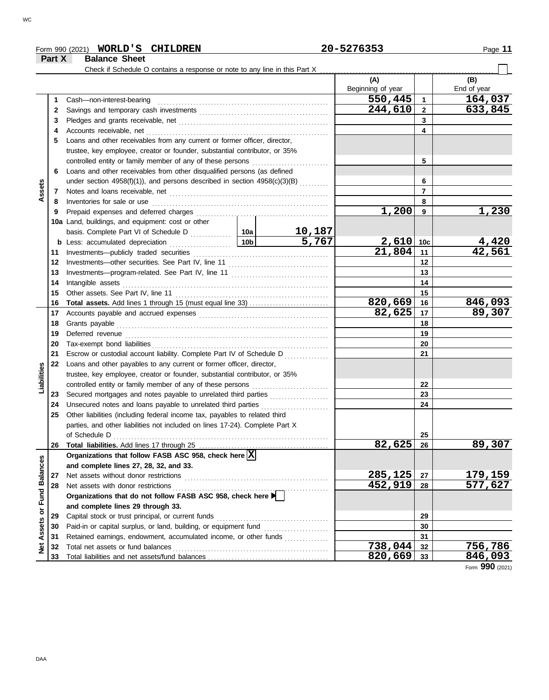### Form 990 (2021) Page **11 WORLD'S CHILDREN 20-5276353**

**Part X Balance Sheet**

WC

|                             |    | Check if Schedule O contains a response or note to any line in this Part X   |         |                |                          |                          |                    |
|-----------------------------|----|------------------------------------------------------------------------------|---------|----------------|--------------------------|--------------------------|--------------------|
|                             |    |                                                                              |         |                | (A)<br>Beginning of year |                          | (B)<br>End of year |
|                             | 1  | Cash-non-interest-bearing                                                    |         |                | 550,445                  | $\mathbf{1}$             | 164,037            |
|                             | 2  |                                                                              | 244,610 | $\mathbf{2}$   | 633,845                  |                          |                    |
|                             | 3  |                                                                              |         |                |                          | 3                        |                    |
|                             | 4  |                                                                              |         |                |                          | 4                        |                    |
|                             | 5  | Loans and other receivables from any current or former officer, director,    |         |                |                          |                          |                    |
|                             |    | trustee, key employee, creator or founder, substantial contributor, or 35%   |         |                |                          |                          |                    |
|                             |    | controlled entity or family member of any of these persons [                 |         |                |                          | 5                        |                    |
|                             | 6  | Loans and other receivables from other disqualified persons (as defined      |         |                |                          |                          |                    |
|                             |    | under section 4958(f)(1)), and persons described in section $4958(c)(3)(B)$  |         |                |                          | 6                        |                    |
| Assets                      | 7  |                                                                              |         |                |                          | $\overline{\phantom{a}}$ |                    |
|                             | 8  |                                                                              |         |                |                          | 8                        |                    |
|                             | 9  |                                                                              |         |                | 1,200                    | 9                        | 1,230              |
|                             |    | 10a Land, buildings, and equipment: cost or other                            |         |                |                          |                          |                    |
|                             |    |                                                                              |         | <u> 10,187</u> |                          |                          |                    |
|                             |    |                                                                              |         | 5,767          | $2,610$ 10c              |                          | 4,420              |
|                             | 11 |                                                                              |         |                | 21,804                   | 11                       | 42,561             |
|                             | 12 |                                                                              |         |                |                          | 12                       |                    |
|                             | 13 |                                                                              |         | 13             |                          |                          |                    |
|                             | 14 | Intangible assets                                                            |         | 14             |                          |                          |                    |
|                             | 15 |                                                                              |         |                |                          | 15                       |                    |
|                             | 16 |                                                                              |         |                | 820,669                  | 16                       | 846,093            |
|                             | 17 |                                                                              |         |                | 82,625                   | 17                       | 89,307             |
|                             | 18 |                                                                              |         | 18             |                          |                          |                    |
|                             | 19 |                                                                              |         |                | 19                       |                          |                    |
|                             | 20 |                                                                              |         |                |                          | 20                       |                    |
|                             | 21 | Escrow or custodial account liability. Complete Part IV of Schedule D        |         |                |                          | 21                       |                    |
|                             | 22 | Loans and other payables to any current or former officer, director,         |         |                |                          |                          |                    |
| Liabilities                 |    | trustee, key employee, creator or founder, substantial contributor, or 35%   |         |                |                          |                          |                    |
|                             |    | controlled entity or family member of any of these persons                   |         |                |                          | 22                       |                    |
|                             | 23 | Secured mortgages and notes payable to unrelated third parties               |         |                |                          | 23                       |                    |
|                             | 24 | Unsecured notes and loans payable to unrelated third parties                 |         |                |                          | 24                       |                    |
|                             | 25 | Other liabilities (including federal income tax, payables to related third   |         |                |                          |                          |                    |
|                             |    | parties, and other liabilities not included on lines 17-24). Complete Part X |         |                |                          |                          |                    |
|                             |    |                                                                              |         |                | 82,625                   | 25                       | 89,307             |
|                             | 26 | Organizations that follow FASB ASC 958, check here $\overline{X}$            |         |                |                          | -26                      |                    |
|                             |    | and complete lines 27, 28, 32, and 33.                                       |         |                |                          |                          |                    |
|                             | 27 | Net assets without donor restrictions                                        |         |                | 285,125                  | 27                       | <u>179,159</u>     |
|                             | 28 | Net assets with donor restrictions                                           |         |                | 452,919                  | 28                       | 577,627            |
|                             |    | Organizations that do not follow FASB ASC 958, check here                    |         |                |                          |                          |                    |
|                             |    | and complete lines 29 through 33.                                            |         |                |                          |                          |                    |
| Net Assets or Fund Balances | 29 | Capital stock or trust principal, or current funds                           |         |                |                          | 29                       |                    |
|                             | 30 |                                                                              |         |                |                          | 30                       |                    |
|                             | 31 | Retained earnings, endowment, accumulated income, or other funds             |         |                |                          | 31                       |                    |
|                             | 32 | Total net assets or fund balances                                            |         |                | 738,044                  | 32                       | 756,786            |
|                             | 33 |                                                                              |         |                | 820,669                  | 33                       | 846,093            |

Form **990** (2021)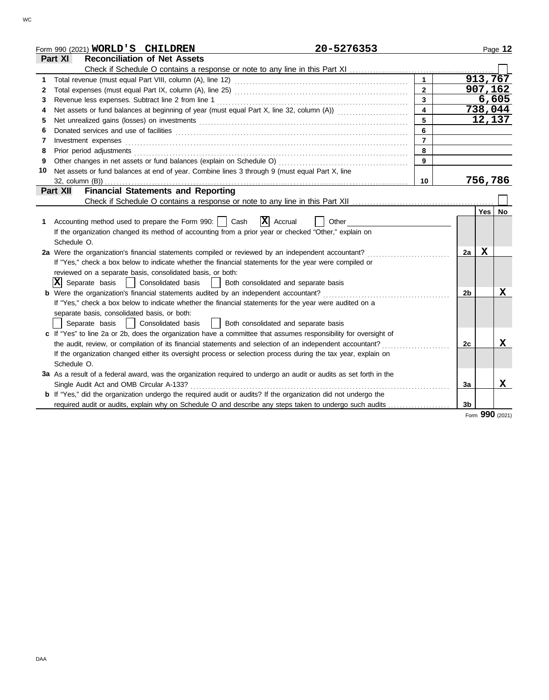|    | 20-5276353<br>Form 990 (2021) WORLD'S CHILDREN                                                                        |                         |    |             | Page 12         |
|----|-----------------------------------------------------------------------------------------------------------------------|-------------------------|----|-------------|-----------------|
|    | <b>Reconciliation of Net Assets</b><br>Part XI                                                                        |                         |    |             |                 |
|    |                                                                                                                       |                         |    |             |                 |
| 1  |                                                                                                                       |                         |    |             | 913,767         |
| 2  |                                                                                                                       | $\mathbf{2}$            |    | 907,162     |                 |
| 3  | Revenue less expenses. Subtract line 2 from line 1                                                                    | $\overline{3}$          |    |             | 6,605           |
| 4  | Net assets or fund balances at beginning of year (must equal Part X, line 32, column (A)) [[[[[[[[[[[[[[[[[[[         | $\overline{\mathbf{4}}$ |    |             | 738,044         |
| 5  |                                                                                                                       | 5                       |    |             | 12,137          |
| 6  |                                                                                                                       | 6                       |    |             |                 |
| 7  | Investment expenses                                                                                                   | $\overline{7}$          |    |             |                 |
| 8  |                                                                                                                       | 8                       |    |             |                 |
| 9  | Other changes in net assets or fund balances (explain on Schedule O)                                                  | 9                       |    |             |                 |
| 10 | Net assets or fund balances at end of year. Combine lines 3 through 9 (must equal Part X, line                        |                         |    |             |                 |
|    | $32$ , column $(B)$ )                                                                                                 | 10                      |    | 756,786     |                 |
|    | <b>Financial Statements and Reporting</b><br>Part XII                                                                 |                         |    |             |                 |
|    |                                                                                                                       |                         |    |             |                 |
|    |                                                                                                                       |                         |    | Yes   No    |                 |
| 1. | $ \mathbf{X} $ Accrual<br>Accounting method used to prepare the Form 990:     Cash<br>Other                           |                         |    |             |                 |
|    | If the organization changed its method of accounting from a prior year or checked "Other," explain on                 |                         |    |             |                 |
|    | Schedule O.                                                                                                           |                         |    |             |                 |
|    | 2a Were the organization's financial statements compiled or reviewed by an independent accountant?                    |                         | 2a | $\mathbf x$ |                 |
|    | If "Yes," check a box below to indicate whether the financial statements for the year were compiled or                |                         |    |             |                 |
|    | reviewed on a separate basis, consolidated basis, or both:                                                            |                         |    |             |                 |
|    | $ \mathbf{X} $ Separate basis<br>  Consolidated basis<br>Both consolidated and separate basis                         |                         |    |             |                 |
|    | <b>b</b> Were the organization's financial statements audited by an independent accountant?                           |                         | 2b |             | $\mathbf x$     |
|    | If "Yes," check a box below to indicate whether the financial statements for the year were audited on a               |                         |    |             |                 |
|    | separate basis, consolidated basis, or both:                                                                          |                         |    |             |                 |
|    | Separate basis<br>Consolidated basis<br>Both consolidated and separate basis                                          |                         |    |             |                 |
|    | c If "Yes" to line 2a or 2b, does the organization have a committee that assumes responsibility for oversight of      |                         |    |             |                 |
|    | the audit, review, or compilation of its financial statements and selection of an independent accountant?             |                         | 2c |             | х               |
|    | If the organization changed either its oversight process or selection process during the tax year, explain on         |                         |    |             |                 |
|    | Schedule O.                                                                                                           |                         |    |             |                 |
|    | 3a As a result of a federal award, was the organization required to undergo an audit or audits as set forth in the    |                         |    |             |                 |
|    | Single Audit Act and OMB Circular A-133?                                                                              |                         | 3a |             | X               |
|    | <b>b</b> If "Yes," did the organization undergo the required audit or audits? If the organization did not undergo the |                         |    |             |                 |
|    | required audit or audits, explain why on Schedule O and describe any steps taken to undergo such audits               |                         | 3b |             |                 |
|    |                                                                                                                       |                         |    |             | Form 990 (2021) |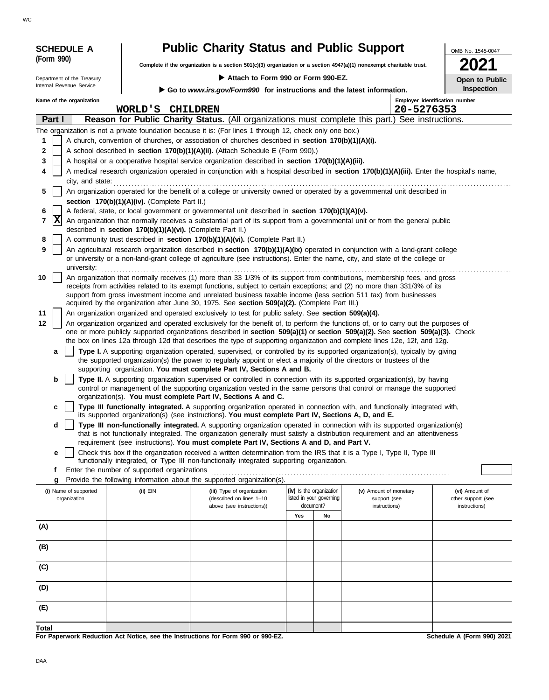| <b>SCHEDULE A</b>          | <b>Public Charity Status and Public Support</b>            | OMB No. 1545-0047                                                                                                                                                                                                                                                     |                                       |                               |                                     |  |  |  |
|----------------------------|------------------------------------------------------------|-----------------------------------------------------------------------------------------------------------------------------------------------------------------------------------------------------------------------------------------------------------------------|---------------------------------------|-------------------------------|-------------------------------------|--|--|--|
| (Form 990)                 |                                                            | Complete if the organization is a section $501(c)(3)$ organization or a section $4947(a)(1)$ nonexempt charitable trust.                                                                                                                                              |                                       |                               |                                     |  |  |  |
| Department of the Treasury |                                                            | Attach to Form 990 or Form 990-EZ.                                                                                                                                                                                                                                    |                                       |                               | Open to Public                      |  |  |  |
| Internal Revenue Service   |                                                            | Go to www.irs.gov/Form990 for instructions and the latest information.                                                                                                                                                                                                |                                       |                               | Inspection                          |  |  |  |
| Name of the organization   | WORLD'S CHILDREN                                           |                                                                                                                                                                                                                                                                       |                                       | 20-5276353                    | Employer identification number      |  |  |  |
| Part I                     |                                                            | Reason for Public Charity Status. (All organizations must complete this part.) See instructions.                                                                                                                                                                      |                                       |                               |                                     |  |  |  |
|                            |                                                            | The organization is not a private foundation because it is: (For lines 1 through 12, check only one box.)                                                                                                                                                             |                                       |                               |                                     |  |  |  |
| 1                          |                                                            | A church, convention of churches, or association of churches described in section 170(b)(1)(A)(i).                                                                                                                                                                    |                                       |                               |                                     |  |  |  |
| 2                          |                                                            | A school described in section 170(b)(1)(A)(ii). (Attach Schedule E (Form 990).)                                                                                                                                                                                       |                                       |                               |                                     |  |  |  |
| 3<br>4                     |                                                            | A hospital or a cooperative hospital service organization described in section 170(b)(1)(A)(iii).                                                                                                                                                                     |                                       |                               |                                     |  |  |  |
| city, and state:           |                                                            | A medical research organization operated in conjunction with a hospital described in section 170(b)(1)(A)(iii). Enter the hospital's name,                                                                                                                            |                                       |                               |                                     |  |  |  |
| 5                          |                                                            | An organization operated for the benefit of a college or university owned or operated by a governmental unit described in                                                                                                                                             |                                       |                               |                                     |  |  |  |
|                            | section 170(b)(1)(A)(iv). (Complete Part II.)              |                                                                                                                                                                                                                                                                       |                                       |                               |                                     |  |  |  |
| 6                          |                                                            | A federal, state, or local government or governmental unit described in section 170(b)(1)(A)(v).                                                                                                                                                                      |                                       |                               |                                     |  |  |  |
| x<br>7                     | described in section 170(b)(1)(A)(vi). (Complete Part II.) | An organization that normally receives a substantial part of its support from a governmental unit or from the general public                                                                                                                                          |                                       |                               |                                     |  |  |  |
| 8                          |                                                            | A community trust described in section 170(b)(1)(A)(vi). (Complete Part II.)                                                                                                                                                                                          |                                       |                               |                                     |  |  |  |
| 9                          |                                                            | An agricultural research organization described in section 170(b)(1)(A)(ix) operated in conjunction with a land-grant college                                                                                                                                         |                                       |                               |                                     |  |  |  |
| university:                |                                                            | or university or a non-land-grant college of agriculture (see instructions). Enter the name, city, and state of the college or                                                                                                                                        |                                       |                               |                                     |  |  |  |
| 10                         |                                                            | An organization that normally receives (1) more than 33 1/3% of its support from contributions, membership fees, and gross                                                                                                                                            |                                       |                               |                                     |  |  |  |
|                            |                                                            | receipts from activities related to its exempt functions, subject to certain exceptions; and (2) no more than 331/3% of its<br>support from gross investment income and unrelated business taxable income (less section 511 tax) from businesses                      |                                       |                               |                                     |  |  |  |
|                            |                                                            | acquired by the organization after June 30, 1975. See section 509(a)(2). (Complete Part III.)                                                                                                                                                                         |                                       |                               |                                     |  |  |  |
| 11                         |                                                            | An organization organized and operated exclusively to test for public safety. See section 509(a)(4).                                                                                                                                                                  |                                       |                               |                                     |  |  |  |
| 12                         |                                                            | An organization organized and operated exclusively for the benefit of, to perform the functions of, or to carry out the purposes of<br>one or more publicly supported organizations described in section 509(a)(1) or section 509(a)(2). See section 509(a)(3). Check |                                       |                               |                                     |  |  |  |
|                            |                                                            | the box on lines 12a through 12d that describes the type of supporting organization and complete lines 12e, 12f, and 12g.                                                                                                                                             |                                       |                               |                                     |  |  |  |
| a                          |                                                            | Type I. A supporting organization operated, supervised, or controlled by its supported organization(s), typically by giving                                                                                                                                           |                                       |                               |                                     |  |  |  |
|                            |                                                            | the supported organization(s) the power to regularly appoint or elect a majority of the directors or trustees of the<br>supporting organization. You must complete Part IV, Sections A and B.                                                                         |                                       |                               |                                     |  |  |  |
| b                          |                                                            | Type II. A supporting organization supervised or controlled in connection with its supported organization(s), by having                                                                                                                                               |                                       |                               |                                     |  |  |  |
|                            |                                                            | control or management of the supporting organization vested in the same persons that control or manage the supported                                                                                                                                                  |                                       |                               |                                     |  |  |  |
| c                          |                                                            | organization(s). You must complete Part IV, Sections A and C.<br>Type III functionally integrated. A supporting organization operated in connection with, and functionally integrated with,                                                                           |                                       |                               |                                     |  |  |  |
|                            |                                                            | its supported organization(s) (see instructions). You must complete Part IV, Sections A, D, and E.                                                                                                                                                                    |                                       |                               |                                     |  |  |  |
| d                          |                                                            | Type III non-functionally integrated. A supporting organization operated in connection with its supported organization(s)                                                                                                                                             |                                       |                               |                                     |  |  |  |
|                            |                                                            | that is not functionally integrated. The organization generally must satisfy a distribution requirement and an attentiveness<br>requirement (see instructions). You must complete Part IV, Sections A and D, and Part V.                                              |                                       |                               |                                     |  |  |  |
| е                          |                                                            | Check this box if the organization received a written determination from the IRS that it is a Type I, Type II, Type III                                                                                                                                               |                                       |                               |                                     |  |  |  |
| f                          | Enter the number of supported organizations                | functionally integrated, or Type III non-functionally integrated supporting organization.                                                                                                                                                                             |                                       |                               |                                     |  |  |  |
| g                          |                                                            | Provide the following information about the supported organization(s).                                                                                                                                                                                                |                                       |                               |                                     |  |  |  |
| (i) Name of supported      | (ii) EIN                                                   | (iii) Type of organization                                                                                                                                                                                                                                            | (iv) Is the organization              | (v) Amount of monetary        | (vi) Amount of                      |  |  |  |
| organization               |                                                            | (described on lines 1-10<br>above (see instructions))                                                                                                                                                                                                                 | listed in your governing<br>document? | support (see<br>instructions) | other support (see<br>instructions) |  |  |  |
|                            |                                                            |                                                                                                                                                                                                                                                                       | Yes<br>No                             |                               |                                     |  |  |  |
| (A)                        |                                                            |                                                                                                                                                                                                                                                                       |                                       |                               |                                     |  |  |  |
| (B)                        |                                                            |                                                                                                                                                                                                                                                                       |                                       |                               |                                     |  |  |  |
|                            |                                                            |                                                                                                                                                                                                                                                                       |                                       |                               |                                     |  |  |  |
| (C)                        |                                                            |                                                                                                                                                                                                                                                                       |                                       |                               |                                     |  |  |  |
|                            |                                                            |                                                                                                                                                                                                                                                                       |                                       |                               |                                     |  |  |  |
| (D)                        |                                                            |                                                                                                                                                                                                                                                                       |                                       |                               |                                     |  |  |  |
| (E)                        |                                                            |                                                                                                                                                                                                                                                                       |                                       |                               |                                     |  |  |  |
|                            |                                                            |                                                                                                                                                                                                                                                                       |                                       |                               |                                     |  |  |  |
| Total                      |                                                            |                                                                                                                                                                                                                                                                       |                                       |                               |                                     |  |  |  |
|                            |                                                            | For Paperwork Reduction Act Notice, see the Instructions for Form 990 or 990-EZ.                                                                                                                                                                                      |                                       |                               | Schedule A (Form 990) 2021          |  |  |  |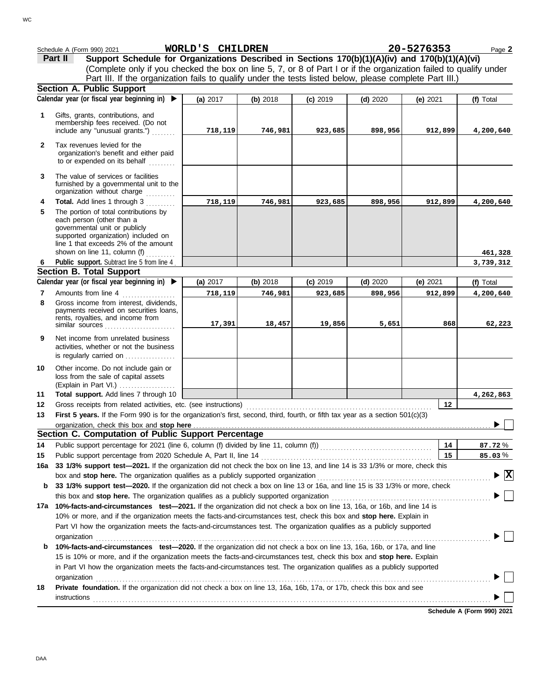|                | Schedule A (Form 990) 2021                                                                                                                                                                                         | WORLD'S CHILDREN |          |            |            | 20-5276353 | Page 2                          |
|----------------|--------------------------------------------------------------------------------------------------------------------------------------------------------------------------------------------------------------------|------------------|----------|------------|------------|------------|---------------------------------|
|                | Support Schedule for Organizations Described in Sections 170(b)(1)(A)(iv) and 170(b)(1)(A)(vi)<br>Part II                                                                                                          |                  |          |            |            |            |                                 |
|                | (Complete only if you checked the box on line 5, 7, or 8 of Part I or if the organization failed to qualify under                                                                                                  |                  |          |            |            |            |                                 |
|                | Part III. If the organization fails to qualify under the tests listed below, please complete Part III.)                                                                                                            |                  |          |            |            |            |                                 |
|                | <b>Section A. Public Support</b>                                                                                                                                                                                   |                  |          |            |            |            |                                 |
|                | Calendar year (or fiscal year beginning in) ▶                                                                                                                                                                      | (a) 2017         | (b) 2018 | $(c)$ 2019 | $(d)$ 2020 | (e) $2021$ | (f) Total                       |
| 1              | Gifts, grants, contributions, and                                                                                                                                                                                  |                  |          |            |            |            |                                 |
|                | membership fees received. (Do not<br>include any "unusual grants.")                                                                                                                                                | 718,119          | 746,981  | 923,685    | 898,956    | 912,899    | 4,200,640                       |
|                |                                                                                                                                                                                                                    |                  |          |            |            |            |                                 |
| $\mathbf{2}$   | Tax revenues levied for the<br>organization's benefit and either paid<br>to or expended on its behalf                                                                                                              |                  |          |            |            |            |                                 |
| 3              | The value of services or facilities<br>furnished by a governmental unit to the<br>organization without charge                                                                                                      |                  |          |            |            |            |                                 |
| 4              | Total. Add lines 1 through 3                                                                                                                                                                                       | 718,119          | 746,981  | 923,685    | 898,956    | 912,899    | 4,200,640                       |
| 5              | The portion of total contributions by<br>each person (other than a<br>governmental unit or publicly<br>supported organization) included on<br>line 1 that exceeds 2% of the amount<br>shown on line 11, column (f) |                  |          |            |            |            |                                 |
| 6              | Public support. Subtract line 5 from line 4.                                                                                                                                                                       |                  |          |            |            |            | 461,328<br>3,739,312            |
|                | <b>Section B. Total Support</b>                                                                                                                                                                                    |                  |          |            |            |            |                                 |
|                | Calendar year (or fiscal year beginning in) ▶                                                                                                                                                                      | (a) 2017         | (b) 2018 | $(c)$ 2019 | $(d)$ 2020 | (e) $2021$ | (f) Total                       |
| $\overline{7}$ | Amounts from line 4                                                                                                                                                                                                | 718,119          | 746,981  | 923,685    | 898,956    | 912,899    | 4,200,640                       |
| 8              | Gross income from interest, dividends,<br>payments received on securities loans,<br>rents, royalties, and income from<br>similar sources $\ldots, \ldots, \ldots, \ldots, \ldots, \ldots$                          | 17,391           | 18,457   | 19,856     | 5,651      | 868        | 62,223                          |
| 9              | Net income from unrelated business<br>activities, whether or not the business<br>is regularly carried on                                                                                                           |                  |          |            |            |            |                                 |
| 10             | Other income. Do not include gain or<br>loss from the sale of capital assets<br>(Explain in Part VI.)                                                                                                              |                  |          |            |            |            |                                 |
| 11             | Total support. Add lines 7 through 10                                                                                                                                                                              |                  |          |            |            |            | 4,262,863                       |
| 12             |                                                                                                                                                                                                                    |                  |          |            |            | 12         |                                 |
| 13             | First 5 years. If the Form 990 is for the organization's first, second, third, fourth, or fifth tax year as a section 501(c)(3)                                                                                    |                  |          |            |            |            |                                 |
|                |                                                                                                                                                                                                                    |                  |          |            |            |            |                                 |
|                | Section C. Computation of Public Support Percentage                                                                                                                                                                |                  |          |            |            |            |                                 |
| 14             |                                                                                                                                                                                                                    |                  |          |            |            | 14         | 87.72%                          |
| 15             | Public support percentage from 2020 Schedule A, Part II, line 14<br>33 1/3% support test-2021. If the organization did not check the box on line 13, and line 14 is 33 1/3% or more, check this                    |                  |          |            |            | 15         | 85.03%                          |
| 16a            | box and stop here. The organization qualifies as a publicly supported organization                                                                                                                                 |                  |          |            |            |            | $\blacktriangleright$ $\vert$ X |
| b              | 33 1/3% support test-2020. If the organization did not check a box on line 13 or 16a, and line 15 is 33 1/3% or more, check                                                                                        |                  |          |            |            |            |                                 |
|                | this box and stop here. The organization qualifies as a publicly supported organization                                                                                                                            |                  |          |            |            |            |                                 |
|                | 17a 10%-facts-and-circumstances test-2021. If the organization did not check a box on line 13, 16a, or 16b, and line 14 is                                                                                         |                  |          |            |            |            |                                 |
|                | 10% or more, and if the organization meets the facts-and-circumstances test, check this box and stop here. Explain in                                                                                              |                  |          |            |            |            |                                 |
|                | Part VI how the organization meets the facts-and-circumstances test. The organization qualifies as a publicly supported                                                                                            |                  |          |            |            |            |                                 |
|                | organization                                                                                                                                                                                                       |                  |          |            |            |            |                                 |
| b              | 10%-facts-and-circumstances test-2020. If the organization did not check a box on line 13, 16a, 16b, or 17a, and line                                                                                              |                  |          |            |            |            |                                 |
|                | 15 is 10% or more, and if the organization meets the facts-and-circumstances test, check this box and stop here. Explain                                                                                           |                  |          |            |            |            |                                 |
|                | in Part VI how the organization meets the facts-and-circumstances test. The organization qualifies as a publicly supported                                                                                         |                  |          |            |            |            |                                 |
|                | organization                                                                                                                                                                                                       |                  |          |            |            |            |                                 |
| 18             | Private foundation. If the organization did not check a box on line 13, 16a, 16b, 17a, or 17b, check this box and see                                                                                              |                  |          |            |            |            |                                 |
|                | <b>instructions</b>                                                                                                                                                                                                |                  |          |            |            |            |                                 |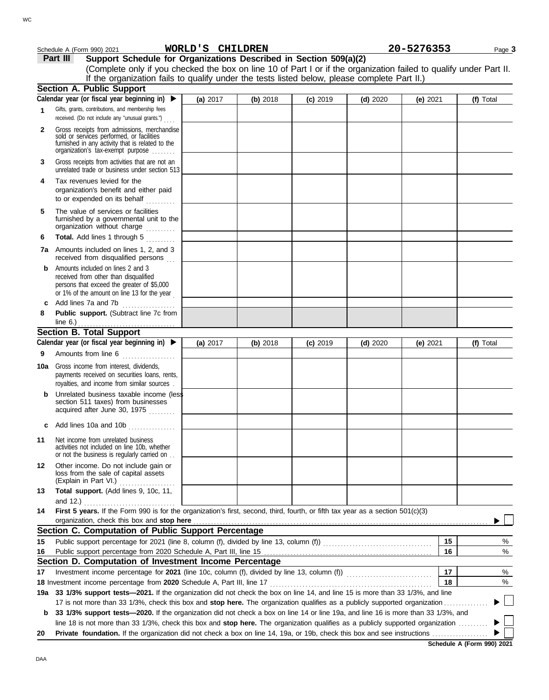|              | Schedule A (Form 990) 2021                                                                                                                                                        | WORLD'S CHILDREN |          |            |            | 20-5276353 | Page 3    |
|--------------|-----------------------------------------------------------------------------------------------------------------------------------------------------------------------------------|------------------|----------|------------|------------|------------|-----------|
|              | Support Schedule for Organizations Described in Section 509(a)(2)<br>Part III                                                                                                     |                  |          |            |            |            |           |
|              | (Complete only if you checked the box on line 10 of Part I or if the organization failed to qualify under Part II.                                                                |                  |          |            |            |            |           |
|              | If the organization fails to qualify under the tests listed below, please complete Part II.)                                                                                      |                  |          |            |            |            |           |
|              | Section A. Public Support                                                                                                                                                         |                  |          |            |            |            |           |
|              | Calendar year (or fiscal year beginning in) $\blacktriangleright$                                                                                                                 | (a) 2017         | (b) 2018 | $(c)$ 2019 | $(d)$ 2020 | (e) $2021$ | (f) Total |
| 1            | Gifts, grants, contributions, and membership fees<br>received. (Do not include any "unusual grants.")                                                                             |                  |          |            |            |            |           |
| $\mathbf{2}$ | Gross receipts from admissions, merchandise<br>sold or services performed, or facilities<br>furnished in any activity that is related to the<br>organization's tax-exempt purpose |                  |          |            |            |            |           |
| 3            | Gross receipts from activities that are not an<br>unrelated trade or business under section 513                                                                                   |                  |          |            |            |            |           |
| 4            | Tax revenues levied for the<br>organization's benefit and either paid<br>to or expended on its behalf                                                                             |                  |          |            |            |            |           |
| 5            | The value of services or facilities<br>furnished by a governmental unit to the<br>organization without charge                                                                     |                  |          |            |            |            |           |
| 6            | Total. Add lines 1 through 5                                                                                                                                                      |                  |          |            |            |            |           |
|              | <b>7a</b> Amounts included on lines 1, 2, and 3<br>received from disqualified persons                                                                                             |                  |          |            |            |            |           |
| b            | Amounts included on lines 2 and 3<br>received from other than disqualified<br>persons that exceed the greater of \$5,000<br>or 1% of the amount on line 13 for the year           |                  |          |            |            |            |           |
| c            | Add lines 7a and 7b                                                                                                                                                               |                  |          |            |            |            |           |
| 8            | Public support. (Subtract line 7c from<br>line $6.$ )                                                                                                                             |                  |          |            |            |            |           |
|              | <b>Section B. Total Support</b>                                                                                                                                                   |                  |          |            |            |            |           |
|              | Calendar year (or fiscal year beginning in) ▶                                                                                                                                     | (a) 2017         | (b) 2018 | $(c)$ 2019 | $(d)$ 2020 | (e) $2021$ | (f) Total |
| 9            | Amounts from line 6                                                                                                                                                               |                  |          |            |            |            |           |
| 10a          | Gross income from interest, dividends,<br>payments received on securities loans, rents,<br>royalties, and income from similar sources.                                            |                  |          |            |            |            |           |
|              | Unrelated business taxable income (less<br>section 511 taxes) from businesses<br>acquired after June 30, 1975                                                                     |                  |          |            |            |            |           |
|              | Add lines 10a and 10b                                                                                                                                                             |                  |          |            |            |            |           |
| 11           | Net income from unrelated business<br>activities not included on line 10b, whether<br>or not the business is regularly carried on                                                 |                  |          |            |            |            |           |
| 12           | Other income. Do not include gain or<br>loss from the sale of capital assets<br>(Explain in Part VI.)                                                                             |                  |          |            |            |            |           |
| 13           | Total support. (Add lines 9, 10c, 11,<br>and $12.$ )                                                                                                                              |                  |          |            |            |            |           |
| 14           | First 5 years. If the Form 990 is for the organization's first, second, third, fourth, or fifth tax year as a section 501(c)(3)                                                   |                  |          |            |            |            |           |
|              | organization, check this box and stop here<br>Section C. Computation of Public Support Percentage                                                                                 |                  |          |            |            |            |           |
| 15           |                                                                                                                                                                                   |                  |          |            |            | 15         | %         |
| 16           |                                                                                                                                                                                   |                  |          |            |            | 16         | %         |
|              | Section D. Computation of Investment Income Percentage                                                                                                                            |                  |          |            |            |            |           |
| 17           |                                                                                                                                                                                   |                  |          |            |            | 17         | %         |
|              |                                                                                                                                                                                   |                  |          |            |            | 18         | $\%$      |
|              | 19a 33 1/3% support tests-2021. If the organization did not check the box on line 14, and line 15 is more than 33 1/3%, and line                                                  |                  |          |            |            |            |           |
|              | 17 is not more than 33 1/3%, check this box and stop here. The organization qualifies as a publicly supported organization                                                        |                  |          |            |            |            |           |
| b            | 33 1/3% support tests-2020. If the organization did not check a box on line 14 or line 19a, and line 16 is more than 33 1/3%, and                                                 |                  |          |            |            |            |           |
|              | line 18 is not more than 33 1/3%, check this box and stop here. The organization qualifies as a publicly supported organization                                                   |                  |          |            |            |            |           |
| 20           |                                                                                                                                                                                   |                  |          |            |            |            |           |

**Schedule A (Form 990) 2021**

DAA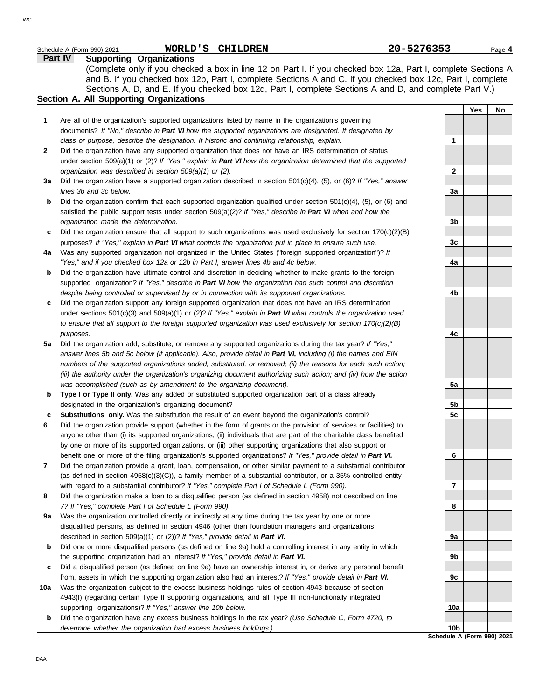|             | WORLD'S CHILDREN<br>Schedule A (Form 990) 2021                                                                                                                                                                                                                                   | 20-5276353      |     | Page 4 |
|-------------|----------------------------------------------------------------------------------------------------------------------------------------------------------------------------------------------------------------------------------------------------------------------------------|-----------------|-----|--------|
|             | <b>Supporting Organizations</b><br><b>Part IV</b><br>(Complete only if you checked a box in line 12 on Part I. If you checked box 12a, Part I, complete Sections A<br>and B. If you checked box 12b, Part I, complete Sections A and C. If you checked box 12c, Part I, complete |                 |     |        |
|             | Sections A, D, and E. If you checked box 12d, Part I, complete Sections A and D, and complete Part V.)<br><b>Section A. All Supporting Organizations</b>                                                                                                                         |                 |     |        |
|             |                                                                                                                                                                                                                                                                                  |                 | Yes | No     |
| 1           | Are all of the organization's supported organizations listed by name in the organization's governing                                                                                                                                                                             |                 |     |        |
|             | documents? If "No," describe in Part VI how the supported organizations are designated. If designated by                                                                                                                                                                         |                 |     |        |
|             | class or purpose, describe the designation. If historic and continuing relationship, explain.                                                                                                                                                                                    | 1               |     |        |
| 2           | Did the organization have any supported organization that does not have an IRS determination of status                                                                                                                                                                           |                 |     |        |
|             | under section 509(a)(1) or (2)? If "Yes," explain in Part VI how the organization determined that the supported                                                                                                                                                                  |                 |     |        |
| За          | organization was described in section 509(a)(1) or (2).<br>Did the organization have a supported organization described in section 501(c)(4), (5), or (6)? If "Yes," answer                                                                                                      | $\mathbf{2}$    |     |        |
|             | lines 3b and 3c below.                                                                                                                                                                                                                                                           | 3a              |     |        |
| $\mathbf b$ | Did the organization confirm that each supported organization qualified under section $501(c)(4)$ , (5), or (6) and                                                                                                                                                              |                 |     |        |
|             | satisfied the public support tests under section $509(a)(2)?$ If "Yes," describe in Part VI when and how the                                                                                                                                                                     |                 |     |        |
|             | organization made the determination.                                                                                                                                                                                                                                             | 3b              |     |        |
| c           | Did the organization ensure that all support to such organizations was used exclusively for section $170(c)(2)(B)$                                                                                                                                                               |                 |     |        |
| 4a          | purposes? If "Yes," explain in Part VI what controls the organization put in place to ensure such use.<br>Was any supported organization not organized in the United States ("foreign supported organization")? If                                                               | 3c              |     |        |
|             | "Yes," and if you checked box 12a or 12b in Part I, answer lines 4b and 4c below.                                                                                                                                                                                                | 4a              |     |        |
| b           | Did the organization have ultimate control and discretion in deciding whether to make grants to the foreign                                                                                                                                                                      |                 |     |        |
|             | supported organization? If "Yes," describe in Part VI how the organization had such control and discretion                                                                                                                                                                       |                 |     |        |
|             | despite being controlled or supervised by or in connection with its supported organizations.                                                                                                                                                                                     | 4b              |     |        |
| c           | Did the organization support any foreign supported organization that does not have an IRS determination                                                                                                                                                                          |                 |     |        |
|             | under sections $501(c)(3)$ and $509(a)(1)$ or (2)? If "Yes," explain in Part VI what controls the organization used                                                                                                                                                              |                 |     |        |
|             | to ensure that all support to the foreign supported organization was used exclusively for section $170(c)(2)(B)$<br>purposes.                                                                                                                                                    | 4c              |     |        |
| 5a          | Did the organization add, substitute, or remove any supported organizations during the tax year? If "Yes,"                                                                                                                                                                       |                 |     |        |
|             | answer lines 5b and 5c below (if applicable). Also, provide detail in Part VI, including (i) the names and EIN                                                                                                                                                                   |                 |     |        |
|             | numbers of the supported organizations added, substituted, or removed; (ii) the reasons for each such action;                                                                                                                                                                    |                 |     |        |
|             | (iii) the authority under the organization's organizing document authorizing such action; and (iv) how the action                                                                                                                                                                |                 |     |        |
|             | was accomplished (such as by amendment to the organizing document).                                                                                                                                                                                                              | 5a              |     |        |
| b           | Type I or Type II only. Was any added or substituted supported organization part of a class already<br>designated in the organization's organizing document?                                                                                                                     | 5b              |     |        |
| с           | <b>Substitutions only.</b> Was the substitution the result of an event beyond the organization's control?                                                                                                                                                                        | 5 <sub>c</sub>  |     |        |
| 6           | Did the organization provide support (whether in the form of grants or the provision of services or facilities) to                                                                                                                                                               |                 |     |        |
|             | anyone other than (i) its supported organizations, (ii) individuals that are part of the charitable class benefited                                                                                                                                                              |                 |     |        |
|             | by one or more of its supported organizations, or (iii) other supporting organizations that also support or                                                                                                                                                                      |                 |     |        |
|             | benefit one or more of the filing organization's supported organizations? If "Yes," provide detail in Part VI.                                                                                                                                                                   | 6               |     |        |
| 7           | Did the organization provide a grant, loan, compensation, or other similar payment to a substantial contributor                                                                                                                                                                  |                 |     |        |
|             | (as defined in section $4958(c)(3)(C)$ ), a family member of a substantial contributor, or a 35% controlled entity<br>with regard to a substantial contributor? If "Yes," complete Part I of Schedule L (Form 990).                                                              | 7               |     |        |
| 8           | Did the organization make a loan to a disqualified person (as defined in section 4958) not described on line                                                                                                                                                                     |                 |     |        |
|             | 7? If "Yes," complete Part I of Schedule L (Form 990).                                                                                                                                                                                                                           | 8               |     |        |
| 9а          | Was the organization controlled directly or indirectly at any time during the tax year by one or more                                                                                                                                                                            |                 |     |        |
|             | disqualified persons, as defined in section 4946 (other than foundation managers and organizations                                                                                                                                                                               |                 |     |        |
|             | described in section 509(a)(1) or (2))? If "Yes," provide detail in Part VI.                                                                                                                                                                                                     | 9a              |     |        |
| b           | Did one or more disqualified persons (as defined on line 9a) hold a controlling interest in any entity in which<br>the supporting organization had an interest? If "Yes," provide detail in Part VI.                                                                             | 9b              |     |        |
| c           | Did a disqualified person (as defined on line 9a) have an ownership interest in, or derive any personal benefit                                                                                                                                                                  |                 |     |        |
|             | from, assets in which the supporting organization also had an interest? If "Yes," provide detail in Part VI.                                                                                                                                                                     | 9c              |     |        |
| 10a         | Was the organization subject to the excess business holdings rules of section 4943 because of section                                                                                                                                                                            |                 |     |        |
|             | 4943(f) (regarding certain Type II supporting organizations, and all Type III non-functionally integrated                                                                                                                                                                        |                 |     |        |
|             | supporting organizations)? If "Yes," answer line 10b below.                                                                                                                                                                                                                      | 10a             |     |        |
| b           | Did the organization have any excess business holdings in the tax year? (Use Schedule C, Form 4720, to                                                                                                                                                                           | 10 <sub>b</sub> |     |        |
|             | determine whether the organization had excess business holdings.)                                                                                                                                                                                                                |                 |     |        |

**Schedule A (Form 990) 2021**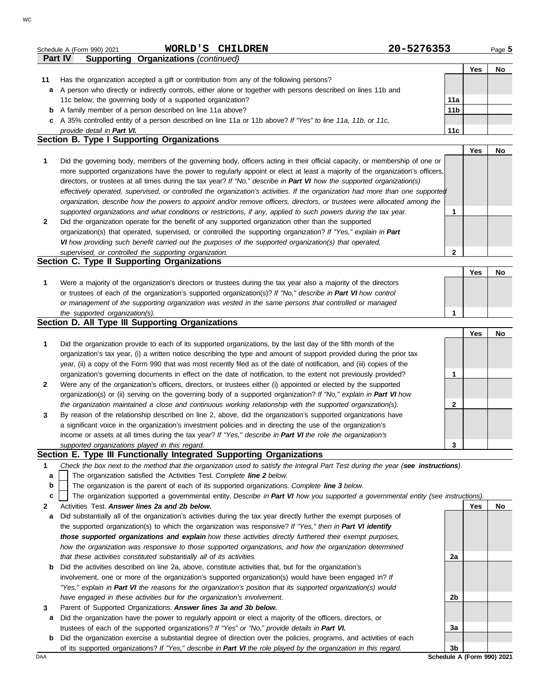|              | WORLD'S CHILDREN<br>Schedule A (Form 990) 2021                                                                                    | 20-5276353   |            | Page 5    |
|--------------|-----------------------------------------------------------------------------------------------------------------------------------|--------------|------------|-----------|
|              | <b>Supporting Organizations (continued)</b><br>Part IV                                                                            |              |            |           |
|              |                                                                                                                                   |              | Yes        | No        |
| 11           | Has the organization accepted a gift or contribution from any of the following persons?                                           |              |            |           |
| a            | A person who directly or indirectly controls, either alone or together with persons described on lines 11b and                    |              |            |           |
|              | 11c below, the governing body of a supported organization?                                                                        | 11a          |            |           |
| b            | A family member of a person described on line 11a above?                                                                          | 11b          |            |           |
|              | c A 35% controlled entity of a person described on line 11a or 11b above? If "Yes" to line 11a, 11b, or 11c,                      |              |            |           |
|              | provide detail in Part VI.                                                                                                        | 11c          |            |           |
|              | Section B. Type I Supporting Organizations                                                                                        |              |            |           |
|              |                                                                                                                                   |              | Yes        | No        |
|              |                                                                                                                                   |              |            |           |
| 1            | Did the governing body, members of the governing body, officers acting in their official capacity, or membership of one or        |              |            |           |
|              | more supported organizations have the power to regularly appoint or elect at least a majority of the organization's officers,     |              |            |           |
|              | directors, or trustees at all times during the tax year? If "No," describe in Part VI how the supported organization(s)           |              |            |           |
|              | effectively operated, supervised, or controlled the organization's activities. If the organization had more than one supported    |              |            |           |
|              | organization, describe how the powers to appoint and/or remove officers, directors, or trustees were allocated among the          |              |            |           |
|              | supported organizations and what conditions or restrictions, if any, applied to such powers during the tax year.                  | 1            |            |           |
| $\mathbf{2}$ | Did the organization operate for the benefit of any supported organization other than the supported                               |              |            |           |
|              | organization(s) that operated, supervised, or controlled the supporting organization? If "Yes," explain in Part                   |              |            |           |
|              | VI how providing such benefit carried out the purposes of the supported organization(s) that operated,                            |              |            |           |
|              | supervised, or controlled the supporting organization.                                                                            | $\mathbf{2}$ |            |           |
|              | Section C. Type II Supporting Organizations                                                                                       |              |            |           |
|              |                                                                                                                                   |              | <b>Yes</b> | <b>No</b> |
| 1            |                                                                                                                                   |              |            |           |
|              | Were a majority of the organization's directors or trustees during the tax year also a majority of the directors                  |              |            |           |
|              | or trustees of each of the organization's supported organization(s)? If "No," describe in Part VI how control                     |              |            |           |
|              | or management of the supporting organization was vested in the same persons that controlled or managed                            |              |            |           |
|              | the supported organization(s).                                                                                                    | 1            |            |           |
|              | Section D. All Type III Supporting Organizations                                                                                  |              |            |           |
|              |                                                                                                                                   |              | Yes        | No        |
| 1            | Did the organization provide to each of its supported organizations, by the last day of the fifth month of the                    |              |            |           |
|              | organization's tax year, (i) a written notice describing the type and amount of support provided during the prior tax             |              |            |           |
|              | year, (ii) a copy of the Form 990 that was most recently filed as of the date of notification, and (iii) copies of the            |              |            |           |
|              | organization's governing documents in effect on the date of notification, to the extent not previously provided?                  | 1            |            |           |
| $\mathbf{2}$ | Were any of the organization's officers, directors, or trustees either (i) appointed or elected by the supported                  |              |            |           |
|              | organization(s) or (ii) serving on the governing body of a supported organization? If "No," explain in Part VI how                |              |            |           |
|              | the organization maintained a close and continuous working relationship with the supported organization(s).                       | $\mathbf{2}$ |            |           |
|              | By reason of the relationship described on line 2, above, did the organization's supported organizations have                     |              |            |           |
| 3            |                                                                                                                                   |              |            |           |
|              | a significant voice in the organization's investment policies and in directing the use of the organization's                      |              |            |           |
|              | income or assets at all times during the tax year? If "Yes," describe in Part VI the role the organization's                      |              |            |           |
|              | supported organizations played in this regard.                                                                                    | 3            |            |           |
|              | Section E. Type III Functionally Integrated Supporting Organizations                                                              |              |            |           |
| 1            | Check the box next to the method that the organization used to satisfy the Integral Part Test during the year (see instructions). |              |            |           |
| a            | The organization satisfied the Activities Test. Complete line 2 below.                                                            |              |            |           |

The organization is the parent of each of its supported organizations. *Complete line 3 below.* **b**

The organization supported a governmental entity. *Describe in Part VI how you supported a governmental entity (see instructions).* **c**

- **2** Activities Test. *Answer lines 2a and 2b below.*
	- **a** Did substantially all of the organization's activities during the tax year directly further the exempt purposes of the supported organization(s) to which the organization was responsive? *If "Yes," then in Part VI identify those supported organizations and explain how these activities directly furthered their exempt purposes, how the organization was responsive to those supported organizations, and how the organization determined that these activities constituted substantially all of its activities.*
	- **b** Did the activities described on line 2a, above, constitute activities that, but for the organization's involvement, one or more of the organization's supported organization(s) would have been engaged in? *If "Yes," explain in Part VI the reasons for the organization's position that its supported organization(s) would have engaged in these activities but for the organization's involvement.*
- **3** Parent of Supported Organizations. *Answer lines 3a and 3b below.*
	- **a** Did the organization have the power to regularly appoint or elect a majority of the officers, directors, or trustees of each of the supported organizations? *If "Yes" or "No," provide details in Part VI.*
- **b** Did the organization exercise a substantial degree of direction over the policies, programs, and activities of each of its supported organizations? *If "Yes," describe in Part VI the role played by the organization in this regard.*

**Yes No**

DAA **Schedule A (Form 990) 2021**

**2a**

**2b**

**3a**

**3b**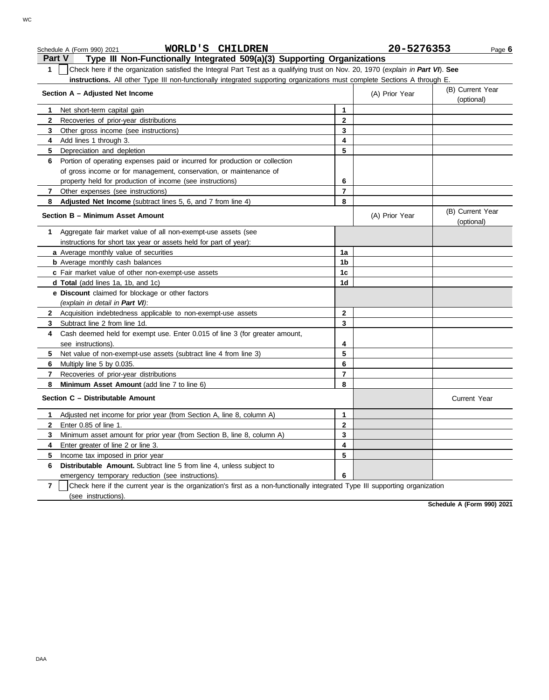|                | WORLD'S CHILDREN<br>Schedule A (Form 990) 2021                                                                                   |                | 20-5276353     | Page 6                         |
|----------------|----------------------------------------------------------------------------------------------------------------------------------|----------------|----------------|--------------------------------|
|                | Type III Non-Functionally Integrated 509(a)(3) Supporting Organizations<br>Part V                                                |                |                |                                |
| 1              | Check here if the organization satisfied the Integral Part Test as a qualifying trust on Nov. 20, 1970 (explain in Part VI). See |                |                |                                |
|                | instructions. All other Type III non-functionally integrated supporting organizations must complete Sections A through E.        |                |                |                                |
|                | Section A - Adjusted Net Income                                                                                                  |                | (A) Prior Year | (B) Current Year               |
|                |                                                                                                                                  |                |                | (optional)                     |
| 1              | Net short-term capital gain                                                                                                      | 1              |                |                                |
| $\mathbf{2}$   | Recoveries of prior-year distributions                                                                                           | 2              |                |                                |
| 3              | Other gross income (see instructions)                                                                                            | 3              |                |                                |
| 4              | Add lines 1 through 3.                                                                                                           | 4              |                |                                |
| 5              | Depreciation and depletion                                                                                                       | 5              |                |                                |
| 6              | Portion of operating expenses paid or incurred for production or collection                                                      |                |                |                                |
|                | of gross income or for management, conservation, or maintenance of                                                               |                |                |                                |
|                | property held for production of income (see instructions)                                                                        | 6              |                |                                |
| $\mathbf{7}$   | Other expenses (see instructions)                                                                                                | $\overline{7}$ |                |                                |
| 8              | Adjusted Net Income (subtract lines 5, 6, and 7 from line 4)                                                                     | 8              |                |                                |
|                | Section B - Minimum Asset Amount                                                                                                 |                | (A) Prior Year | (B) Current Year<br>(optional) |
| 1              | Aggregate fair market value of all non-exempt-use assets (see                                                                    |                |                |                                |
|                | instructions for short tax year or assets held for part of year):                                                                |                |                |                                |
|                | a Average monthly value of securities                                                                                            | 1a             |                |                                |
|                | <b>b</b> Average monthly cash balances                                                                                           | 1b             |                |                                |
|                | c Fair market value of other non-exempt-use assets                                                                               | 1c             |                |                                |
|                | d Total (add lines 1a, 1b, and 1c)                                                                                               | 1d             |                |                                |
|                | e Discount claimed for blockage or other factors<br>(explain in detail in Part VI):                                              |                |                |                                |
|                | 2 Acquisition indebtedness applicable to non-exempt-use assets                                                                   | 2              |                |                                |
| 3              | Subtract line 2 from line 1d.                                                                                                    | 3              |                |                                |
| 4              | Cash deemed held for exempt use. Enter 0.015 of line 3 (for greater amount,                                                      |                |                |                                |
|                | see instructions).                                                                                                               | 4              |                |                                |
| 5              | Net value of non-exempt-use assets (subtract line 4 from line 3)                                                                 | 5              |                |                                |
| 6              | Multiply line 5 by 0.035.                                                                                                        | 6              |                |                                |
| $\mathbf{7}$   | Recoveries of prior-year distributions                                                                                           | $\overline{7}$ |                |                                |
| 8              | Minimum Asset Amount (add line 7 to line 6)                                                                                      | 8              |                |                                |
|                | Section C - Distributable Amount                                                                                                 |                |                | <b>Current Year</b>            |
| 1              | Adjusted net income for prior year (from Section A, line 8, column A)                                                            | 1              |                |                                |
| $\mathbf{2}$   | Enter 0.85 of line 1.                                                                                                            | 2              |                |                                |
| 3              | Minimum asset amount for prior year (from Section B, line 8, column A)                                                           | 3              |                |                                |
| 4              | Enter greater of line 2 or line 3.                                                                                               | 4              |                |                                |
| 5              | Income tax imposed in prior year                                                                                                 | 5              |                |                                |
| 6              | Distributable Amount. Subtract line 5 from line 4, unless subject to                                                             |                |                |                                |
|                | emergency temporary reduction (see instructions).                                                                                | 6              |                |                                |
| $\overline{7}$ | Check here if the current year is the organization's first as a non-functionally integrated Type III supporting organization     |                |                |                                |
|                | (see instructions).                                                                                                              |                |                |                                |

**Schedule A (Form 990) 2021**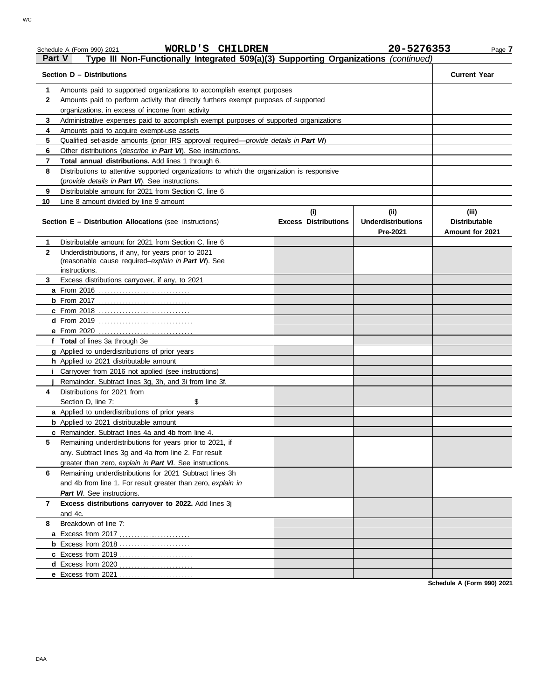### Schedule A (Form 990) 2021 Page **7 WORLD'S CHILDREN 20-5276353**

### **Part V Type III Non-Functionally Integrated 509(a)(3) Supporting Organizations** *(continued)*

| Section D - Distributions | <b>Current Year</b>                                                                                                                                           |                                    |                                               |                                                  |
|---------------------------|---------------------------------------------------------------------------------------------------------------------------------------------------------------|------------------------------------|-----------------------------------------------|--------------------------------------------------|
| 1                         |                                                                                                                                                               |                                    |                                               |                                                  |
| $\mathbf{2}$              | Amounts paid to supported organizations to accomplish exempt purposes<br>Amounts paid to perform activity that directly furthers exempt purposes of supported |                                    |                                               |                                                  |
|                           | organizations, in excess of income from activity                                                                                                              |                                    |                                               |                                                  |
| 3                         | Administrative expenses paid to accomplish exempt purposes of supported organizations                                                                         |                                    |                                               |                                                  |
| 4                         | Amounts paid to acquire exempt-use assets                                                                                                                     |                                    |                                               |                                                  |
| 5                         | Qualified set-aside amounts (prior IRS approval required-provide details in Part VI)                                                                          |                                    |                                               |                                                  |
| 6                         | Other distributions (describe in Part VI). See instructions.                                                                                                  |                                    |                                               |                                                  |
| 7                         | Total annual distributions. Add lines 1 through 6.                                                                                                            |                                    |                                               |                                                  |
| 8                         | Distributions to attentive supported organizations to which the organization is responsive                                                                    |                                    |                                               |                                                  |
|                           | (provide details in Part VI). See instructions.                                                                                                               |                                    |                                               |                                                  |
| 9                         | Distributable amount for 2021 from Section C, line 6                                                                                                          |                                    |                                               |                                                  |
| 10                        | Line 8 amount divided by line 9 amount                                                                                                                        |                                    |                                               |                                                  |
|                           | <b>Section E - Distribution Allocations (see instructions)</b>                                                                                                | (i)<br><b>Excess Distributions</b> | (ii)<br><b>Underdistributions</b><br>Pre-2021 | (iii)<br><b>Distributable</b><br>Amount for 2021 |
| 1                         | Distributable amount for 2021 from Section C, line 6                                                                                                          |                                    |                                               |                                                  |
| $\mathbf{2}$              | Underdistributions, if any, for years prior to 2021<br>(reasonable cause required-explain in Part VI). See<br>instructions.                                   |                                    |                                               |                                                  |
| 3                         | Excess distributions carryover, if any, to 2021                                                                                                               |                                    |                                               |                                                  |
|                           | a From 2016                                                                                                                                                   |                                    |                                               |                                                  |
|                           |                                                                                                                                                               |                                    |                                               |                                                  |
|                           | c From 2018                                                                                                                                                   |                                    |                                               |                                                  |
|                           |                                                                                                                                                               |                                    |                                               |                                                  |
|                           |                                                                                                                                                               |                                    |                                               |                                                  |
|                           | f Total of lines 3a through 3e                                                                                                                                |                                    |                                               |                                                  |
|                           | g Applied to underdistributions of prior years                                                                                                                |                                    |                                               |                                                  |
|                           | h Applied to 2021 distributable amount                                                                                                                        |                                    |                                               |                                                  |
|                           | <i>i</i> Carryover from 2016 not applied (see instructions)                                                                                                   |                                    |                                               |                                                  |
|                           | Remainder. Subtract lines 3g, 3h, and 3i from line 3f.                                                                                                        |                                    |                                               |                                                  |
| 4                         | Distributions for 2021 from                                                                                                                                   |                                    |                                               |                                                  |
|                           | \$<br>Section D, line 7:                                                                                                                                      |                                    |                                               |                                                  |
|                           | a Applied to underdistributions of prior years                                                                                                                |                                    |                                               |                                                  |
|                           | <b>b</b> Applied to 2021 distributable amount                                                                                                                 |                                    |                                               |                                                  |
|                           | c Remainder. Subtract lines 4a and 4b from line 4.                                                                                                            |                                    |                                               |                                                  |
|                           | Remaining underdistributions for years prior to 2021, if                                                                                                      |                                    |                                               |                                                  |
|                           | any. Subtract lines 3g and 4a from line 2. For result                                                                                                         |                                    |                                               |                                                  |
|                           | greater than zero, explain in Part VI. See instructions.                                                                                                      |                                    |                                               |                                                  |
| 6                         | Remaining underdistributions for 2021 Subtract lines 3h                                                                                                       |                                    |                                               |                                                  |
|                           | and 4b from line 1. For result greater than zero, explain in                                                                                                  |                                    |                                               |                                                  |
|                           | Part VI. See instructions.                                                                                                                                    |                                    |                                               |                                                  |
| $\overline{7}$            | Excess distributions carryover to 2022. Add lines 3j                                                                                                          |                                    |                                               |                                                  |
|                           | and 4c.                                                                                                                                                       |                                    |                                               |                                                  |
| 8                         | Breakdown of line 7:                                                                                                                                          |                                    |                                               |                                                  |
|                           |                                                                                                                                                               |                                    |                                               |                                                  |
|                           |                                                                                                                                                               |                                    |                                               |                                                  |
|                           |                                                                                                                                                               |                                    |                                               |                                                  |
|                           | d Excess from 2020                                                                                                                                            |                                    |                                               |                                                  |
|                           |                                                                                                                                                               |                                    |                                               |                                                  |

**Schedule A (Form 990) 2021**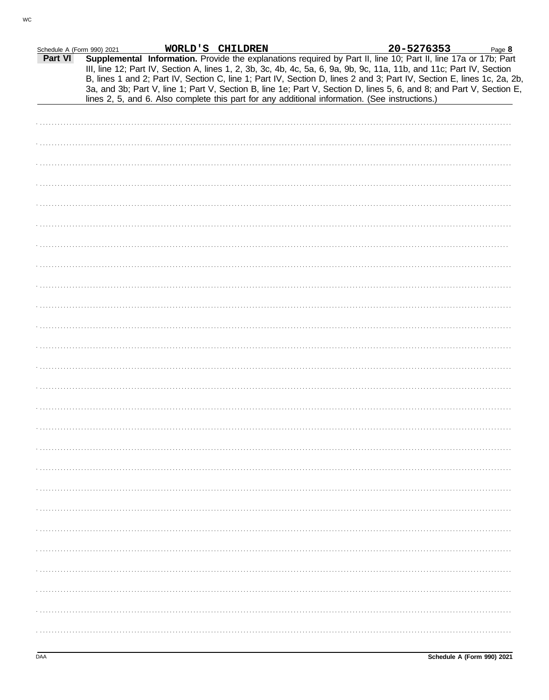| Schedule A (Form 990) 2021 |  | WORLD'S CHILDREN |                                                                                                                                                                                                                                                                                                                                                                                                                                                                                                                                                                                             | 20-5276353 | Page 8 |
|----------------------------|--|------------------|---------------------------------------------------------------------------------------------------------------------------------------------------------------------------------------------------------------------------------------------------------------------------------------------------------------------------------------------------------------------------------------------------------------------------------------------------------------------------------------------------------------------------------------------------------------------------------------------|------------|--------|
| Part VI                    |  |                  | Supplemental Information. Provide the explanations required by Part II, line 10; Part II, line 17a or 17b; Part<br>III, line 12; Part IV, Section A, lines 1, 2, 3b, 3c, 4b, 4c, 5a, 6, 9a, 9b, 9c, 11a, 11b, and 11c; Part IV, Section<br>B, lines 1 and 2; Part IV, Section C, line 1; Part IV, Section D, lines 2 and 3; Part IV, Section E, lines 1c, 2a, 2b,<br>3a, and 3b; Part V, line 1; Part V, Section B, line 1e; Part V, Section D, lines 5, 6, and 8; and Part V, Section E,<br>lines 2, 5, and 6. Also complete this part for any additional information. (See instructions.) |            |        |
|                            |  |                  |                                                                                                                                                                                                                                                                                                                                                                                                                                                                                                                                                                                             |            |        |
|                            |  |                  |                                                                                                                                                                                                                                                                                                                                                                                                                                                                                                                                                                                             |            |        |
|                            |  |                  |                                                                                                                                                                                                                                                                                                                                                                                                                                                                                                                                                                                             |            |        |
|                            |  |                  |                                                                                                                                                                                                                                                                                                                                                                                                                                                                                                                                                                                             |            |        |
|                            |  |                  |                                                                                                                                                                                                                                                                                                                                                                                                                                                                                                                                                                                             |            |        |
|                            |  |                  |                                                                                                                                                                                                                                                                                                                                                                                                                                                                                                                                                                                             |            |        |
|                            |  |                  |                                                                                                                                                                                                                                                                                                                                                                                                                                                                                                                                                                                             |            |        |
|                            |  |                  |                                                                                                                                                                                                                                                                                                                                                                                                                                                                                                                                                                                             |            |        |
|                            |  |                  |                                                                                                                                                                                                                                                                                                                                                                                                                                                                                                                                                                                             |            |        |
|                            |  |                  |                                                                                                                                                                                                                                                                                                                                                                                                                                                                                                                                                                                             |            |        |
|                            |  |                  |                                                                                                                                                                                                                                                                                                                                                                                                                                                                                                                                                                                             |            |        |
|                            |  |                  |                                                                                                                                                                                                                                                                                                                                                                                                                                                                                                                                                                                             |            |        |
|                            |  |                  |                                                                                                                                                                                                                                                                                                                                                                                                                                                                                                                                                                                             |            |        |
|                            |  |                  |                                                                                                                                                                                                                                                                                                                                                                                                                                                                                                                                                                                             |            |        |
|                            |  |                  |                                                                                                                                                                                                                                                                                                                                                                                                                                                                                                                                                                                             |            |        |
|                            |  |                  |                                                                                                                                                                                                                                                                                                                                                                                                                                                                                                                                                                                             |            |        |
|                            |  |                  |                                                                                                                                                                                                                                                                                                                                                                                                                                                                                                                                                                                             |            |        |
|                            |  |                  |                                                                                                                                                                                                                                                                                                                                                                                                                                                                                                                                                                                             |            |        |
|                            |  |                  |                                                                                                                                                                                                                                                                                                                                                                                                                                                                                                                                                                                             |            |        |
|                            |  |                  |                                                                                                                                                                                                                                                                                                                                                                                                                                                                                                                                                                                             |            |        |
|                            |  |                  |                                                                                                                                                                                                                                                                                                                                                                                                                                                                                                                                                                                             |            |        |
|                            |  |                  |                                                                                                                                                                                                                                                                                                                                                                                                                                                                                                                                                                                             |            |        |
|                            |  |                  |                                                                                                                                                                                                                                                                                                                                                                                                                                                                                                                                                                                             |            |        |
|                            |  |                  |                                                                                                                                                                                                                                                                                                                                                                                                                                                                                                                                                                                             |            |        |
|                            |  |                  |                                                                                                                                                                                                                                                                                                                                                                                                                                                                                                                                                                                             |            |        |
|                            |  |                  |                                                                                                                                                                                                                                                                                                                                                                                                                                                                                                                                                                                             |            |        |
|                            |  |                  |                                                                                                                                                                                                                                                                                                                                                                                                                                                                                                                                                                                             |            |        |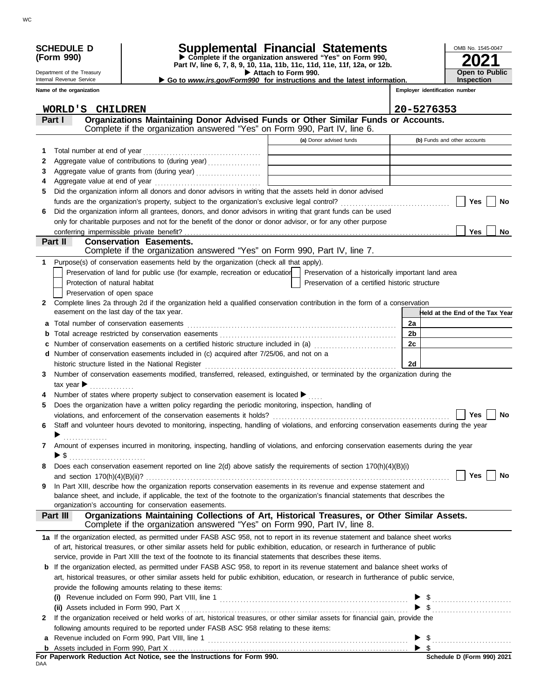|              | <b>SCHEDULE D</b><br>(Form 990)                        |                                                                                                                                                                | Supplemental Financial Statements<br>Complete if the organization answered "Yes" on Form 990,        |  |                | OMB No. 1545-0047                   |
|--------------|--------------------------------------------------------|----------------------------------------------------------------------------------------------------------------------------------------------------------------|------------------------------------------------------------------------------------------------------|--|----------------|-------------------------------------|
|              |                                                        |                                                                                                                                                                | Part IV, line 6, 7, 8, 9, 10, 11a, 11b, 11c, 11d, 11e, 11f, 12a, or 12b.                             |  |                |                                     |
|              | Department of the Treasury<br>Internal Revenue Service |                                                                                                                                                                | Attach to Form 990.<br>Go to www.irs.gov/Form990 for instructions and the latest information.        |  |                | <b>Open to Public</b><br>Inspection |
|              | Name of the organization                               |                                                                                                                                                                |                                                                                                      |  |                | Employer identification number      |
|              |                                                        |                                                                                                                                                                |                                                                                                      |  |                |                                     |
|              | WORLD'S CHILDREN                                       |                                                                                                                                                                | 20-5276353                                                                                           |  |                |                                     |
|              | Part I                                                 | Organizations Maintaining Donor Advised Funds or Other Similar Funds or Accounts.<br>Complete if the organization answered "Yes" on Form 990, Part IV, line 6. |                                                                                                      |  |                |                                     |
|              |                                                        |                                                                                                                                                                | (a) Donor advised funds                                                                              |  |                | (b) Funds and other accounts        |
| 1.           |                                                        |                                                                                                                                                                |                                                                                                      |  |                |                                     |
| 2            |                                                        | Aggregate value of contributions to (during year)                                                                                                              |                                                                                                      |  |                |                                     |
| 3            |                                                        | Aggregate value of grants from (during year)                                                                                                                   |                                                                                                      |  |                |                                     |
| 4            |                                                        |                                                                                                                                                                |                                                                                                      |  |                |                                     |
| 5            |                                                        | Did the organization inform all donors and donor advisors in writing that the assets held in donor advised                                                     |                                                                                                      |  |                |                                     |
| 6            |                                                        | Did the organization inform all grantees, donors, and donor advisors in writing that grant funds can be used                                                   |                                                                                                      |  |                | Yes<br>No                           |
|              |                                                        | only for charitable purposes and not for the benefit of the donor or donor advisor, or for any other purpose                                                   |                                                                                                      |  |                |                                     |
|              |                                                        |                                                                                                                                                                |                                                                                                      |  |                | <b>Yes</b><br><b>No</b>             |
|              | <b>Part II</b>                                         | <b>Conservation Easements.</b>                                                                                                                                 |                                                                                                      |  |                |                                     |
|              |                                                        | Complete if the organization answered "Yes" on Form 990, Part IV, line 7.                                                                                      |                                                                                                      |  |                |                                     |
| 1            |                                                        | Purpose(s) of conservation easements held by the organization (check all that apply).                                                                          |                                                                                                      |  |                |                                     |
|              | Protection of natural habitat                          | Preservation of land for public use (for example, recreation or education                                                                                      | Preservation of a historically important land area<br>Preservation of a certified historic structure |  |                |                                     |
|              | Preservation of open space                             |                                                                                                                                                                |                                                                                                      |  |                |                                     |
|              |                                                        | 2 Complete lines 2a through 2d if the organization held a qualified conservation contribution in the form of a conservation                                    |                                                                                                      |  |                |                                     |
|              |                                                        | easement on the last day of the tax year.                                                                                                                      |                                                                                                      |  |                | Held at the End of the Tax Year     |
| a            |                                                        |                                                                                                                                                                |                                                                                                      |  | 2a             |                                     |
| b            |                                                        |                                                                                                                                                                |                                                                                                      |  | 2 <sub>b</sub> |                                     |
|              |                                                        | Number of conservation easements on a certified historic structure included in (a)                                                                             |                                                                                                      |  | 2c             |                                     |
| d            |                                                        | Number of conservation easements included in (c) acquired after 7/25/06, and not on a                                                                          |                                                                                                      |  |                |                                     |
| 3            |                                                        | Number of conservation easements modified, transferred, released, extinguished, or terminated by the organization during the                                   |                                                                                                      |  | 2d             |                                     |
|              | tax year $\blacktriangleright$                         |                                                                                                                                                                |                                                                                                      |  |                |                                     |
|              |                                                        | Number of states where property subject to conservation easement is located ▶                                                                                  |                                                                                                      |  |                |                                     |
| 5            |                                                        | Does the organization have a written policy regarding the periodic monitoring, inspection, handling of                                                         |                                                                                                      |  |                |                                     |
|              |                                                        |                                                                                                                                                                |                                                                                                      |  |                | Yes<br>No                           |
| 6            |                                                        | Staff and volunteer hours devoted to monitoring, inspecting, handling of violations, and enforcing conservation easements during the year                      |                                                                                                      |  |                |                                     |
|              |                                                        |                                                                                                                                                                |                                                                                                      |  |                |                                     |
| $\mathbf{7}$ |                                                        | Amount of expenses incurred in monitoring, inspecting, handling of violations, and enforcing conservation easements during the year                            |                                                                                                      |  |                |                                     |
| 8            | $\triangleright$ \$                                    | Does each conservation easement reported on line 2(d) above satisfy the requirements of section 170(h)(4)(B)(i)                                                |                                                                                                      |  |                |                                     |
|              |                                                        |                                                                                                                                                                |                                                                                                      |  |                | Yes<br>No                           |
| 9            |                                                        | In Part XIII, describe how the organization reports conservation easements in its revenue and expense statement and                                            |                                                                                                      |  |                |                                     |
|              |                                                        | balance sheet, and include, if applicable, the text of the footnote to the organization's financial statements that describes the                              |                                                                                                      |  |                |                                     |
|              |                                                        | organization's accounting for conservation easements.<br>Organizations Maintaining Collections of Art, Historical Treasures, or Other Similar Assets.          |                                                                                                      |  |                |                                     |
|              | Part III                                               | Complete if the organization answered "Yes" on Form 990, Part IV, line 8.                                                                                      |                                                                                                      |  |                |                                     |
|              |                                                        | 1a If the organization elected, as permitted under FASB ASC 958, not to report in its revenue statement and balance sheet works                                |                                                                                                      |  |                |                                     |
|              |                                                        | of art, historical treasures, or other similar assets held for public exhibition, education, or research in furtherance of public                              |                                                                                                      |  |                |                                     |
|              |                                                        | service, provide in Part XIII the text of the footnote to its financial statements that describes these items.                                                 |                                                                                                      |  |                |                                     |
|              |                                                        | <b>b</b> If the organization elected, as permitted under FASB ASC 958, to report in its revenue statement and balance sheet works of                           |                                                                                                      |  |                |                                     |
|              |                                                        | art, historical treasures, or other similar assets held for public exhibition, education, or research in furtherance of public service,                        |                                                                                                      |  |                |                                     |
|              |                                                        | provide the following amounts relating to these items:                                                                                                         |                                                                                                      |  |                |                                     |
|              |                                                        | (i) Revenue included on Form 990, Part VIII, line 1 $\ldots$ $\ldots$ $\ldots$ $\ldots$ $\ldots$ $\ldots$ $\ldots$ $\ldots$ $\ldots$ $\ldots$                  |                                                                                                      |  |                | $\triangleright$ \$                 |
| 2            |                                                        | If the organization received or held works of art, historical treasures, or other similar assets for financial gain, provide the                               |                                                                                                      |  |                |                                     |
|              |                                                        | following amounts required to be reported under FASB ASC 958 relating to these items:                                                                          |                                                                                                      |  |                |                                     |
|              |                                                        |                                                                                                                                                                |                                                                                                      |  |                | $\triangleright$ \$                 |
|              |                                                        |                                                                                                                                                                |                                                                                                      |  |                |                                     |

**For Paperwork Reduction Act Notice, see the Instructions for Form 990.**<br><sub>DAA</sub>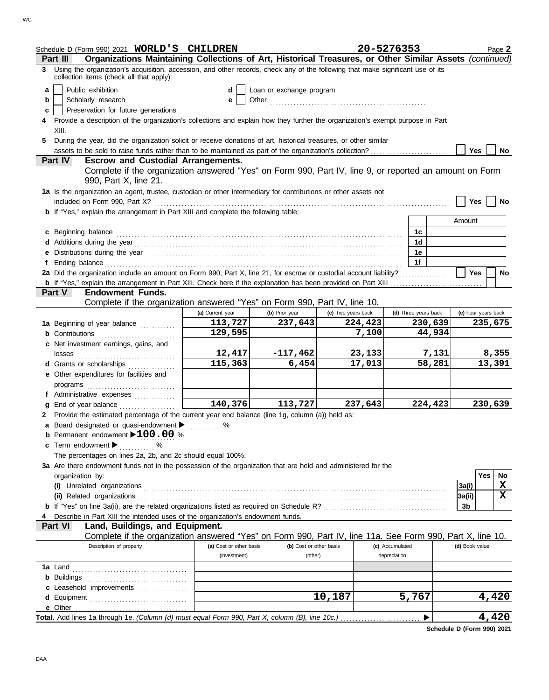| Schedule D (Form 990) 2021 WORLD'S CHILDREN                                                                                                                                                                                    |                         |                          |                    | 20-5276353           |         |                     | Page 2  |
|--------------------------------------------------------------------------------------------------------------------------------------------------------------------------------------------------------------------------------|-------------------------|--------------------------|--------------------|----------------------|---------|---------------------|---------|
| Organizations Maintaining Collections of Art, Historical Treasures, or Other Similar Assets (continued)<br>Part III                                                                                                            |                         |                          |                    |                      |         |                     |         |
| 3 Using the organization's acquisition, accession, and other records, check any of the following that make significant use of its<br>collection items (check all that apply):                                                  |                         |                          |                    |                      |         |                     |         |
| Public exhibition<br>a                                                                                                                                                                                                         | d                       | Loan or exchange program |                    |                      |         |                     |         |
| Scholarly research<br>b                                                                                                                                                                                                        | е                       |                          |                    |                      |         |                     |         |
| Preservation for future generations<br>c                                                                                                                                                                                       |                         |                          |                    |                      |         |                     |         |
| 4 Provide a description of the organization's collections and explain how they further the organization's exempt purpose in Part<br>XIII.                                                                                      |                         |                          |                    |                      |         |                     |         |
| During the year, did the organization solicit or receive donations of art, historical treasures, or other similar<br>5.                                                                                                        |                         |                          |                    |                      |         |                     |         |
|                                                                                                                                                                                                                                |                         |                          |                    |                      |         | Yes                 | No      |
| <b>Part IV</b><br><b>Escrow and Custodial Arrangements.</b>                                                                                                                                                                    |                         |                          |                    |                      |         |                     |         |
| Complete if the organization answered "Yes" on Form 990, Part IV, line 9, or reported an amount on Form<br>990, Part X, line 21.                                                                                               |                         |                          |                    |                      |         |                     |         |
| 1a Is the organization an agent, trustee, custodian or other intermediary for contributions or other assets not                                                                                                                |                         |                          |                    |                      |         |                     |         |
|                                                                                                                                                                                                                                |                         |                          |                    |                      |         | <b>Yes</b>          | No      |
| <b>b</b> If "Yes," explain the arrangement in Part XIII and complete the following table:                                                                                                                                      |                         |                          |                    |                      |         |                     |         |
|                                                                                                                                                                                                                                |                         |                          |                    |                      |         | Amount              |         |
| c Beginning balance encourance and a series of the series of the series of the series of the series of the series of the series of the series of the series of the series of the series of the series of the series of the ser |                         |                          |                    | 1c                   |         |                     |         |
|                                                                                                                                                                                                                                |                         |                          |                    | 1d                   |         |                     |         |
|                                                                                                                                                                                                                                |                         |                          |                    | 1e                   |         |                     |         |
| Ending balance contains and account of the contact of the contact of the contact of the contact of the contact of the contact of the contact of the contact of the contact of the contact of the contact of the contact of the |                         |                          |                    | 1f                   |         |                     |         |
| 2a Did the organization include an amount on Form 990, Part X, line 21, for escrow or custodial account liability?                                                                                                             |                         |                          |                    |                      |         | <b>Yes</b>          | No      |
|                                                                                                                                                                                                                                |                         |                          |                    |                      |         |                     |         |
| <b>Endowment Funds.</b><br><b>Part V</b>                                                                                                                                                                                       |                         |                          |                    |                      |         |                     |         |
| Complete if the organization answered "Yes" on Form 990, Part IV, line 10.                                                                                                                                                     |                         |                          |                    |                      |         |                     |         |
|                                                                                                                                                                                                                                | (a) Current year        | (b) Prior year           | (c) Two years back | (d) Three years back |         | (e) Four years back |         |
| 1a Beginning of year balance                                                                                                                                                                                                   | 113,727                 | 237,643                  | 224,423            |                      | 230,639 |                     | 235,675 |
|                                                                                                                                                                                                                                | 129,595                 |                          | 7,100              |                      | 44,934  |                     |         |
| c Net investment earnings, gains, and                                                                                                                                                                                          |                         |                          |                    |                      |         |                     |         |
|                                                                                                                                                                                                                                | 12,417<br>115,363       | $-117,462$               | 23,133             |                      | 7,131   |                     | 8,355   |
| d Grants or scholarships                                                                                                                                                                                                       |                         | 6,454                    | 17,013             |                      | 58,281  |                     | 13,391  |
| e Other expenditures for facilities and                                                                                                                                                                                        |                         |                          |                    |                      |         |                     |         |
|                                                                                                                                                                                                                                |                         |                          |                    |                      |         |                     |         |
| f Administrative expenses<br><b>g</b> End of year balance $\ldots$                                                                                                                                                             | 140,376                 | 113,727                  | 237,643            |                      | 224,423 |                     | 230,639 |
| 2 Provide the estimated percentage of the current year end balance (line 1g, column (a)) held as:                                                                                                                              |                         |                          |                    |                      |         |                     |         |
| <b>a</b> Board designated or quasi-endowment                                                                                                                                                                                   |                         |                          |                    |                      |         |                     |         |
| <b>b</b> Permanent endowment $\blacktriangleright$ 100.00 %                                                                                                                                                                    |                         |                          |                    |                      |         |                     |         |
| c Term endowment $\blacktriangleright$                                                                                                                                                                                         |                         |                          |                    |                      |         |                     |         |
| . %<br>The percentages on lines 2a, 2b, and 2c should equal 100%.                                                                                                                                                              |                         |                          |                    |                      |         |                     |         |
| 3a Are there endowment funds not in the possession of the organization that are held and administered for the                                                                                                                  |                         |                          |                    |                      |         |                     |         |
| organization by:                                                                                                                                                                                                               |                         |                          |                    |                      |         | Yes                 | No      |
|                                                                                                                                                                                                                                |                         |                          |                    |                      |         | 3a(i)               | X       |
|                                                                                                                                                                                                                                |                         |                          |                    |                      |         | 3a(ii)              | X       |
|                                                                                                                                                                                                                                |                         |                          |                    |                      |         | 3b                  |         |
| Describe in Part XIII the intended uses of the organization's endowment funds.                                                                                                                                                 |                         |                          |                    |                      |         |                     |         |
| Land, Buildings, and Equipment.<br>Part VI                                                                                                                                                                                     |                         |                          |                    |                      |         |                     |         |
| Complete if the organization answered "Yes" on Form 990, Part IV, line 11a. See Form 990, Part X, line 10.                                                                                                                     |                         |                          |                    |                      |         |                     |         |
| Description of property                                                                                                                                                                                                        | (a) Cost or other basis | (b) Cost or other basis  |                    | (c) Accumulated      |         | (d) Book value      |         |
|                                                                                                                                                                                                                                | (investment)            | (other)                  |                    | depreciation         |         |                     |         |
|                                                                                                                                                                                                                                |                         |                          |                    |                      |         |                     |         |
|                                                                                                                                                                                                                                |                         |                          |                    |                      |         |                     |         |
| c Leasehold improvements                                                                                                                                                                                                       |                         |                          |                    |                      |         |                     |         |
| d Equipment                                                                                                                                                                                                                    |                         |                          | 10,187             | 5,767                |         |                     | 4,420   |
| e Other                                                                                                                                                                                                                        |                         |                          |                    |                      |         |                     |         |
| Total. Add lines 1a through 1e. (Column (d) must equal Form 990, Part X, column (B), line 10c.)                                                                                                                                |                         |                          |                    |                      |         |                     | 4,420   |
|                                                                                                                                                                                                                                |                         |                          |                    |                      |         |                     |         |

**Schedule D (Form 990) 2021**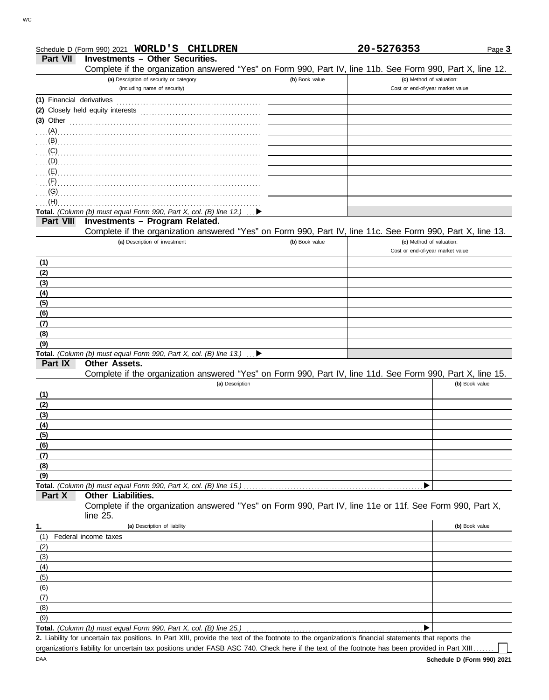| Part VII                  | <b>Investments - Other Securities.</b><br>Complete if the organization answered "Yes" on Form 990, Part IV, line 11b. See Form 990, Part X, line 12. |                |                                                              |
|---------------------------|------------------------------------------------------------------------------------------------------------------------------------------------------|----------------|--------------------------------------------------------------|
|                           | (a) Description of security or category                                                                                                              | (b) Book value | (c) Method of valuation:                                     |
|                           | (including name of security)                                                                                                                         |                | Cost or end-of-year market value                             |
| (1) Financial derivatives |                                                                                                                                                      |                |                                                              |
|                           |                                                                                                                                                      |                |                                                              |
|                           | $(3)$ Other                                                                                                                                          |                |                                                              |
|                           |                                                                                                                                                      |                |                                                              |
|                           |                                                                                                                                                      |                |                                                              |
|                           |                                                                                                                                                      |                |                                                              |
|                           |                                                                                                                                                      |                |                                                              |
|                           |                                                                                                                                                      |                |                                                              |
|                           |                                                                                                                                                      |                |                                                              |
|                           |                                                                                                                                                      |                |                                                              |
| (H)                       |                                                                                                                                                      |                |                                                              |
|                           | Total. (Column (b) must equal Form 990, Part X, col. (B) line 12.)                                                                                   |                |                                                              |
| Part VIII                 | Investments - Program Related.                                                                                                                       |                |                                                              |
|                           | Complete if the organization answered "Yes" on Form 990, Part IV, line 11c. See Form 990, Part X, line 13.<br>(a) Description of investment          |                |                                                              |
|                           |                                                                                                                                                      | (b) Book value | (c) Method of valuation:<br>Cost or end-of-year market value |
|                           |                                                                                                                                                      |                |                                                              |
| (1)                       |                                                                                                                                                      |                |                                                              |
| (2)                       |                                                                                                                                                      |                |                                                              |
| (3)<br>(4)                |                                                                                                                                                      |                |                                                              |
| (5)                       |                                                                                                                                                      |                |                                                              |
| (6)                       |                                                                                                                                                      |                |                                                              |
| (7)                       |                                                                                                                                                      |                |                                                              |
| (8)                       |                                                                                                                                                      |                |                                                              |
| (9)                       |                                                                                                                                                      |                |                                                              |
|                           | Total. (Column (b) must equal Form 990, Part X, col. (B) line 13.)<br>▶                                                                              |                |                                                              |
| Part IX                   | Other Assets.                                                                                                                                        |                |                                                              |
|                           | Complete if the organization answered "Yes" on Form 990, Part IV, line 11d. See Form 990, Part X, line 15.                                           |                |                                                              |
|                           | (a) Description                                                                                                                                      |                | (b) Book value                                               |
| (1)                       |                                                                                                                                                      |                |                                                              |
| (2)                       |                                                                                                                                                      |                |                                                              |
| (3)                       |                                                                                                                                                      |                |                                                              |
| (4)                       |                                                                                                                                                      |                |                                                              |
| (5)                       |                                                                                                                                                      |                |                                                              |
| (6)                       |                                                                                                                                                      |                |                                                              |
| (7)                       |                                                                                                                                                      |                |                                                              |
| (8)                       |                                                                                                                                                      |                |                                                              |
| (9)                       |                                                                                                                                                      |                |                                                              |
|                           | Total. (Column (b) must equal Form 990, Part X, col. (B) line 15.)                                                                                   |                |                                                              |
| Part X                    | <b>Other Liabilities.</b><br>Complete if the organization answered "Yes" on Form 990, Part IV, line 11e or 11f. See Form 990, Part X,                |                |                                                              |
|                           | line 25.                                                                                                                                             |                |                                                              |
|                           | (a) Description of liability                                                                                                                         |                | (b) Book value                                               |
| 1.<br>(1)                 | Federal income taxes                                                                                                                                 |                |                                                              |
| (2)                       |                                                                                                                                                      |                |                                                              |
| (3)                       |                                                                                                                                                      |                |                                                              |
| (4)                       |                                                                                                                                                      |                |                                                              |
| (5)                       |                                                                                                                                                      |                |                                                              |
| (6)                       |                                                                                                                                                      |                |                                                              |
| (7)                       |                                                                                                                                                      |                |                                                              |
| (8)                       |                                                                                                                                                      |                |                                                              |
| (9)                       |                                                                                                                                                      |                |                                                              |
|                           | Total. (Column (b) must equal Form 990, Part X, col. (B) line 25.)                                                                                   |                |                                                              |
|                           |                                                                                                                                                      |                |                                                              |

Schedule D (Form 990) 2021 **WORLD'S CHILDREN 20-5276353**

Liability for uncertain tax positions. In Part XIII, provide the text of the footnote to the organization's financial statements that reports the **2.** organization's liability for uncertain tax positions under FASB ASC 740. Check here if the text of the footnote has been provided in Part XIII.

─∟

Page **3**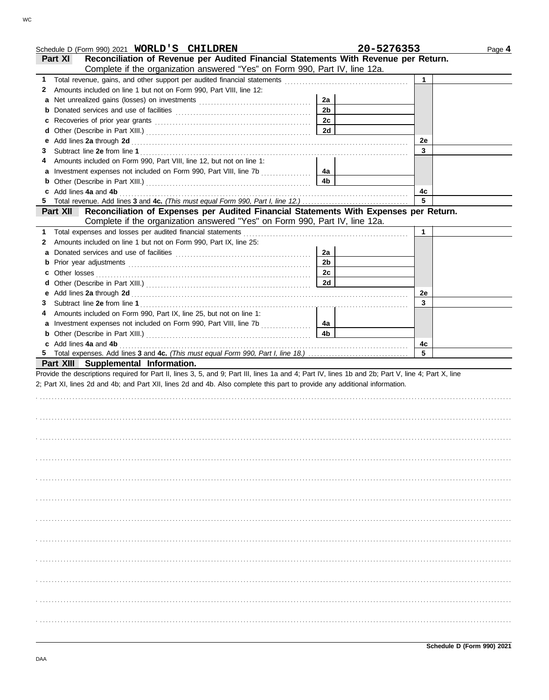|   | Schedule D (Form 990) 2021 WORLD'S CHILDREN                                                                                                                                                                                    | 20-5276353           | Page 4  |
|---|--------------------------------------------------------------------------------------------------------------------------------------------------------------------------------------------------------------------------------|----------------------|---------|
|   | Reconciliation of Revenue per Audited Financial Statements With Revenue per Return.<br><b>Part XI</b>                                                                                                                          |                      |         |
|   | Complete if the organization answered "Yes" on Form 990, Part IV, line 12a.                                                                                                                                                    |                      |         |
|   |                                                                                                                                                                                                                                |                      | 1.      |
| 2 | Amounts included on line 1 but not on Form 990, Part VIII, line 12:                                                                                                                                                            |                      |         |
| a |                                                                                                                                                                                                                                | 2a                   |         |
| b |                                                                                                                                                                                                                                | 2 <sub>b</sub>       |         |
| c | Recoveries of prior year grants [11] Recoveries of prior year grants [11] All and the context of the context of the context of the context of the context of the context of the context of the context of the context of the c | 2c                   |         |
| d |                                                                                                                                                                                                                                | <b>2d</b>            |         |
| е |                                                                                                                                                                                                                                |                      | 2e      |
| 3 |                                                                                                                                                                                                                                |                      | 3       |
| 4 | Amounts included on Form 990, Part VIII, line 12, but not on line 1:                                                                                                                                                           |                      |         |
|   |                                                                                                                                                                                                                                | 4a                   |         |
| b |                                                                                                                                                                                                                                | 4 <sub>b</sub>       |         |
|   | c Add lines 4a and 4b                                                                                                                                                                                                          |                      | 4с      |
|   |                                                                                                                                                                                                                                |                      | 5       |
|   | Reconciliation of Expenses per Audited Financial Statements With Expenses per Return.<br><b>Part XII</b>                                                                                                                       |                      |         |
|   | Complete if the organization answered "Yes" on Form 990, Part IV, line 12a.                                                                                                                                                    |                      |         |
|   |                                                                                                                                                                                                                                |                      | 1       |
| 2 | Amounts included on line 1 but not on Form 990, Part IX, line 25:                                                                                                                                                              |                      |         |
| a |                                                                                                                                                                                                                                | 2a                   |         |
| b |                                                                                                                                                                                                                                | 2 <sub>b</sub>       |         |
| c |                                                                                                                                                                                                                                | 2c                   |         |
| d |                                                                                                                                                                                                                                | 2d                   |         |
|   |                                                                                                                                                                                                                                |                      | 2e      |
| 3 |                                                                                                                                                                                                                                |                      | 3       |
|   |                                                                                                                                                                                                                                |                      |         |
| 4 | Amounts included on Form 990, Part IX, line 25, but not on line 1:                                                                                                                                                             |                      |         |
|   | a Investment expenses not included on Form 990, Part VIII, line 7b                                                                                                                                                             | 4a<br>4 <sub>b</sub> |         |
|   |                                                                                                                                                                                                                                |                      |         |
|   | c Add lines 4a and 4b                                                                                                                                                                                                          |                      | 4с<br>5 |
|   |                                                                                                                                                                                                                                |                      |         |
|   | Part XIII Supplemental Information.                                                                                                                                                                                            |                      |         |
|   | Provide the descriptions required for Part II, lines 3, 5, and 9; Part III, lines 1a and 4; Part IV, lines 1b and 2b; Part V, line 4; Part X, line                                                                             |                      |         |
|   | 2; Part XI, lines 2d and 4b; and Part XII, lines 2d and 4b. Also complete this part to provide any additional information.                                                                                                     |                      |         |
|   |                                                                                                                                                                                                                                |                      |         |
|   |                                                                                                                                                                                                                                |                      |         |
|   |                                                                                                                                                                                                                                |                      |         |
|   |                                                                                                                                                                                                                                |                      |         |
|   |                                                                                                                                                                                                                                |                      |         |
|   |                                                                                                                                                                                                                                |                      |         |
|   |                                                                                                                                                                                                                                |                      |         |
|   |                                                                                                                                                                                                                                |                      |         |
|   |                                                                                                                                                                                                                                |                      |         |
|   |                                                                                                                                                                                                                                |                      |         |
|   |                                                                                                                                                                                                                                |                      |         |
|   |                                                                                                                                                                                                                                |                      |         |
|   |                                                                                                                                                                                                                                |                      |         |
|   |                                                                                                                                                                                                                                |                      |         |
|   |                                                                                                                                                                                                                                |                      |         |
|   |                                                                                                                                                                                                                                |                      |         |
|   |                                                                                                                                                                                                                                |                      |         |
|   |                                                                                                                                                                                                                                |                      |         |
|   |                                                                                                                                                                                                                                |                      |         |
|   |                                                                                                                                                                                                                                |                      |         |
|   |                                                                                                                                                                                                                                |                      |         |
|   |                                                                                                                                                                                                                                |                      |         |
|   |                                                                                                                                                                                                                                |                      |         |
|   |                                                                                                                                                                                                                                |                      |         |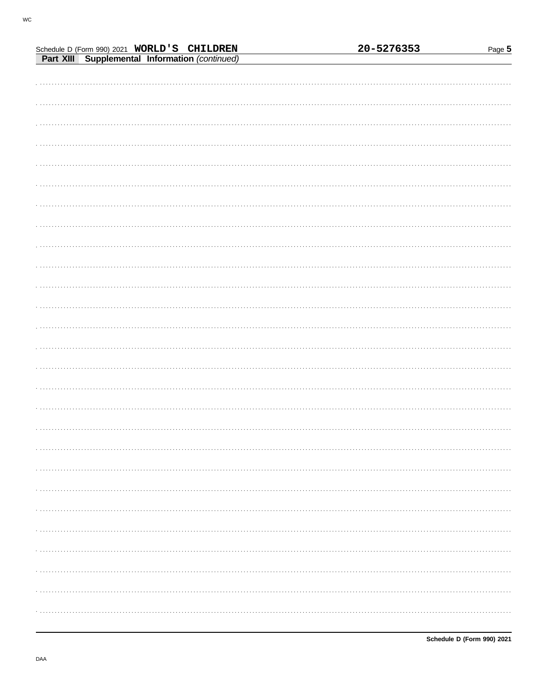|                                                                                               |  | 20-5276353 | Page $5$ |
|-----------------------------------------------------------------------------------------------|--|------------|----------|
| Schedule D (Form 990) 2021 WORLD'S CHILDREN<br>Part XIII Supplemental Information (continued) |  |            |          |
|                                                                                               |  |            |          |
|                                                                                               |  |            |          |
|                                                                                               |  |            |          |
|                                                                                               |  |            |          |
|                                                                                               |  |            |          |
|                                                                                               |  |            |          |
|                                                                                               |  |            |          |
|                                                                                               |  |            |          |
|                                                                                               |  |            |          |
|                                                                                               |  |            |          |
|                                                                                               |  |            |          |
|                                                                                               |  |            |          |
|                                                                                               |  |            |          |
|                                                                                               |  |            |          |
|                                                                                               |  |            |          |
|                                                                                               |  |            |          |
|                                                                                               |  |            |          |
|                                                                                               |  |            |          |
|                                                                                               |  |            |          |
|                                                                                               |  |            |          |
|                                                                                               |  |            |          |
|                                                                                               |  |            |          |
|                                                                                               |  |            |          |
|                                                                                               |  |            |          |
|                                                                                               |  |            |          |
|                                                                                               |  |            |          |
|                                                                                               |  |            |          |
|                                                                                               |  |            |          |
|                                                                                               |  |            |          |
|                                                                                               |  |            |          |
|                                                                                               |  |            |          |
|                                                                                               |  |            |          |
|                                                                                               |  |            |          |
|                                                                                               |  |            |          |
|                                                                                               |  |            |          |
|                                                                                               |  |            |          |
|                                                                                               |  |            |          |
|                                                                                               |  |            |          |
|                                                                                               |  |            |          |
|                                                                                               |  |            |          |
|                                                                                               |  |            |          |
|                                                                                               |  |            |          |
|                                                                                               |  |            |          |
|                                                                                               |  |            |          |
|                                                                                               |  |            |          |
|                                                                                               |  |            |          |
|                                                                                               |  |            |          |
|                                                                                               |  |            |          |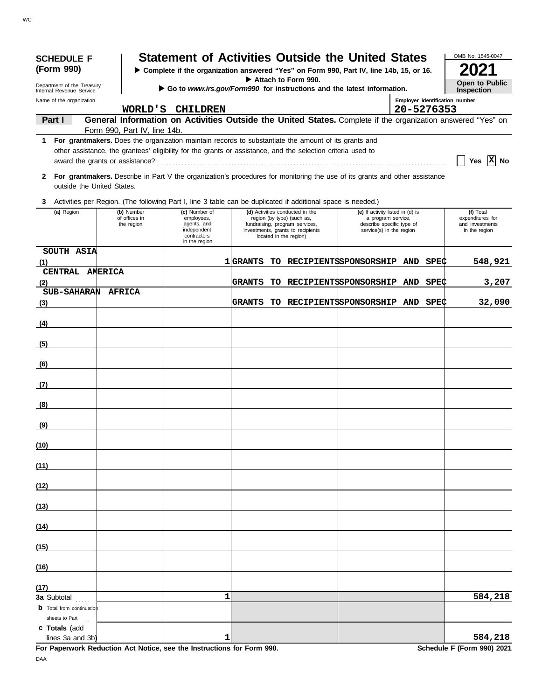| <b>SCHEDULE F</b>                                      |                              | <b>Statement of Activities Outside the United States</b>                                                                    |                 |                                                                                                                             |                                                                             |            |      | OMB No. 1545-0047                                                                                           |
|--------------------------------------------------------|------------------------------|-----------------------------------------------------------------------------------------------------------------------------|-----------------|-----------------------------------------------------------------------------------------------------------------------------|-----------------------------------------------------------------------------|------------|------|-------------------------------------------------------------------------------------------------------------|
| (Form 990)                                             |                              | > Complete if the organization answered "Yes" on Form 990, Part IV, line 14b, 15, or 16.                                    |                 | Attach to Form 990.                                                                                                         |                                                                             |            |      |                                                                                                             |
| Department of the Treasury<br>Internal Revenue Service |                              | Go to www.irs.gov/Form990 for instructions and the latest information.                                                      |                 |                                                                                                                             |                                                                             |            |      | <b>Open to Public</b><br><b>Inspection</b>                                                                  |
| Name of the organization                               |                              | WORLD'S CHILDREN                                                                                                            |                 |                                                                                                                             |                                                                             | 20-5276353 |      | Employer identification number                                                                              |
| Part I                                                 |                              |                                                                                                                             |                 |                                                                                                                             |                                                                             |            |      | General Information on Activities Outside the United States. Complete if the organization answered "Yes" on |
| 1.                                                     | Form 990, Part IV, line 14b. | For grantmakers. Does the organization maintain records to substantiate the amount of its grants and                        |                 |                                                                                                                             |                                                                             |            |      |                                                                                                             |
|                                                        |                              | other assistance, the grantees' eligibility for the grants or assistance, and the selection criteria used to                |                 |                                                                                                                             |                                                                             |            |      | Yes $ X $ No                                                                                                |
| 2<br>outside the United States.                        |                              | For grantmakers. Describe in Part V the organization's procedures for monitoring the use of its grants and other assistance |                 |                                                                                                                             |                                                                             |            |      |                                                                                                             |
| 3                                                      |                              | Activities per Region. (The following Part I, line 3 table can be duplicated if additional space is needed.)                |                 |                                                                                                                             |                                                                             |            |      |                                                                                                             |
| (a) Region                                             | (b) Number                   | (c) Number of                                                                                                               |                 | (d) Activities conducted in the                                                                                             | (e) If activity listed in (d) is                                            |            |      | (f) Total                                                                                                   |
|                                                        | of offices in<br>the region  | employees,<br>agents, and<br>independent<br>contractors<br>in the region                                                    |                 | region (by type) (such as,<br>fundraising, program services,<br>investments, grants to recipients<br>located in the region) | a program service,<br>describe specific type of<br>service(s) in the region |            |      | expenditures for<br>and investments<br>in the region                                                        |
| SOUTH ASIA<br>(1)                                      |                              |                                                                                                                             | <b>1 GRANTS</b> | TO RECIPIENTSSPONSORSHIP AND                                                                                                |                                                                             |            | SPEC | 548,921                                                                                                     |
| CENTRAL AMERICA                                        |                              |                                                                                                                             |                 |                                                                                                                             |                                                                             |            |      |                                                                                                             |
| (2)<br>SUB-SAHARAN AFRICA                              |                              |                                                                                                                             | <b>GRANTS</b>   | TO RECIPIENTSSPONSORSHIP AND                                                                                                |                                                                             |            | SPEC | 3,207                                                                                                       |
| (3)                                                    |                              |                                                                                                                             | <b>GRANTS</b>   | TO RECIPIENTSSPONSORSHIP AND SPEC                                                                                           |                                                                             |            |      | 32,090                                                                                                      |
| (4)                                                    |                              |                                                                                                                             |                 |                                                                                                                             |                                                                             |            |      |                                                                                                             |
| (5)                                                    |                              |                                                                                                                             |                 |                                                                                                                             |                                                                             |            |      |                                                                                                             |
| (6)                                                    |                              |                                                                                                                             |                 |                                                                                                                             |                                                                             |            |      |                                                                                                             |
| (7)                                                    |                              |                                                                                                                             |                 |                                                                                                                             |                                                                             |            |      |                                                                                                             |
| (8)                                                    |                              |                                                                                                                             |                 |                                                                                                                             |                                                                             |            |      |                                                                                                             |
| (9)                                                    |                              |                                                                                                                             |                 |                                                                                                                             |                                                                             |            |      |                                                                                                             |
| (10)                                                   |                              |                                                                                                                             |                 |                                                                                                                             |                                                                             |            |      |                                                                                                             |
| (11)                                                   |                              |                                                                                                                             |                 |                                                                                                                             |                                                                             |            |      |                                                                                                             |
| (12)                                                   |                              |                                                                                                                             |                 |                                                                                                                             |                                                                             |            |      |                                                                                                             |
| (13)                                                   |                              |                                                                                                                             |                 |                                                                                                                             |                                                                             |            |      |                                                                                                             |
| (14)                                                   |                              |                                                                                                                             |                 |                                                                                                                             |                                                                             |            |      |                                                                                                             |
| (15)                                                   |                              |                                                                                                                             |                 |                                                                                                                             |                                                                             |            |      |                                                                                                             |
| (16)                                                   |                              |                                                                                                                             |                 |                                                                                                                             |                                                                             |            |      |                                                                                                             |
| (17)                                                   |                              |                                                                                                                             |                 |                                                                                                                             |                                                                             |            |      |                                                                                                             |
| 3a Subtotal<br><b>b</b> Total from continuation        |                              | 1                                                                                                                           |                 |                                                                                                                             |                                                                             |            |      | 584,218                                                                                                     |
| sheets to Part I<br>c Totals (add                      |                              |                                                                                                                             |                 |                                                                                                                             |                                                                             |            |      |                                                                                                             |
| lines 3a and 3b)                                       |                              | 1                                                                                                                           |                 |                                                                                                                             |                                                                             |            |      | 584,218                                                                                                     |

**For Paperwork Reduction Act Notice, see the Instructions for Form 990. Schedule F (Form 990) 2021** DAA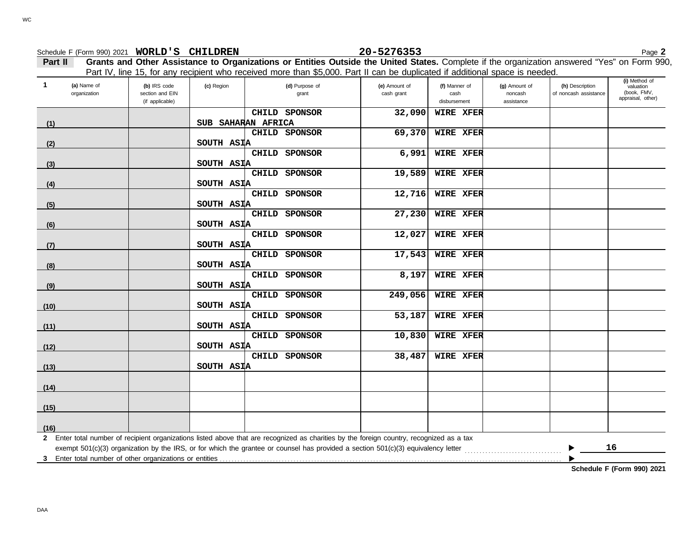|                                               |                                                    |            | Part IV, line 15, for any recipient who received more than \$5,000. Part II can be duplicated if additional space is needed.              |                             |                                       |                                        |                                          |                                                                |
|-----------------------------------------------|----------------------------------------------------|------------|-------------------------------------------------------------------------------------------------------------------------------------------|-----------------------------|---------------------------------------|----------------------------------------|------------------------------------------|----------------------------------------------------------------|
| $\overline{1}$<br>(a) Name of<br>organization | (b) IRS code<br>section and EIN<br>(if applicable) | (c) Region | (d) Purpose of<br>grant                                                                                                                   | (e) Amount of<br>cash grant | (f) Manner of<br>cash<br>disbursement | (g) Amount of<br>noncash<br>assistance | (h) Description<br>of noncash assistance | (i) Method of<br>valuation<br>(book, FMV,<br>appraisal, other) |
|                                               |                                                    |            | CHILD SPONSOR                                                                                                                             | 32,090                      | <b>WIRE XFER</b>                      |                                        |                                          |                                                                |
| (1)                                           |                                                    |            | SUB SAHARAN AFRICA                                                                                                                        |                             |                                       |                                        |                                          |                                                                |
|                                               |                                                    |            | CHILD SPONSOR                                                                                                                             | 69,370                      | <b>WIRE XFER</b>                      |                                        |                                          |                                                                |
| (2)                                           |                                                    | SOUTH ASIA |                                                                                                                                           |                             |                                       |                                        |                                          |                                                                |
|                                               |                                                    |            | CHILD SPONSOR                                                                                                                             | 6,991                       | <b>WIRE XFER</b>                      |                                        |                                          |                                                                |
| (3)                                           |                                                    | SOUTH ASIA |                                                                                                                                           |                             |                                       |                                        |                                          |                                                                |
|                                               |                                                    |            | CHILD SPONSOR                                                                                                                             | 19,589                      | WIRE XFER                             |                                        |                                          |                                                                |
| (4)                                           |                                                    | SOUTH ASIA |                                                                                                                                           |                             |                                       |                                        |                                          |                                                                |
|                                               |                                                    |            | CHILD SPONSOR                                                                                                                             | 12,716                      | WIRE XFER                             |                                        |                                          |                                                                |
| (5)                                           |                                                    | SOUTH ASIA |                                                                                                                                           |                             |                                       |                                        |                                          |                                                                |
|                                               |                                                    |            | CHILD SPONSOR                                                                                                                             | 27,230                      | <b>WIRE XFER</b>                      |                                        |                                          |                                                                |
| (6)                                           |                                                    | SOUTH ASIA |                                                                                                                                           |                             |                                       |                                        |                                          |                                                                |
|                                               |                                                    |            | CHILD SPONSOR                                                                                                                             | 12,027                      | <b>WIRE XFER</b>                      |                                        |                                          |                                                                |
| (7)                                           |                                                    | SOUTH ASIA |                                                                                                                                           |                             |                                       |                                        |                                          |                                                                |
|                                               |                                                    |            | CHILD SPONSOR                                                                                                                             | 17,543                      | WIRE XFER                             |                                        |                                          |                                                                |
| (8)                                           |                                                    | SOUTH ASIA |                                                                                                                                           |                             |                                       |                                        |                                          |                                                                |
|                                               |                                                    |            | CHILD SPONSOR                                                                                                                             | 8,197                       | <b>WIRE XFER</b>                      |                                        |                                          |                                                                |
| (9)                                           |                                                    | SOUTH ASIA | CHILD SPONSOR                                                                                                                             | 249,056                     | WIRE XFER                             |                                        |                                          |                                                                |
|                                               |                                                    |            |                                                                                                                                           |                             |                                       |                                        |                                          |                                                                |
| (10)                                          |                                                    | SOUTH ASIA | CHILD SPONSOR                                                                                                                             | 53,187                      | WIRE XFER                             |                                        |                                          |                                                                |
| (11)                                          |                                                    | SOUTH ASIA |                                                                                                                                           |                             |                                       |                                        |                                          |                                                                |
|                                               |                                                    |            | CHILD SPONSOR                                                                                                                             | 10,830                      | WIRE XFER                             |                                        |                                          |                                                                |
| (12)                                          |                                                    | SOUTH ASIA |                                                                                                                                           |                             |                                       |                                        |                                          |                                                                |
|                                               |                                                    |            | CHILD SPONSOR                                                                                                                             | 38,487                      | WIRE XFER                             |                                        |                                          |                                                                |
| (13)                                          |                                                    | SOUTH ASIA |                                                                                                                                           |                             |                                       |                                        |                                          |                                                                |
|                                               |                                                    |            |                                                                                                                                           |                             |                                       |                                        |                                          |                                                                |
| (14)                                          |                                                    |            |                                                                                                                                           |                             |                                       |                                        |                                          |                                                                |
|                                               |                                                    |            |                                                                                                                                           |                             |                                       |                                        |                                          |                                                                |
| (15)                                          |                                                    |            |                                                                                                                                           |                             |                                       |                                        |                                          |                                                                |
|                                               |                                                    |            |                                                                                                                                           |                             |                                       |                                        |                                          |                                                                |
| (16)                                          |                                                    |            |                                                                                                                                           |                             |                                       |                                        |                                          |                                                                |
|                                               |                                                    |            | 2 Enter total number of recipient organizations listed above that are recognized as charities by the foreign country, recognized as a tax |                             |                                       |                                        |                                          |                                                                |
|                                               |                                                    |            |                                                                                                                                           |                             |                                       |                                        |                                          | 16                                                             |
|                                               |                                                    |            |                                                                                                                                           |                             |                                       |                                        |                                          |                                                                |
|                                               |                                                    |            |                                                                                                                                           |                             |                                       |                                        |                                          | Schedule F (Form 990) 2021                                     |

### **Part II Grants and Other Assistance to Organizations or Entities Outside the United States.** Complete if the organization answered "Yes" on Form 990, Schedule F (Form 990) 2021 Page **2 WORLD'S CHILDREN 20-5276353**

DAA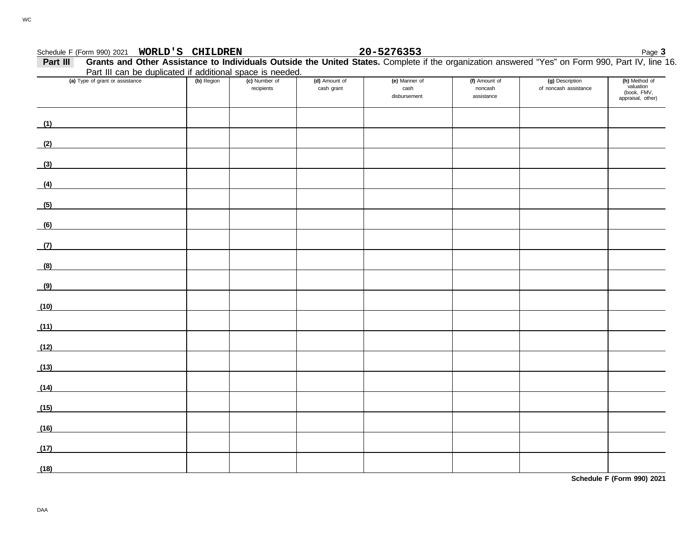## **WORLD'S CHILDREN 20-5276353**

Schedule F (Form 990) 2021 **WORLD'S CHILDREN**<br>**Page 3 Part III** Grants and Other Assistance to Individuals Outside the United States. Complete if the organization answered "Yes" on Form 990, Part IV, line 1 **Part III Grants and Other Assistance to Individuals Outside the United States.** Complete if the organization answered "Yes" on Form 990, Part IV, line 16. Part III can be duplicated if additional space is needed.

|      | Fait in carr be duplicated if additional space is needed.                                                            |            |                             |                             |                                       |                                        |                                          |                                                                |
|------|----------------------------------------------------------------------------------------------------------------------|------------|-----------------------------|-----------------------------|---------------------------------------|----------------------------------------|------------------------------------------|----------------------------------------------------------------|
|      | (a) Type of grant or assistance                                                                                      | (b) Region | (c) Number of<br>recipients | (d) Amount of<br>cash grant | (e) Manner of<br>cash<br>disbursement | (f) Amount of<br>noncash<br>assistance | (g) Description<br>of noncash assistance | (h) Method of<br>valuation<br>(book, FMV,<br>appraisal, other) |
|      | (1)                                                                                                                  |            |                             |                             |                                       |                                        |                                          |                                                                |
| (2)  | <u> 1980 - Andrea Station Barbara, politik eta provincia eta provincia eta provincia eta provincia eta provincia</u> |            |                             |                             |                                       |                                        |                                          |                                                                |
| (3)  |                                                                                                                      |            |                             |                             |                                       |                                        |                                          |                                                                |
| (4)  |                                                                                                                      |            |                             |                             |                                       |                                        |                                          |                                                                |
| (5)  |                                                                                                                      |            |                             |                             |                                       |                                        |                                          |                                                                |
| (6)  |                                                                                                                      |            |                             |                             |                                       |                                        |                                          |                                                                |
| (7)  |                                                                                                                      |            |                             |                             |                                       |                                        |                                          |                                                                |
| (8)  |                                                                                                                      |            |                             |                             |                                       |                                        |                                          |                                                                |
| (9)  | <u> 1980 - Jan Stein Stein Stein Stein Stein Stein Stein Stein Stein Stein Stein Stein Stein Stein Stein Stein S</u> |            |                             |                             |                                       |                                        |                                          |                                                                |
| (10) |                                                                                                                      |            |                             |                             |                                       |                                        |                                          |                                                                |
| (11) |                                                                                                                      |            |                             |                             |                                       |                                        |                                          |                                                                |
| (12) |                                                                                                                      |            |                             |                             |                                       |                                        |                                          |                                                                |
| (13) |                                                                                                                      |            |                             |                             |                                       |                                        |                                          |                                                                |
| (14) |                                                                                                                      |            |                             |                             |                                       |                                        |                                          |                                                                |
| (15) |                                                                                                                      |            |                             |                             |                                       |                                        |                                          |                                                                |
| (16) |                                                                                                                      |            |                             |                             |                                       |                                        |                                          |                                                                |
| (17) | <u> 1989 - Jan James James Barbara, politik eta politik eta politik eta politik eta politik eta politik eta poli</u> |            |                             |                             |                                       |                                        |                                          |                                                                |
| (18) |                                                                                                                      |            |                             |                             |                                       |                                        |                                          |                                                                |

**Schedule F (Form 990) 2021**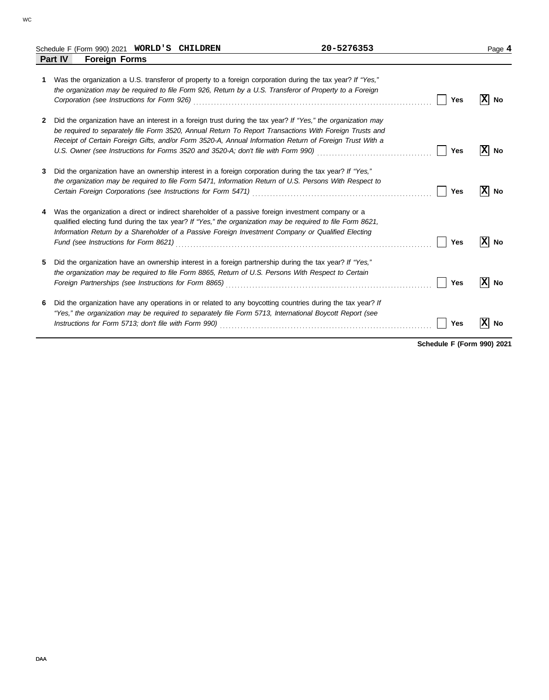|   | Schedule F (Form 990) 2021 WORLD'S CHILDREN                                                                                                                                                                                                                                                                                                  | 20-5276353                                                                                                                   | Page 4          |
|---|----------------------------------------------------------------------------------------------------------------------------------------------------------------------------------------------------------------------------------------------------------------------------------------------------------------------------------------------|------------------------------------------------------------------------------------------------------------------------------|-----------------|
|   | <b>Part IV</b><br><b>Foreign Forms</b>                                                                                                                                                                                                                                                                                                       |                                                                                                                              |                 |
| 1 | Was the organization a U.S. transferor of property to a foreign corporation during the tax year? If "Yes,"<br>the organization may be required to file Form 926, Return by a U.S. Transferor of Property to a Foreign<br>Corporation (see Instructions for Form 926) Material Corporation (see Instruction of See Instructions for Form 926) | <b>Yes</b>                                                                                                                   | X <br>No        |
| 2 | Did the organization have an interest in a foreign trust during the tax year? If "Yes," the organization may<br>be required to separately file Form 3520, Annual Return To Report Transactions With Foreign Trusts and<br>Receipt of Certain Foreign Gifts, and/or Form 3520-A, Annual Information Return of Foreign Trust With a            | U.S. Owner (see Instructions for Forms 3520 and 3520-A; don't file with Form 990) [[[[[[[[[[[[[[[[[[[[[[[[[[[[<br><b>Yes</b> | IхI<br>No       |
| 3 | Did the organization have an ownership interest in a foreign corporation during the tax year? If "Yes,"<br>the organization may be required to file Form 5471, Information Return of U.S. Persons With Respect to                                                                                                                            | <b>Yes</b>                                                                                                                   | x <br>No        |
|   | Was the organization a direct or indirect shareholder of a passive foreign investment company or a<br>qualified electing fund during the tax year? If "Yes," the organization may be required to file Form 8621,<br>Information Return by a Shareholder of a Passive Foreign Investment Company or Qualified Electing                        | <b>Yes</b>                                                                                                                   | $ X $ No        |
| 5 | Did the organization have an ownership interest in a foreign partnership during the tax year? If "Yes,"<br>the organization may be required to file Form 8865, Return of U.S. Persons With Respect to Certain<br>Foreign Partnerships (see Instructions for Form 8865) [11] Conserved Conserved Conserved Conserved Conserved Co             | <b>Yes</b>                                                                                                                   | x <br><b>No</b> |
| 6 | Did the organization have any operations in or related to any boycotting countries during the tax year? If<br>"Yes," the organization may be required to separately file Form 5713, International Boycott Report (see                                                                                                                        | <b>Yes</b>                                                                                                                   | No              |

**Schedule F (Form 990) 2021**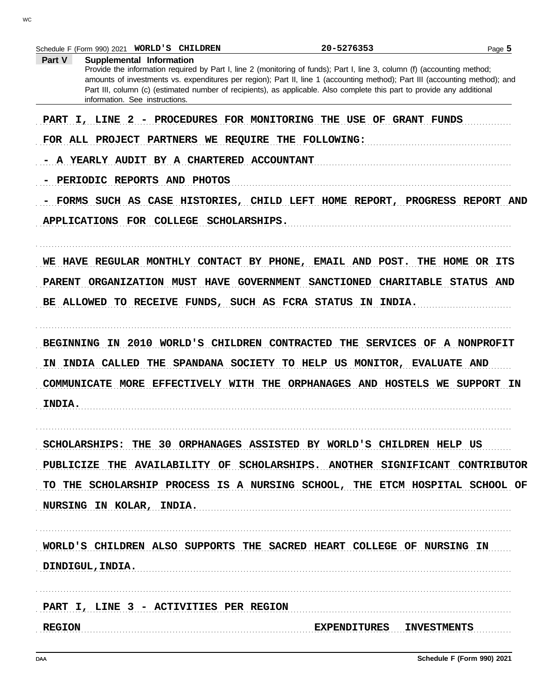|               | Schedule F (Form 990) 2021 WORLD'S CHILDREN                                                                                                               | 20-5276353 | Page 5 |
|---------------|-----------------------------------------------------------------------------------------------------------------------------------------------------------|------------|--------|
| Part V        | Supplemental Information<br>Provide the information required by Part I, line 2 (monitoring of funds); Part I, line 3, column (f) (accounting method;      |            |        |
|               | amounts of investments vs. expenditures per region); Part II, line 1 (accounting method); Part III (accounting method); and                               |            |        |
|               | Part III, column (c) (estimated number of recipients), as applicable. Also complete this part to provide any additional<br>information. See instructions. |            |        |
|               | PART I, LINE 2 - PROCEDURES FOR MONITORING THE USE OF GRANT FUNDS                                                                                         |            |        |
|               | FOR ALL PROJECT PARTNERS WE REQUIRE THE FOLLOWING:                                                                                                        |            |        |
|               | A YEARLY AUDIT BY A CHARTERED ACCOUNTANT                                                                                                                  |            |        |
|               | PERIODIC REPORTS AND PHOTOS                                                                                                                               |            |        |
|               | FORMS SUCH AS CASE HISTORIES, CHILD LEFT HOME REPORT, PROGRESS REPORT AND                                                                                 |            |        |
|               | APPLICATIONS FOR COLLEGE SCHOLARSHIPS.                                                                                                                    |            |        |
|               |                                                                                                                                                           |            |        |
|               | WE HAVE REGULAR MONTHLY CONTACT BY PHONE, EMAIL AND POST. THE HOME OR ITS                                                                                 |            |        |
|               | PARENT ORGANIZATION MUST HAVE GOVERNMENT SANCTIONED CHARITABLE STATUS AND                                                                                 |            |        |
|               | BE ALLOWED TO RECEIVE FUNDS, SUCH AS FCRA STATUS IN INDIA.                                                                                                |            |        |
|               | BEGINNING IN 2010 WORLD'S CHILDREN CONTRACTED THE SERVICES OF A NONPROFIT                                                                                 |            |        |
|               | IN INDIA CALLED THE SPANDANA SOCIETY TO HELP US MONITOR, EVALUATE AND                                                                                     |            |        |
|               | COMMUNICATE MORE EFFECTIVELY WITH THE ORPHANAGES AND HOSTELS WE SUPPORT IN                                                                                |            |        |
| <b>INDIA.</b> |                                                                                                                                                           |            |        |
|               |                                                                                                                                                           |            |        |
|               | SCHOLARSHIPS: THE 30 ORPHANAGES ASSISTED BY WORLD'S CHILDREN HELP US                                                                                      |            |        |
|               | PUBLICIZE THE AVAILABILITY OF SCHOLARSHIPS. ANOTHER SIGNIFICANT CONTRIBUTOR                                                                               |            |        |
|               | TO THE SCHOLARSHIP PROCESS IS A NURSING SCHOOL, THE ETCM HOSPITAL SCHOOL OF                                                                               |            |        |
|               | NURSING IN KOLAR, INDIA.                                                                                                                                  |            |        |
|               |                                                                                                                                                           |            |        |
|               | WORLD'S CHILDREN ALSO SUPPORTS THE SACRED HEART COLLEGE OF NURSING IN                                                                                     |            |        |
|               | DINDIGUL, INDIA.                                                                                                                                          |            |        |
|               | PART I, LINE 3 - ACTIVITIES PER REGION                                                                                                                    |            |        |
|               |                                                                                                                                                           |            |        |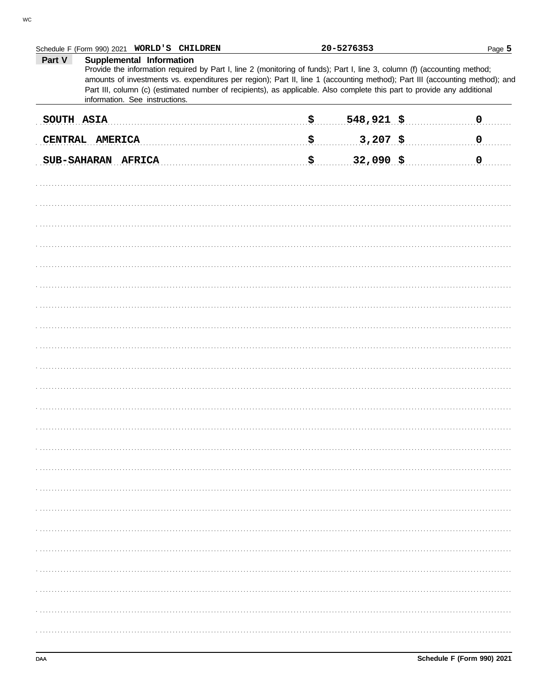|            | Schedule F (Form 990) 2021 WORLD'S CHILDREN                                                                                                                                                                                                                                                                                                                                                                                                      |             | 20-5276353         | Page 5                   |
|------------|--------------------------------------------------------------------------------------------------------------------------------------------------------------------------------------------------------------------------------------------------------------------------------------------------------------------------------------------------------------------------------------------------------------------------------------------------|-------------|--------------------|--------------------------|
| Part V     | Supplemental Information<br>Provide the information required by Part I, line 2 (monitoring of funds); Part I, line 3, column (f) (accounting method;<br>amounts of investments vs. expenditures per region); Part II, line 1 (accounting method); Part III (accounting method); and<br>Part III, column (c) (estimated number of recipients), as applicable. Also complete this part to provide any additional<br>information. See instructions. |             |                    |                          |
| SOUTH ASIA |                                                                                                                                                                                                                                                                                                                                                                                                                                                  | .\$…        | $548,921$ \$       | 0. 0                     |
|            | CENTRAL AMERICA                                                                                                                                                                                                                                                                                                                                                                                                                                  | . <b>\$</b> | $3,207$ \$         | $\overline{\phantom{a}}$ |
|            | SUB-SAHARAN AFRICA                                                                                                                                                                                                                                                                                                                                                                                                                               | . \$        | $\frac{32,090}{5}$ | 0. 0. .                  |
|            |                                                                                                                                                                                                                                                                                                                                                                                                                                                  |             |                    |                          |
|            |                                                                                                                                                                                                                                                                                                                                                                                                                                                  |             |                    |                          |
|            |                                                                                                                                                                                                                                                                                                                                                                                                                                                  |             |                    |                          |
|            |                                                                                                                                                                                                                                                                                                                                                                                                                                                  |             |                    |                          |
|            |                                                                                                                                                                                                                                                                                                                                                                                                                                                  |             |                    |                          |
|            |                                                                                                                                                                                                                                                                                                                                                                                                                                                  |             |                    |                          |
|            |                                                                                                                                                                                                                                                                                                                                                                                                                                                  |             |                    |                          |
|            |                                                                                                                                                                                                                                                                                                                                                                                                                                                  |             |                    |                          |
|            |                                                                                                                                                                                                                                                                                                                                                                                                                                                  |             |                    |                          |
|            |                                                                                                                                                                                                                                                                                                                                                                                                                                                  |             |                    |                          |
|            |                                                                                                                                                                                                                                                                                                                                                                                                                                                  |             |                    |                          |
|            |                                                                                                                                                                                                                                                                                                                                                                                                                                                  |             |                    |                          |
|            |                                                                                                                                                                                                                                                                                                                                                                                                                                                  |             |                    |                          |
|            |                                                                                                                                                                                                                                                                                                                                                                                                                                                  |             |                    |                          |
|            |                                                                                                                                                                                                                                                                                                                                                                                                                                                  |             |                    |                          |
|            |                                                                                                                                                                                                                                                                                                                                                                                                                                                  |             |                    |                          |
|            |                                                                                                                                                                                                                                                                                                                                                                                                                                                  |             |                    |                          |
|            |                                                                                                                                                                                                                                                                                                                                                                                                                                                  |             |                    |                          |
|            |                                                                                                                                                                                                                                                                                                                                                                                                                                                  |             |                    |                          |
|            |                                                                                                                                                                                                                                                                                                                                                                                                                                                  |             |                    |                          |
|            |                                                                                                                                                                                                                                                                                                                                                                                                                                                  |             |                    |                          |
|            |                                                                                                                                                                                                                                                                                                                                                                                                                                                  |             |                    |                          |
|            |                                                                                                                                                                                                                                                                                                                                                                                                                                                  |             |                    |                          |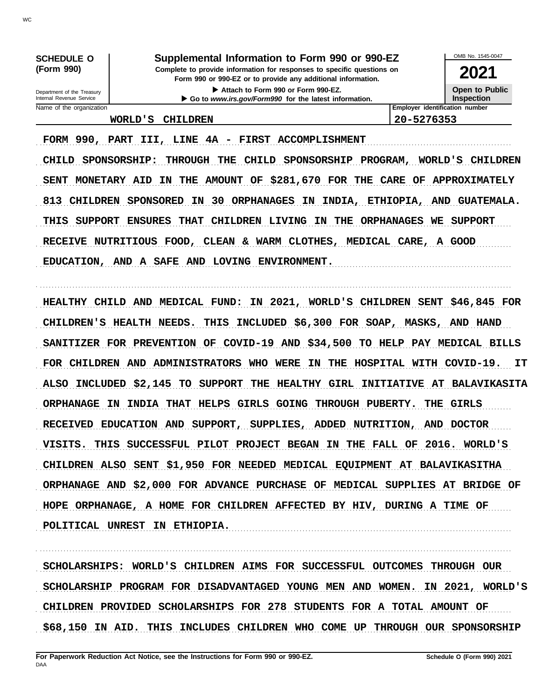Name of the organization **Employer identification number** Department of the Treasury<br>Internal Revenue Service

**(Form 990) Complete to provide information for responses to specific questions on SCHEDULE O Supplemental Information to Form 990 or 990-EZ**

> **Form 990 or 990-EZ or to provide any additional information.** Attach to Form 990 or Form 990-EZ.

▶ Go to *www.irs.gov/Form990* for the latest information.

**2021**

OMB No. 1545-0047

**Open to Public Inspection**

**WORLD'S CHILDREN 20-5276353**

FORM 990, PART III, LINE 4A - FIRST ACCOMPLISHMENT

CHILD SPONSORSHIP: THROUGH THE CHILD SPONSORSHIP PROGRAM, WORLD'S CHILDREN SENT MONETARY AID IN THE AMOUNT OF \$281,670 FOR THE CARE OF APPROXIMATELY 813 CHILDREN SPONSORED IN 30 ORPHANAGES IN INDIA, ETHIOPIA, AND GUATEMALA. THIS SUPPORT ENSURES THAT CHILDREN LIVING IN THE ORPHANAGES WE SUPPORT RECEIVE NUTRITIOUS FOOD, CLEAN & WARM CLOTHES, MEDICAL CARE, A GOOD EDUCATION, AND A SAFE AND LOVING ENVIRONMENT.

. . . . . . . . . . . . . . . . . . . . . . . . . . . . . . . . . . . . . . . . . . . . . . . . . . . . . . . . . . . . . . . . . . . . . . . . . . . . . . . . . . . . . . . . . . . . . . . . . . . . . . . . . . . . . . . . . . . . . . . . . . . . . . . . . . . . . . . . . . . . . . . . . . . . . . . . . . . . . . . . .

HEALTHY CHILD AND MEDICAL FUND: IN 2021, WORLD'S CHILDREN SENT \$46,845 FOR CHILDREN'S HEALTH NEEDS. THIS INCLUDED \$6,300 FOR SOAP, MASKS, AND HAND SANITIZER FOR PREVENTION OF COVID-19 AND \$34,500 TO HELP PAY MEDICAL BILLS FOR CHILDREN AND ADMINISTRATORS WHO WERE IN THE HOSPITAL WITH COVID-19. IT ALSO INCLUDED \$2,145 TO SUPPORT THE HEALTHY GIRL INITIATIVE AT BALAVIKASITA ORPHANAGE IN INDIA THAT HELPS GIRLS GOING THROUGH PUBERTY. THE GIRLS RECEIVED EDUCATION AND SUPPORT, SUPPLIES, ADDED NUTRITION, AND DOCTOR VISITS. THIS SUCCESSFUL PILOT PROJECT BEGAN IN THE FALL OF 2016. WORLD'S CHILDREN ALSO SENT \$1,950 FOR NEEDED MEDICAL EQUIPMENT AT BALAVIKASITHA ORPHANAGE AND \$2,000 FOR ADVANCE PURCHASE OF MEDICAL SUPPLIES AT BRIDGE OF HOPE ORPHANAGE, A HOME FOR CHILDREN AFFECTED BY HIV, DURING A TIME OF POLITICAL UNREST IN ETHIOPIA.

SCHOLARSHIPS: WORLD'S CHILDREN AIMS FOR SUCCESSFUL OUTCOMES THROUGH OUR SCHOLARSHIP PROGRAM FOR DISADVANTAGED YOUNG MEN AND WOMEN. IN 2021, WORLD'S CHILDREN PROVIDED SCHOLARSHIPS FOR 278 STUDENTS FOR A TOTAL AMOUNT OF \$68,150 IN AID. THIS INCLUDES CHILDREN WHO COME UP THROUGH OUR SPONSORSHIP

. . . . . . . . . . . . . . . . . . . . . . . . . . . . . . . . . . . . . . . . . . . . . . . . . . . . . . . . . . . . . . . . . . . . . . . . . . . . . . . . . . . . . . . . . . . . . . . . . . . . . . . . . . . . . . . . . . . . . . . . . . . . . . . . . . . . . . . . . . . . . . . . . . . . . . . . . . . . . . . . .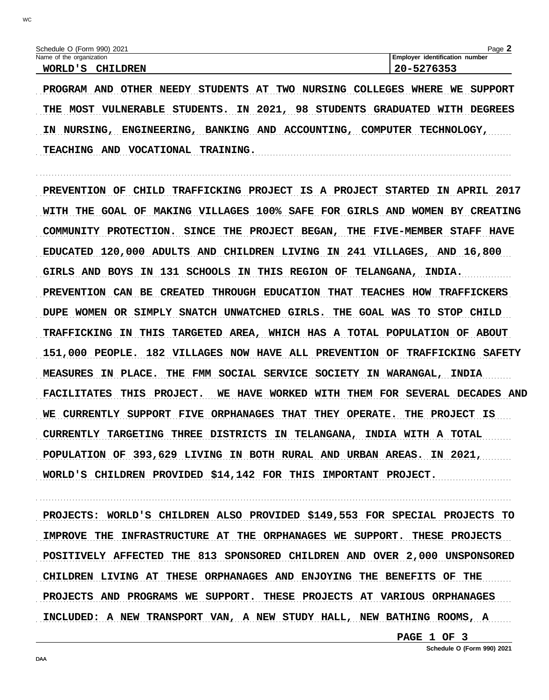PROGRAM AND OTHER NEEDY STUDENTS AT TWO NURSING COLLEGES WHERE WE SUPPORT THE MOST VULNERABLE STUDENTS. IN 2021, 98 STUDENTS GRADUATED WITH DEGREES IN NURSING, ENGINEERING, BANKING AND ACCOUNTING, COMPUTER TECHNOLOGY, TEACHING AND VOCATIONAL TRAINING.

PREVENTION OF CHILD TRAFFICKING PROJECT IS A PROJECT STARTED IN APRIL 2017 WITH THE GOAL OF MAKING VILLAGES 100% SAFE FOR GIRLS AND WOMEN BY CREATING COMMUNITY PROTECTION. SINCE THE PROJECT BEGAN, THE FIVE-MEMBER STAFF HAVE EDUCATED 120,000 ADULTS AND CHILDREN LIVING IN 241 VILLAGES, AND 16,800 GIRLS AND BOYS IN 131 SCHOOLS IN THIS REGION OF TELANGANA, INDIA. PREVENTION CAN BE CREATED THROUGH EDUCATION THAT TEACHES HOW TRAFFICKERS DUPE WOMEN OR SIMPLY SNATCH UNWATCHED GIRLS. THE GOAL WAS TO STOP CHILD TRAFFICKING IN THIS TARGETED AREA, WHICH HAS A TOTAL POPULATION OF ABOUT 151,000 PEOPLE. 182 VILLAGES NOW HAVE ALL PREVENTION OF TRAFFICKING SAFETY MEASURES IN PLACE. THE FMM SOCIAL SERVICE SOCIETY IN WARANGAL, INDIA FACILITATES THIS PROJECT. WE HAVE WORKED WITH THEM FOR SEVERAL DECADES AND WE CURRENTLY SUPPORT FIVE ORPHANAGES THAT THEY OPERATE. THE PROJECT IS CURRENTLY TARGETING THREE DISTRICTS IN TELANGANA, INDIA WITH A TOTAL POPULATION OF 393,629 LIVING IN BOTH RURAL AND URBAN AREAS. IN 2021, WORLD'S CHILDREN PROVIDED \$14,142 FOR THIS IMPORTANT PROJECT.

PROJECTS: WORLD'S CHILDREN ALSO PROVIDED \$149,553 FOR SPECIAL PROJECTS TO IMPROVE THE INFRASTRUCTURE AT THE ORPHANAGES WE SUPPORT. THESE PROJECTS POSITIVELY AFFECTED THE 813 SPONSORED CHILDREN AND OVER 2,000 UNSPONSORED CHILDREN LIVING AT THESE ORPHANAGES AND ENJOYING THE BENEFITS OF THE PROJECTS AND PROGRAMS WE SUPPORT. THESE PROJECTS AT VARIOUS ORPHANAGES INCLUDED: A NEW TRANSPORT VAN, A NEW STUDY HALL, NEW BATHING ROOMS, A

PAGE 1 OF 3

WC.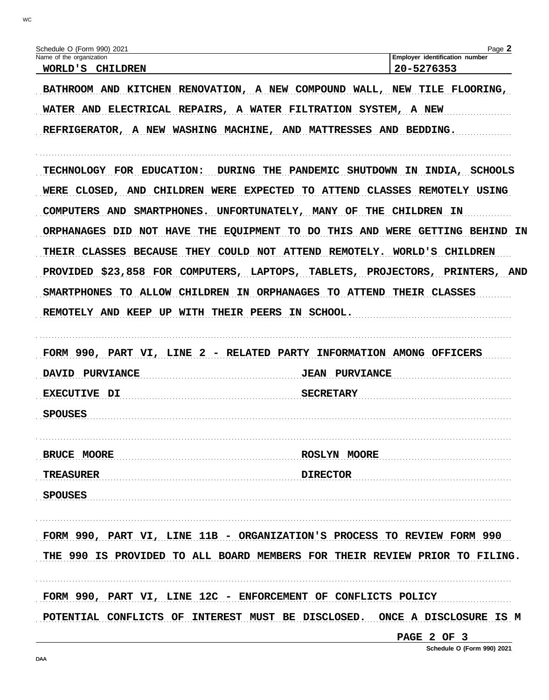| Schedule O (Form 990) 2021                                                                                                                                                                                                                                                                                                                                                                                                             | Page 2                                                                                                                |
|----------------------------------------------------------------------------------------------------------------------------------------------------------------------------------------------------------------------------------------------------------------------------------------------------------------------------------------------------------------------------------------------------------------------------------------|-----------------------------------------------------------------------------------------------------------------------|
| Name of the organization<br>WORLD'S CHILDREN                                                                                                                                                                                                                                                                                                                                                                                           | Employer identification number<br>20-5276353                                                                          |
| BATHROOM AND KITCHEN RENOVATION, A NEW COMPOUND WALL, NEW TILE FLOORING,<br>WATER AND ELECTRICAL REPAIRS, A WATER FILTRATION SYSTEM, A NEW<br>REFRIGERATOR, A NEW WASHING MACHINE, AND MATTRESSES AND BEDDING.                                                                                                                                                                                                                         |                                                                                                                       |
| TECHNOLOGY FOR EDUCATION:<br>WERE CLOSED, AND CHILDREN WERE EXPECTED TO ATTEND CLASSES REMOTELY USING<br>UNFORTUNATELY, MANY OF<br><b>COMPUTERS AND</b><br>SMARTPHONES.<br>ORPHANAGES DID NOT HAVE THE EQUIPMENT TO DO THIS AND WERE GETTING BEHIND IN<br>THEIR CLASSES BECAUSE<br>PROVIDED \$23,858 FOR COMPUTERS, LAPTOPS, TABLETS, PROJECTORS, PRINTERS, AND<br>SMARTPHONES TO ALLOW CHILDREN IN ORPHANAGES TO ATTEND THEIR CLASSES | DURING THE PANDEMIC SHUTDOWN IN INDIA, SCHOOLS<br>THE CHILDREN IN<br>THEY COULD NOT ATTEND REMOTELY. WORLD'S CHILDREN |
| REMOTELY AND KEEP UP WITH THEIR PEERS IN SCHOOL.<br>FORM 990, PART VI, LINE 2 - RELATED PARTY INFORMATION AMONG OFFICERS                                                                                                                                                                                                                                                                                                               |                                                                                                                       |
| DAVID PURVIANCE<br><b>EXECUTIVE DI</b>                                                                                                                                                                                                                                                                                                                                                                                                 | <b>JEAN PURVIANCE</b><br><b>SECRETARY</b>                                                                             |
| <b>SPOUSES</b>                                                                                                                                                                                                                                                                                                                                                                                                                         |                                                                                                                       |
| BRUCE MOORE                                                                                                                                                                                                                                                                                                                                                                                                                            | <b>ROSLYN MOORE</b>                                                                                                   |
| <b>TREASURER</b>                                                                                                                                                                                                                                                                                                                                                                                                                       | <b>DIRECTOR</b>                                                                                                       |
| <b>SPOUSES</b>                                                                                                                                                                                                                                                                                                                                                                                                                         |                                                                                                                       |
| FORM 990, PART VI, LINE 11B - ORGANIZATION'S PROCESS TO REVIEW FORM 990<br>THE 990 IS PROVIDED TO ALL BOARD MEMBERS FOR THEIR REVIEW PRIOR TO FILING.                                                                                                                                                                                                                                                                                  |                                                                                                                       |
|                                                                                                                                                                                                                                                                                                                                                                                                                                        |                                                                                                                       |

PAGE 2 OF 3